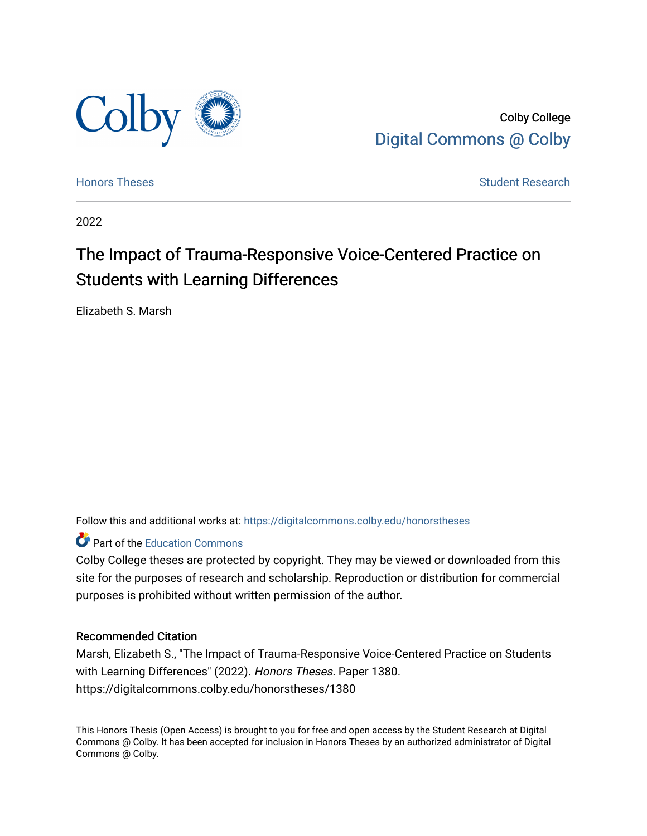

Colby College [Digital Commons @ Colby](https://digitalcommons.colby.edu/) 

[Honors Theses](https://digitalcommons.colby.edu/honorstheses) [Student Research](https://digitalcommons.colby.edu/student_research) and the Student Research Student Research

2022

# The Impact of Trauma-Responsive Voice-Centered Practice on Students with Learning Differences

Elizabeth S. Marsh

Follow this and additional works at: [https://digitalcommons.colby.edu/honorstheses](https://digitalcommons.colby.edu/honorstheses?utm_source=digitalcommons.colby.edu%2Fhonorstheses%2F1380&utm_medium=PDF&utm_campaign=PDFCoverPages) 

# **Part of the [Education Commons](https://network.bepress.com/hgg/discipline/784?utm_source=digitalcommons.colby.edu%2Fhonorstheses%2F1380&utm_medium=PDF&utm_campaign=PDFCoverPages)**

Colby College theses are protected by copyright. They may be viewed or downloaded from this site for the purposes of research and scholarship. Reproduction or distribution for commercial purposes is prohibited without written permission of the author.

### Recommended Citation

Marsh, Elizabeth S., "The Impact of Trauma-Responsive Voice-Centered Practice on Students with Learning Differences" (2022). Honors Theses. Paper 1380. https://digitalcommons.colby.edu/honorstheses/1380

This Honors Thesis (Open Access) is brought to you for free and open access by the Student Research at Digital Commons @ Colby. It has been accepted for inclusion in Honors Theses by an authorized administrator of Digital Commons @ Colby.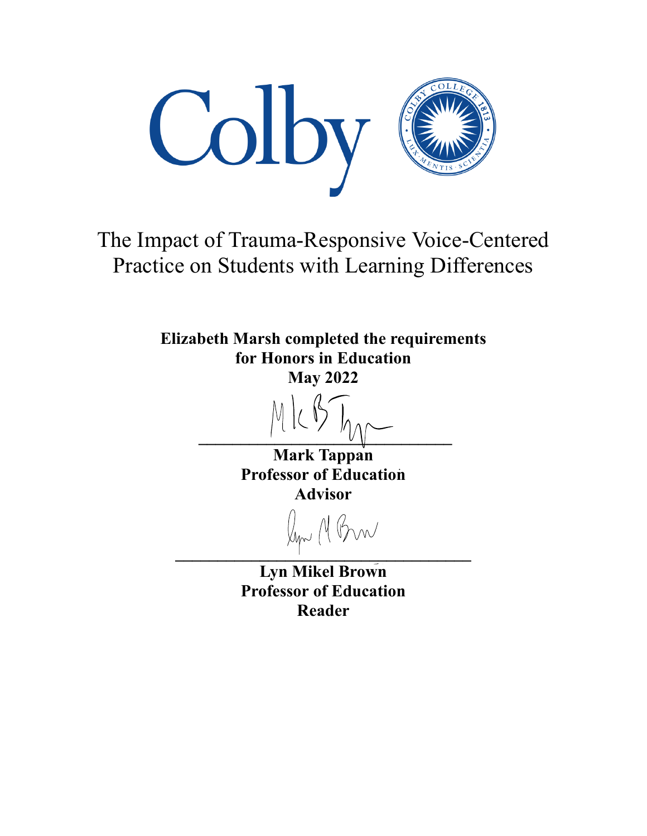

The Impact of Trauma-Responsive Voice-Centered Practice on Students with Learning Differences

> **Elizabeth Marsh completed the requirements** for Honors in Education **May 2022**

Mark Tappan **Professor of Education Advisor** 

Kyn M Brw

**Lyn Mikel Brown Professor of Education** Reader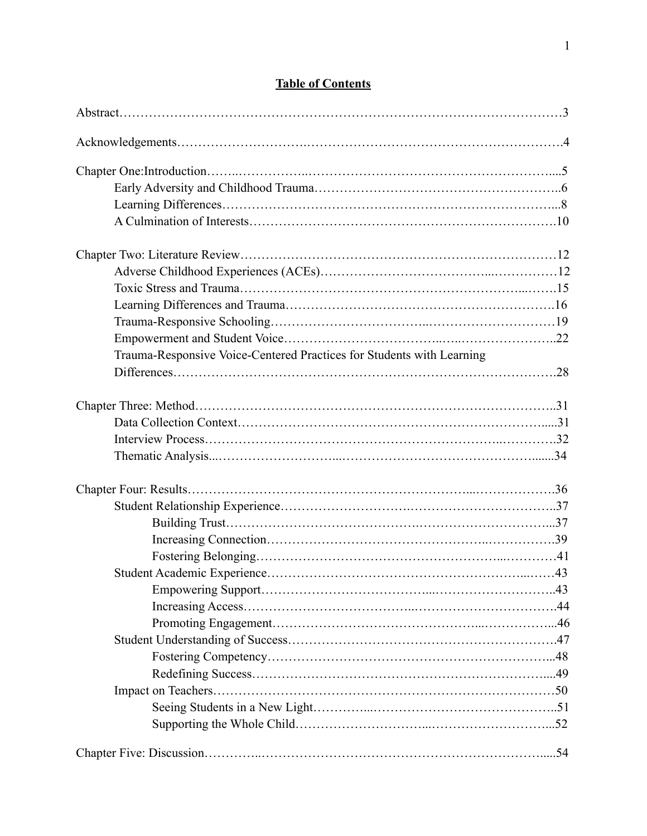| Trauma-Responsive Voice-Centered Practices for Students with Learning |  |
|-----------------------------------------------------------------------|--|
|                                                                       |  |
|                                                                       |  |
|                                                                       |  |
|                                                                       |  |
|                                                                       |  |
|                                                                       |  |
|                                                                       |  |
|                                                                       |  |
|                                                                       |  |
|                                                                       |  |
|                                                                       |  |
|                                                                       |  |
|                                                                       |  |
|                                                                       |  |
|                                                                       |  |
|                                                                       |  |
|                                                                       |  |
|                                                                       |  |
|                                                                       |  |
|                                                                       |  |
|                                                                       |  |

# **Table of Contents**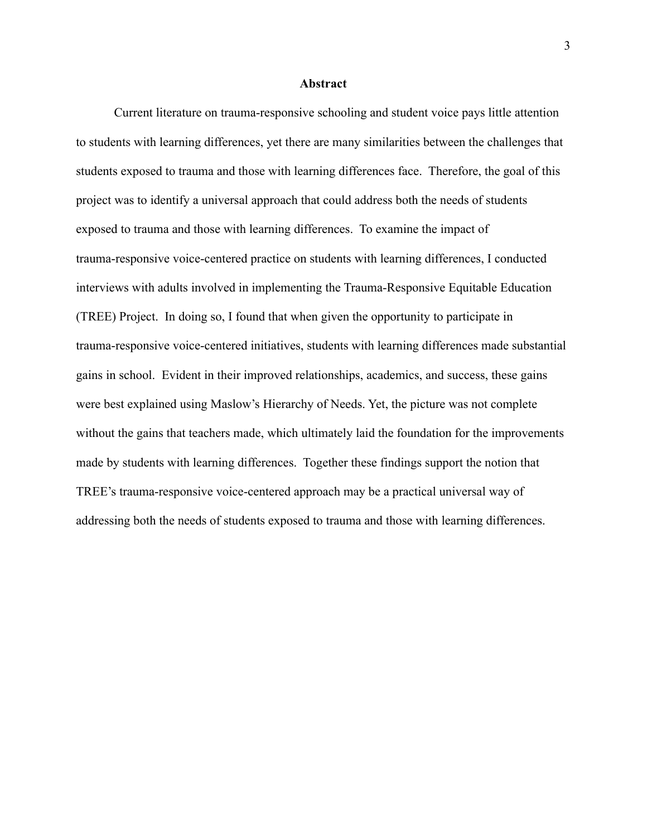#### **Abstract**

Current literature on trauma-responsive schooling and student voice pays little attention to students with learning differences, yet there are many similarities between the challenges that students exposed to trauma and those with learning differences face. Therefore, the goal of this project was to identify a universal approach that could address both the needs of students exposed to trauma and those with learning differences. To examine the impact of trauma-responsive voice-centered practice on students with learning differences, I conducted interviews with adults involved in implementing the Trauma-Responsive Equitable Education (TREE) Project. In doing so, I found that when given the opportunity to participate in trauma-responsive voice-centered initiatives, students with learning differences made substantial gains in school. Evident in their improved relationships, academics, and success, these gains were best explained using Maslow's Hierarchy of Needs. Yet, the picture was not complete without the gains that teachers made, which ultimately laid the foundation for the improvements made by students with learning differences. Together these findings support the notion that TREE's trauma-responsive voice-centered approach may be a practical universal way of addressing both the needs of students exposed to trauma and those with learning differences.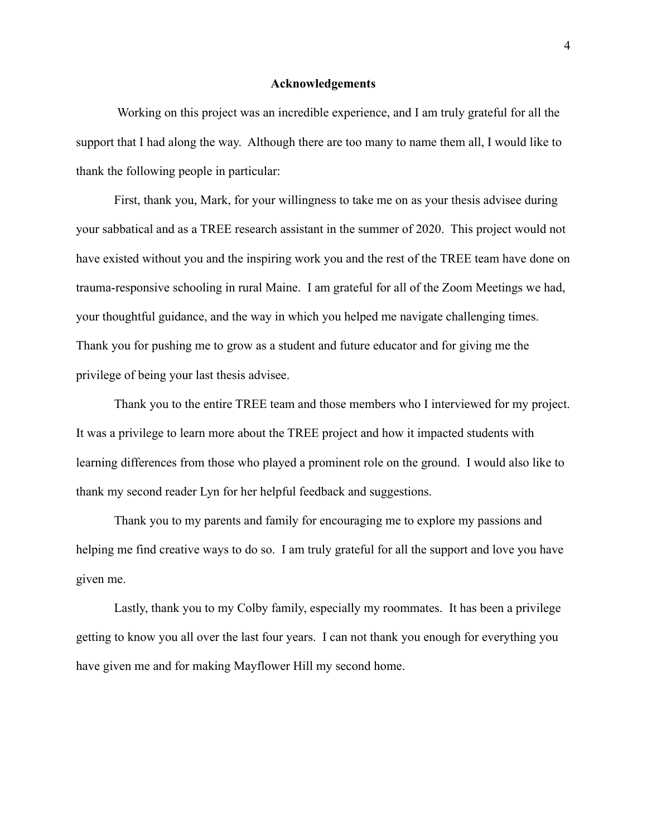#### **Acknowledgements**

Working on this project was an incredible experience, and I am truly grateful for all the support that I had along the way. Although there are too many to name them all, I would like to thank the following people in particular:

First, thank you, Mark, for your willingness to take me on as your thesis advisee during your sabbatical and as a TREE research assistant in the summer of 2020. This project would not have existed without you and the inspiring work you and the rest of the TREE team have done on trauma-responsive schooling in rural Maine. I am grateful for all of the Zoom Meetings we had, your thoughtful guidance, and the way in which you helped me navigate challenging times. Thank you for pushing me to grow as a student and future educator and for giving me the privilege of being your last thesis advisee.

Thank you to the entire TREE team and those members who I interviewed for my project. It was a privilege to learn more about the TREE project and how it impacted students with learning differences from those who played a prominent role on the ground. I would also like to thank my second reader Lyn for her helpful feedback and suggestions.

Thank you to my parents and family for encouraging me to explore my passions and helping me find creative ways to do so. I am truly grateful for all the support and love you have given me.

Lastly, thank you to my Colby family, especially my roommates. It has been a privilege getting to know you all over the last four years. I can not thank you enough for everything you have given me and for making Mayflower Hill my second home.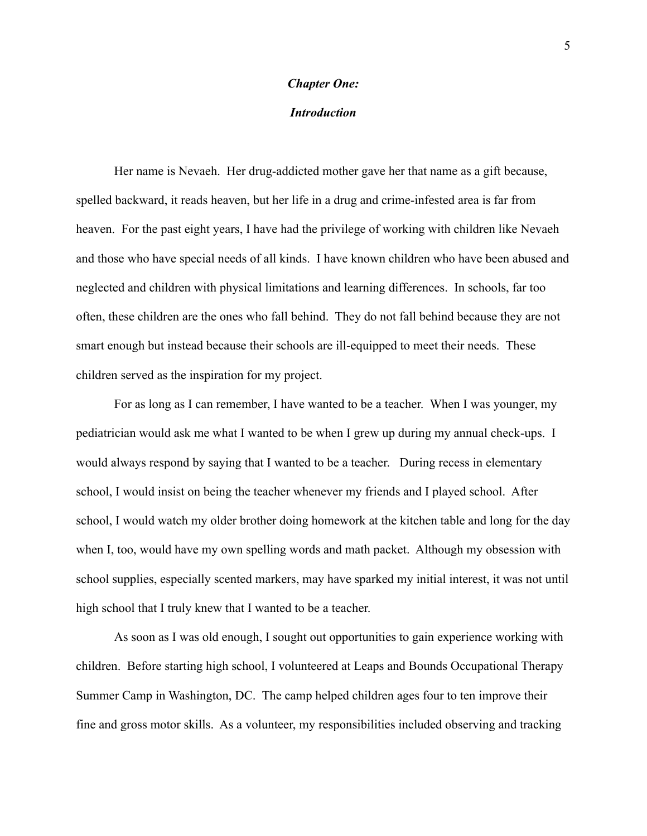# **Chapter One:**

# **Introduction**

Her name is Nevaeh. Her drug-addicted mother gave her that name as a gift because, spelled backward, it reads heaven, but her life in a drug and crime-infested area is far from heaven. For the past eight years, I have had the privilege of working with children like Nevaeh and those who have special needs of all kinds. I have known children who have been abused and neglected and children with physical limitations and learning differences. In schools, far too often, these children are the ones who fall behind. They do not fall behind because they are not smart enough but instead because their schools are ill-equipped to meet their needs. These children served as the inspiration for my project.

For as long as I can remember, I have wanted to be a teacher. When I was younger, my pediatrician would ask me what I wanted to be when I grew up during my annual check-ups. I would always respond by saying that I wanted to be a teacher. During recess in elementary school, I would insist on being the teacher whenever my friends and I played school. After school, I would watch my older brother doing homework at the kitchen table and long for the day when I, too, would have my own spelling words and math packet. Although my obsession with school supplies, especially scented markers, may have sparked my initial interest, it was not until high school that I truly knew that I wanted to be a teacher.

As soon as I was old enough, I sought out opportunities to gain experience working with children. Before starting high school, I volunteered at Leaps and Bounds Occupational Therapy Summer Camp in Washington, DC. The camp helped children ages four to ten improve their fine and gross motor skills. As a volunteer, my responsibilities included observing and tracking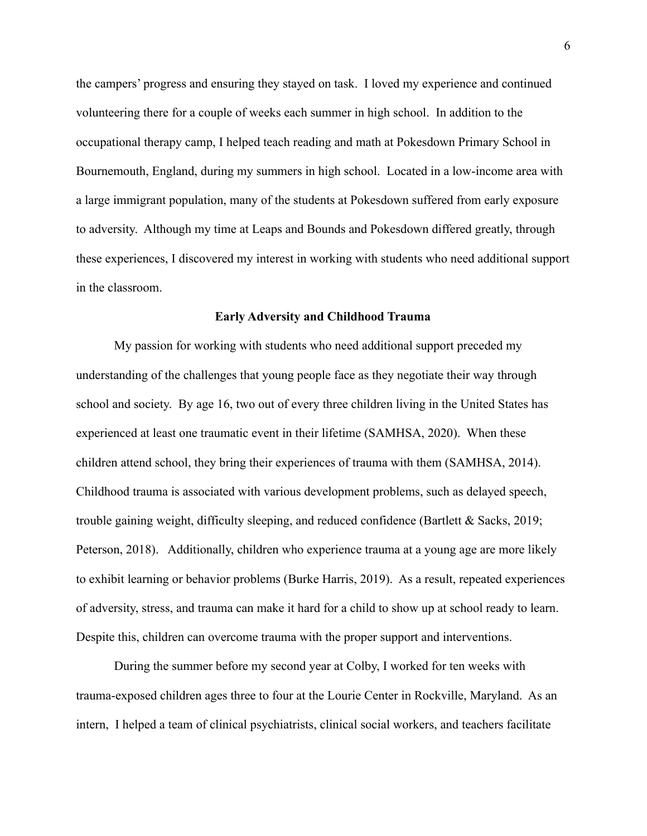the campers' progress and ensuring they stayed on task. I loved my experience and continued volunteering there for a couple of weeks each summer in high school. In addition to the occupational therapy camp, I helped teach reading and math at Pokesdown Primary School in Bournemouth, England, during my summers in high school. Located in a low-income area with a large immigrant population, many of the students at Pokesdown suffered from early exposure to adversity. Although my time at Leaps and Bounds and Pokesdown differed greatly, through these experiences, I discovered my interest in working with students who need additional support in the classroom.

#### **Early Adversity and Childhood Trauma**

My passion for working with students who need additional support preceded my understanding of the challenges that young people face as they negotiate their way through school and society. By age 16, two out of every three children living in the United States has experienced at least one traumatic event in their lifetime (SAMHSA, 2020). When these children attend school, they bring their experiences of trauma with them (SAMHSA, 2014). Childhood trauma is associated with various development problems, such as delayed speech, trouble gaining weight, difficulty sleeping, and reduced confidence (Bartlett & Sacks, 2019; Peterson, 2018). Additionally, children who experience trauma at a young age are more likely to exhibit learning or behavior problems (Burke Harris, 2019). As a result, repeated experiences of adversity, stress, and trauma can make it hard for a child to show up at school ready to learn. Despite this, children can overcome trauma with the proper support and interventions.

During the summer before my second year at Colby, I worked for ten weeks with trauma-exposed children ages three to four at the Lourie Center in Rockville, Maryland. As an intern, I helped a team of clinical psychiatrists, clinical social workers, and teachers facilitate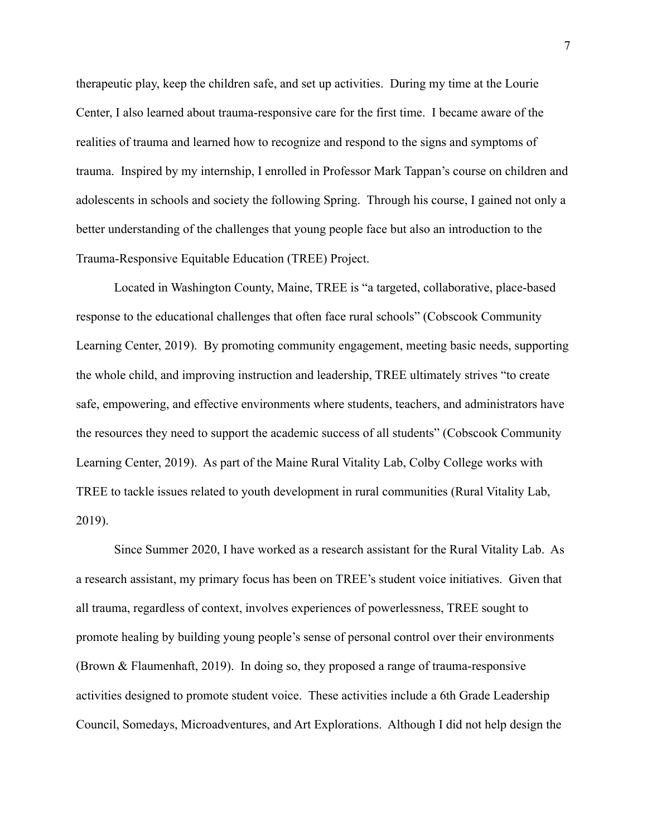therapeutic play, keep the children safe, and set up activities. During my time at the Lourie Center, I also learned about trauma-responsive care for the first time. I became aware of the realities of trauma and learned how to recognize and respond to the signs and symptoms of trauma. Inspired by my internship, I enrolled in Professor Mark Tappan's course on children and adolescents in schools and society the following Spring. Through his course, I gained not only a better understanding of the challenges that young people face but also an introduction to the Trauma-Responsive Equitable Education (TREE) Project.

Located in Washington County, Maine, TREE is "a targeted, collaborative, place-based response to the educational challenges that often face rural schools" (Cobscook Community Learning Center, 2019). By promoting community engagement, meeting basic needs, supporting the whole child, and improving instruction and leadership, TREE ultimately strives "to create" safe, empowering, and effective environments where students, teachers, and administrators have the resources they need to support the academic success of all students" (Cobscook Community Learning Center, 2019). As part of the Maine Rural Vitality Lab, Colby College works with TREE to tackle issues related to youth development in rural communities (Rural Vitality Lab,  $2019$ ).

Since Summer 2020, I have worked as a research assistant for the Rural Vitality Lab. As a research assistant, my primary focus has been on TREE's student voice initiatives. Given that all trauma, regardless of context, involves experiences of powerlessness, TREE sought to promote healing by building young people's sense of personal control over their environments (Brown & Flaumenhaft, 2019). In doing so, they proposed a range of trauma-responsive activities designed to promote student voice. These activities include a 6th Grade Leadership Council, Somedays, Microadventures, and Art Explorations. Although I did not help design the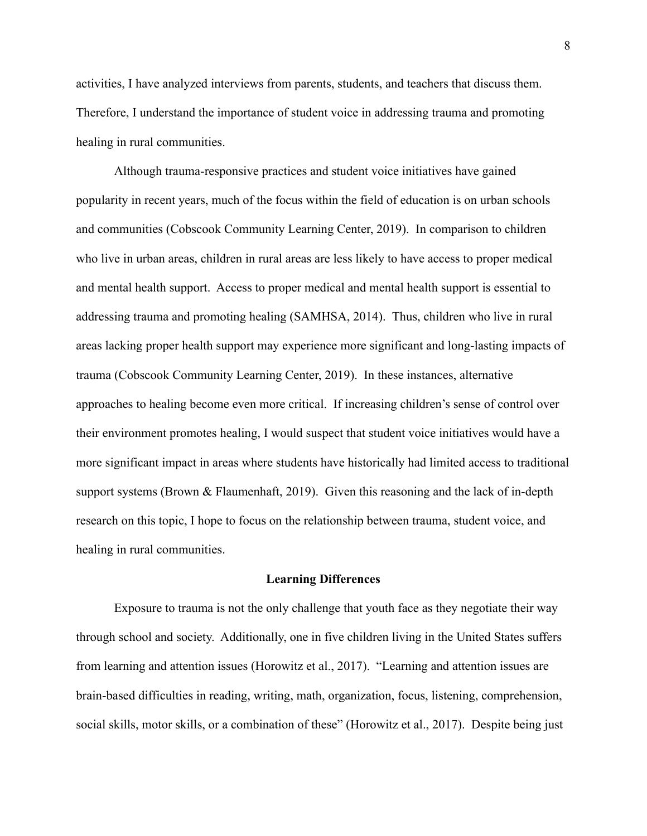activities, I have analyzed interviews from parents, students, and teachers that discuss them. Therefore, I understand the importance of student voice in addressing trauma and promoting healing in rural communities.

Although trauma-responsive practices and student voice initiatives have gained popularity in recent years, much of the focus within the field of education is on urban schools and communities (Cobscook Community Learning Center, 2019). In comparison to children who live in urban areas, children in rural areas are less likely to have access to proper medical and mental health support. Access to proper medical and mental health support is essential to addressing trauma and promoting healing (SAMHSA, 2014). Thus, children who live in rural areas lacking proper health support may experience more significant and long-lasting impacts of trauma (Cobscook Community Learning Center, 2019). In these instances, alternative approaches to healing become even more critical. If increasing children's sense of control over their environment promotes healing, I would suspect that student voice initiatives would have a more significant impact in areas where students have historically had limited access to traditional support systems (Brown  $\&$  Flaumenhaft, 2019). Given this reasoning and the lack of in-depth research on this topic. I hope to focus on the relationship between trauma, student voice, and healing in rural communities.

#### **Learning Differences**

Exposure to trauma is not the only challenge that youth face as they negotiate their way through school and society. Additionally, one in five children living in the United States suffers from learning and attention issues (Horowitz et al., 2017). "Learning and attention issues are brain-based difficulties in reading, writing, math, organization, focus, listening, comprehension, social skills, motor skills, or a combination of these" (Horowitz et al., 2017). Despite being just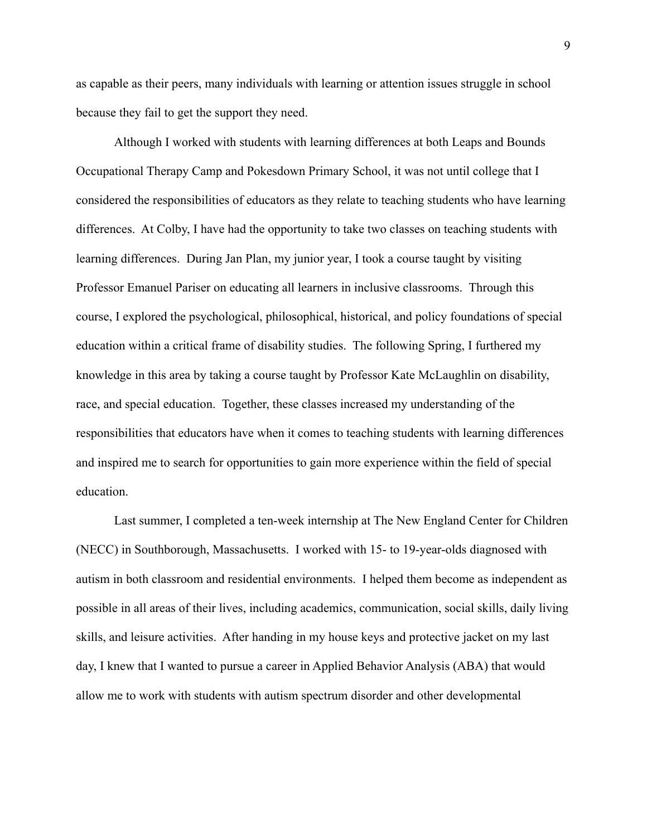as capable as their peers, many individuals with learning or attention issues struggle in school because they fail to get the support they need.

Although I worked with students with learning differences at both Leaps and Bounds Occupational Therapy Camp and Pokesdown Primary School, it was not until college that I considered the responsibilities of educators as they relate to teaching students who have learning differences. At Colby, I have had the opportunity to take two classes on teaching students with learning differences. During Jan Plan, my junior year, I took a course taught by visiting Professor Emanuel Pariser on educating all learners in inclusive classrooms. Through this course, I explored the psychological, philosophical, historical, and policy foundations of special education within a critical frame of disability studies. The following Spring, I furthered my knowledge in this area by taking a course taught by Professor Kate McLaughlin on disability, race, and special education. Together, these classes increased my understanding of the responsibilities that educators have when it comes to teaching students with learning differences and inspired me to search for opportunities to gain more experience within the field of special education.

Last summer, I completed a ten-week internship at The New England Center for Children (NECC) in Southborough, Massachusetts. I worked with 15- to 19-year-olds diagnosed with autism in both classroom and residential environments. I helped them become as independent as possible in all areas of their lives, including academics, communication, social skills, daily living skills, and leisure activities. After handing in my house keys and protective jacket on my last day, I knew that I wanted to pursue a career in Applied Behavior Analysis (ABA) that would allow me to work with students with autism spectrum disorder and other developmental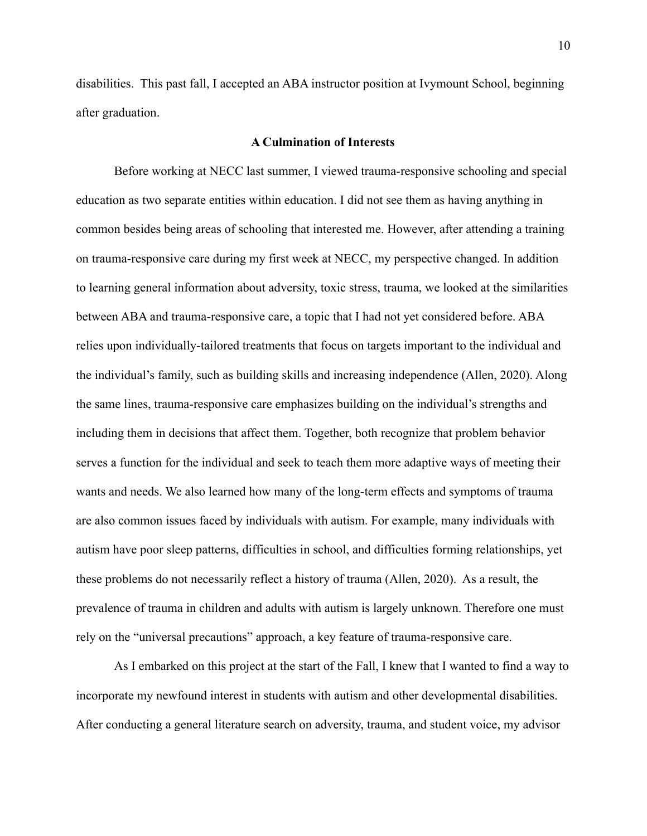disabilities. This past fall, I accepted an ABA instructor position at Ivymount School, beginning after graduation.

# **A Culmination of Interests**

Before working at NECC last summer, I viewed trauma-responsive schooling and special education as two separate entities within education. I did not see them as having anything in common besides being areas of schooling that interested me. However, after attending a training on trauma-responsive care during my first week at NECC, my perspective changed. In addition to learning general information about adversity, toxic stress, trauma, we looked at the similarities between ABA and trauma-responsive care, a topic that I had not yet considered before. ABA relies upon individually-tailored treatments that focus on targets important to the individual and the individual's family, such as building skills and increasing independence (Allen, 2020). Along the same lines, trauma-responsive care emphasizes building on the individual's strengths and including them in decisions that affect them. Together, both recognize that problem behavior serves a function for the individual and seek to teach them more adaptive ways of meeting their wants and needs. We also learned how many of the long-term effects and symptoms of trauma are also common issues faced by individuals with autism. For example, many individuals with autism have poor sleep patterns, difficulties in school, and difficulties forming relationships, yet these problems do not necessarily reflect a history of trauma (Allen, 2020). As a result, the prevalence of trauma in children and adults with autism is largely unknown. Therefore one must rely on the "universal precautions" approach, a key feature of trauma-responsive care.

As I embarked on this project at the start of the Fall, I knew that I wanted to find a way to incorporate my newfound interest in students with autism and other developmental disabilities. After conducting a general literature search on adversity, trauma, and student voice, my advisor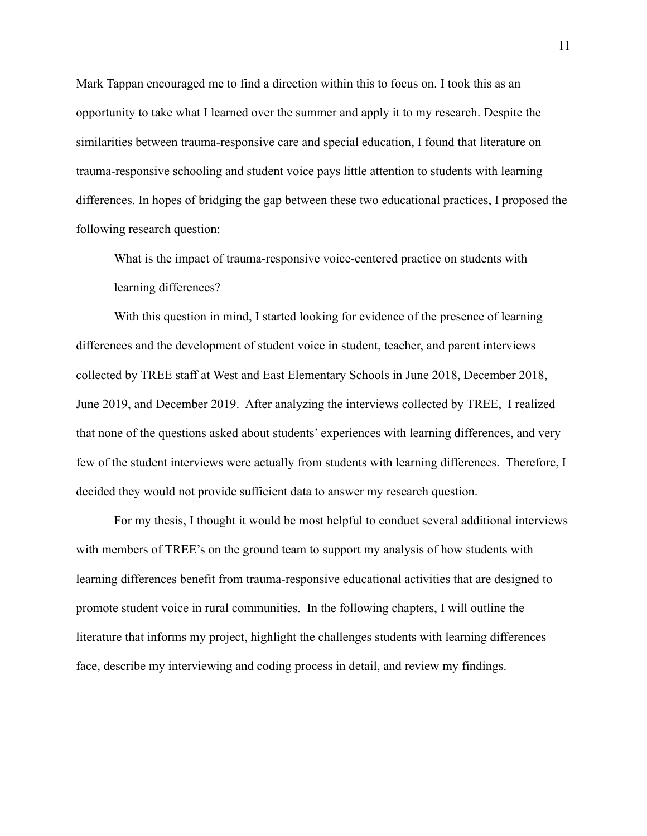Mark Tappan encouraged me to find a direction within this to focus on. I took this as an opportunity to take what I learned over the summer and apply it to my research. Despite the similarities between trauma-responsive care and special education. I found that literature on trauma-responsive schooling and student voice pays little attention to students with learning differences. In hopes of bridging the gap between these two educational practices, I proposed the following research question:

What is the impact of trauma-responsive voice-centered practice on students with learning differences?

With this question in mind, I started looking for evidence of the presence of learning differences and the development of student voice in student, teacher, and parent interviews collected by TREE staff at West and East Elementary Schools in June 2018, December 2018, June 2019, and December 2019. After analyzing the interviews collected by TREE, I realized that none of the questions asked about students' experiences with learning differences, and very few of the student interviews were actually from students with learning differences. Therefore, I decided they would not provide sufficient data to answer my research question.

For my thesis, I thought it would be most helpful to conduct several additional interviews with members of TREE's on the ground team to support my analysis of how students with learning differences benefit from trauma-responsive educational activities that are designed to promote student voice in rural communities. In the following chapters, I will outline the literature that informs my project, highlight the challenges students with learning differences face, describe my interviewing and coding process in detail, and review my findings.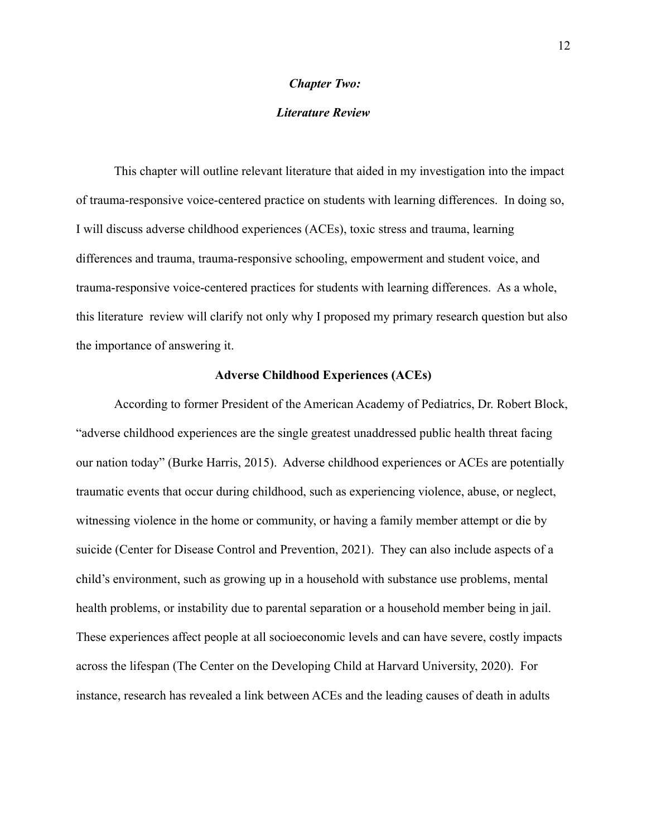#### **Chapter Two:**

### **Literature Review**

This chapter will outline relevant literature that aided in my investigation into the impact of trauma-responsive voice-centered practice on students with learning differences. In doing so, I will discuss adverse childhood experiences (ACEs), toxic stress and trauma, learning differences and trauma, trauma-responsive schooling, empowerment and student voice, and trauma-responsive voice-centered practices for students with learning differences. As a whole, this literature review will clarify not only why I proposed my primary research question but also the importance of answering it.

#### **Adverse Childhood Experiences (ACEs)**

According to former President of the American Academy of Pediatrics, Dr. Robert Block, "adverse childhood experiences are the single greatest unaddressed public health threat facing our nation today" (Burke Harris, 2015). Adverse childhood experiences or ACEs are potentially traumatic events that occur during childhood, such as experiencing violence, abuse, or neglect, witnessing violence in the home or community, or having a family member attempt or die by suicide (Center for Disease Control and Prevention, 2021). They can also include aspects of a child's environment, such as growing up in a household with substance use problems, mental health problems, or instability due to parental separation or a household member being in jail. These experiences affect people at all socioeconomic levels and can have severe, costly impacts across the lifespan (The Center on the Developing Child at Harvard University, 2020). For instance, research has revealed a link between ACEs and the leading causes of death in adults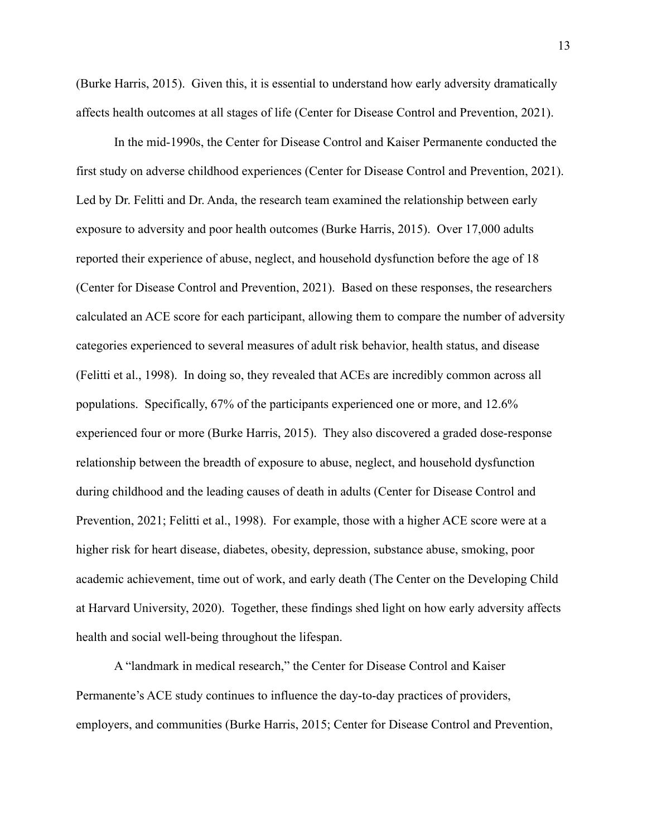(Burke Harris, 2015). Given this, it is essential to understand how early adversity dramatically affects health outcomes at all stages of life (Center for Disease Control and Prevention, 2021).

In the mid-1990s, the Center for Disease Control and Kaiser Permanente conducted the first study on adverse childhood experiences (Center for Disease Control and Prevention, 2021). Led by Dr. Felitti and Dr. Anda, the research team examined the relationship between early exposure to adversity and poor health outcomes (Burke Harris, 2015). Over 17,000 adults reported their experience of abuse, neglect, and household dysfunction before the age of 18 (Center for Disease Control and Prevention, 2021). Based on these responses, the researchers calculated an ACE score for each participant, allowing them to compare the number of adversity categories experienced to several measures of adult risk behavior, health status, and disease (Felitti et al., 1998). In doing so, they revealed that ACEs are incredibly common across all populations. Specifically, 67% of the participants experienced one or more, and 12.6% experienced four or more (Burke Harris, 2015). They also discovered a graded dose-response relationship between the breadth of exposure to abuse, neglect, and household dysfunction during childhood and the leading causes of death in adults (Center for Disease Control and Prevention, 2021; Felitti et al., 1998). For example, those with a higher ACE score were at a higher risk for heart disease, diabetes, obesity, depression, substance abuse, smoking, poor academic achievement, time out of work, and early death (The Center on the Developing Child at Harvard University, 2020). Together, these findings shed light on how early adversity affects health and social well-being throughout the lifespan.

A "landmark in medical research," the Center for Disease Control and Kaiser Permanente's ACE study continues to influence the day-to-day practices of providers, employers, and communities (Burke Harris, 2015; Center for Disease Control and Prevention,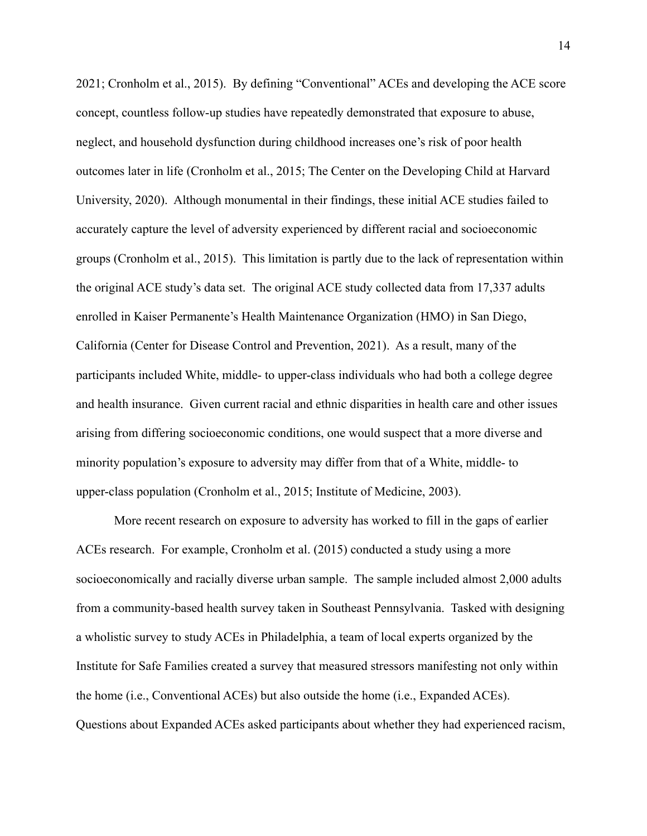2021; Cronholm et al., 2015). By defining "Conventional" ACEs and developing the ACE score concept, countless follow-up studies have repeatedly demonstrated that exposure to abuse, neglect, and household dysfunction during childhood increases one's risk of poor health outcomes later in life (Cronholm et al., 2015; The Center on the Developing Child at Harvard University, 2020). Although monumental in their findings, these initial ACE studies failed to accurately capture the level of adversity experienced by different racial and socioeconomic groups (Cronholm et al., 2015). This limitation is partly due to the lack of representation within the original ACE study's data set. The original ACE study collected data from 17,337 adults enrolled in Kaiser Permanente's Health Maintenance Organization (HMO) in San Diego, California (Center for Disease Control and Prevention, 2021). As a result, many of the participants included White, middle- to upper-class individuals who had both a college degree and health insurance. Given current racial and ethnic disparities in health care and other issues arising from differing socioeconomic conditions, one would suspect that a more diverse and minority population's exposure to adversity may differ from that of a White, middle- to upper-class population (Cronholm et al., 2015; Institute of Medicine, 2003).

More recent research on exposure to adversity has worked to fill in the gaps of earlier ACEs research. For example, Cronholm et al. (2015) conducted a study using a more socioeconomically and racially diverse urban sample. The sample included almost 2,000 adults from a community-based health survey taken in Southeast Pennsylvania. Tasked with designing a wholistic survey to study ACEs in Philadelphia, a team of local experts organized by the Institute for Safe Families created a survey that measured stressors manifesting not only within the home (i.e., Conventional ACEs) but also outside the home (i.e., Expanded ACEs). Questions about Expanded ACEs asked participants about whether they had experienced racism,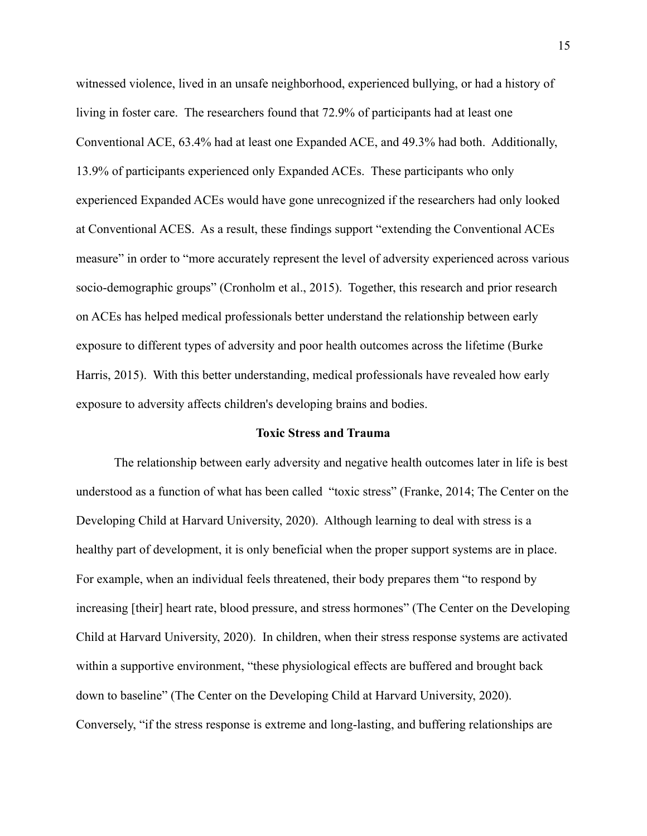witnessed violence, lived in an unsafe neighborhood, experienced bullying, or had a history of living in foster care. The researchers found that 72.9% of participants had at least one Conventional ACE, 63.4% had at least one Expanded ACE, and 49.3% had both. Additionally, 13.9% of participants experienced only Expanded ACEs. These participants who only experienced Expanded ACEs would have gone unrecognized if the researchers had only looked at Conventional ACES. As a result, these findings support "extending the Conventional ACEs" measure" in order to "more accurately represent the level of adversity experienced across various socio-demographic groups" (Cronholm et al., 2015). Together, this research and prior research on ACEs has helped medical professionals better understand the relationship between early exposure to different types of adversity and poor health outcomes across the lifetime (Burke) Harris, 2015). With this better understanding, medical professionals have revealed how early exposure to adversity affects children's developing brains and bodies.

#### **Toxic Stress and Trauma**

The relationship between early adversity and negative health outcomes later in life is best understood as a function of what has been called "toxic stress" (Franke, 2014; The Center on the Developing Child at Harvard University, 2020). Although learning to deal with stress is a healthy part of development, it is only beneficial when the proper support systems are in place. For example, when an individual feels threatened, their body prepares them "to respond by increasing [their] heart rate, blood pressure, and stress hormones" (The Center on the Developing Child at Harvard University, 2020). In children, when their stress response systems are activated within a supportive environment, "these physiological effects are buffered and brought back down to baseline" (The Center on the Developing Child at Harvard University, 2020). Conversely, "if the stress response is extreme and long-lasting, and buffering relationships are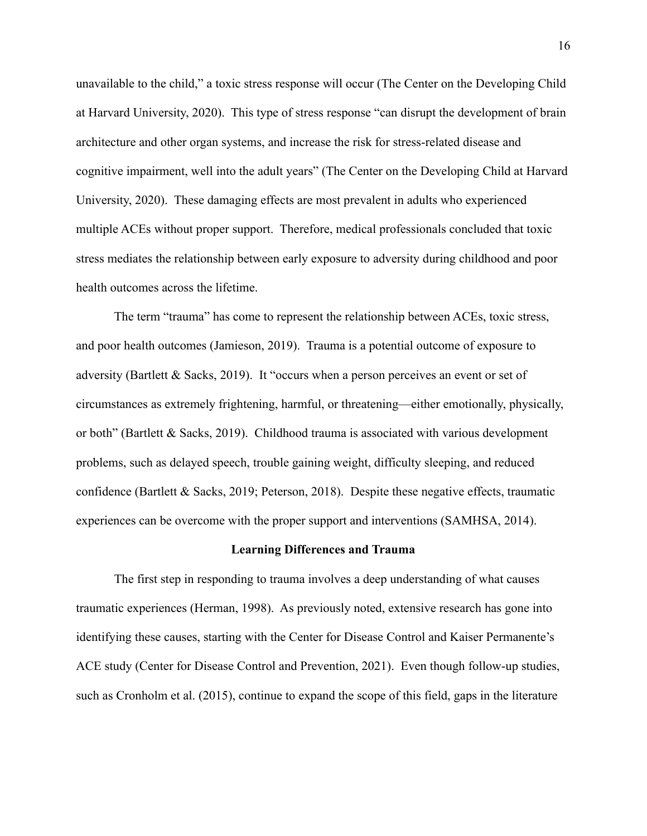unavailable to the child," a toxic stress response will occur (The Center on the Developing Child at Harvard University, 2020). This type of stress response "can disrupt the development of brain architecture and other organ systems, and increase the risk for stress-related disease and cognitive impairment, well into the adult years" (The Center on the Developing Child at Harvard University, 2020). These damaging effects are most prevalent in adults who experienced multiple ACEs without proper support. Therefore, medical professionals concluded that toxic stress mediates the relationship between early exposure to adversity during childhood and poor health outcomes across the lifetime.

The term "trauma" has come to represent the relationship between ACEs, toxic stress, and poor health outcomes (Jamieson, 2019). Trauma is a potential outcome of exposure to adversity (Bartlett & Sacks, 2019). It "occurs when a person perceives an event or set of circumstances as extremely frightening, harmful, or threatening—either emotionally, physically, or both" (Bartlett & Sacks, 2019). Childhood trauma is associated with various development problems, such as delayed speech, trouble gaining weight, difficulty sleeping, and reduced confidence (Bartlett & Sacks, 2019; Peterson, 2018). Despite these negative effects, traumatic experiences can be overcome with the proper support and interventions (SAMHSA, 2014).

#### **Learning Differences and Trauma**

The first step in responding to trauma involves a deep understanding of what causes traumatic experiences (Herman, 1998). As previously noted, extensive research has gone into identifying these causes, starting with the Center for Disease Control and Kaiser Permanente's ACE study (Center for Disease Control and Prevention, 2021). Even though follow-up studies, such as Cronholm et al. (2015), continue to expand the scope of this field, gaps in the literature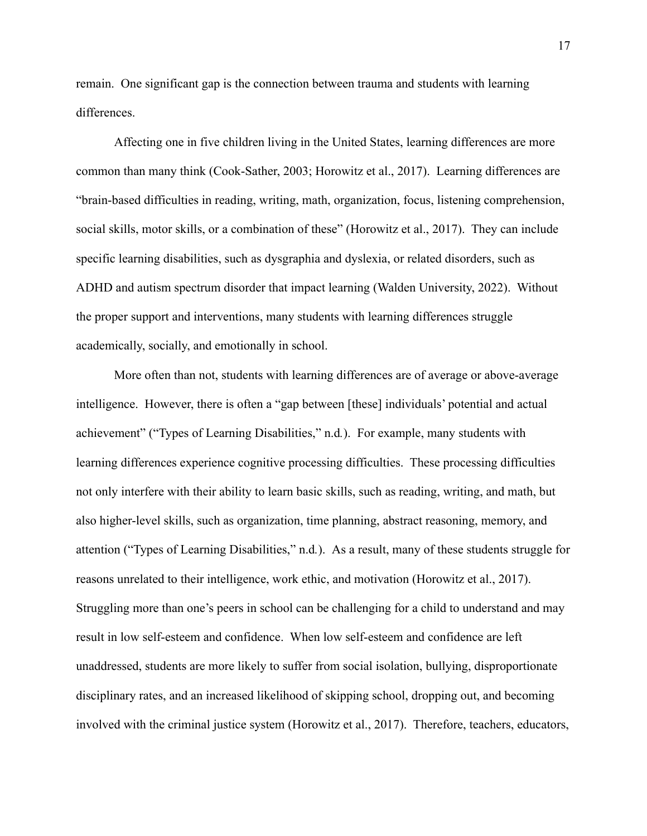remain. One significant gap is the connection between trauma and students with learning differences.

Affecting one in five children living in the United States, learning differences are more common than many think (Cook-Sather, 2003; Horowitz et al., 2017). Learning differences are "brain-based difficulties in reading, writing, math, organization, focus, listening comprehension, social skills, motor skills, or a combination of these" (Horowitz et al., 2017). They can include specific learning disabilities, such as dysgraphia and dyslexia, or related disorders, such as ADHD and autism spectrum disorder that impact learning (Walden University, 2022). Without the proper support and interventions, many students with learning differences struggle academically, socially, and emotionally in school.

More often than not, students with learning differences are of average or above-average intelligence. However, there is often a "gap between [these] individuals' potential and actual achievement" ("Types of Learning Disabilities," n.d.). For example, many students with learning differences experience cognitive processing difficulties. These processing difficulties not only interfere with their ability to learn basic skills, such as reading, writing, and math, but also higher-level skills, such as organization, time planning, abstract reasoning, memory, and attention ("Types of Learning Disabilities," n.d.). As a result, many of these students struggle for reasons unrelated to their intelligence, work ethic, and motivation (Horowitz et al., 2017). Struggling more than one's peers in school can be challenging for a child to understand and may result in low self-esteem and confidence. When low self-esteem and confidence are left unaddressed, students are more likely to suffer from social isolation, bullying, disproportionate disciplinary rates, and an increased likelihood of skipping school, dropping out, and becoming involved with the criminal justice system (Horowitz et al., 2017). Therefore, teachers, educators,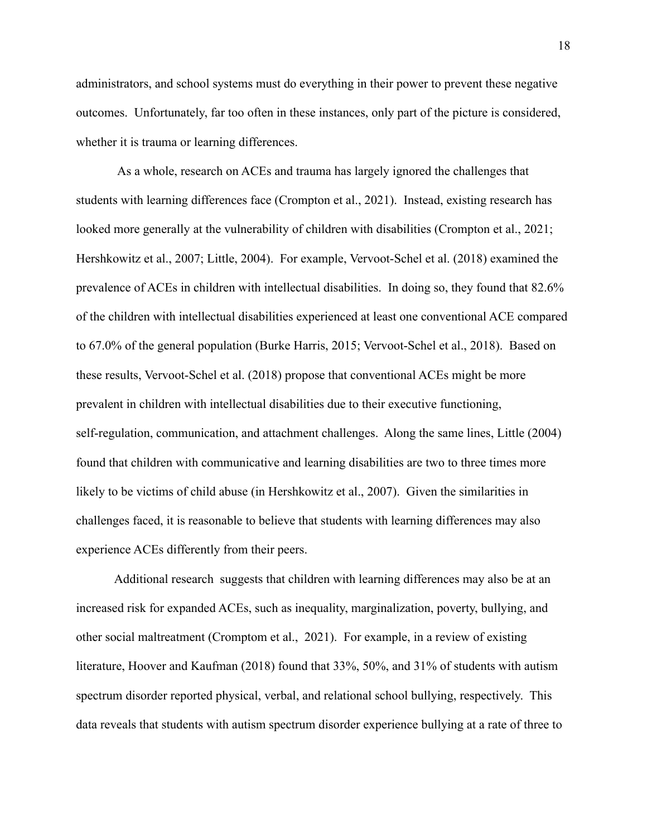administrators, and school systems must do everything in their power to prevent these negative outcomes. Unfortunately, far too often in these instances, only part of the picture is considered, whether it is trauma or learning differences.

As a whole, research on ACEs and trauma has largely ignored the challenges that students with learning differences face (Crompton et al., 2021). Instead, existing research has looked more generally at the vulnerability of children with disabilities (Crompton et al., 2021; Hershkowitz et al., 2007; Little, 2004). For example, Vervoot-Schel et al. (2018) examined the prevalence of ACEs in children with intellectual disabilities. In doing so, they found that 82.6% of the children with intellectual disabilities experienced at least one conventional ACE compared to 67.0% of the general population (Burke Harris, 2015; Vervoot-Schel et al., 2018). Based on these results, Vervoot-Schel et al. (2018) propose that conventional ACEs might be more prevalent in children with intellectual disabilities due to their executive functioning, self-regulation, communication, and attachment challenges. Along the same lines, Little (2004) found that children with communicative and learning disabilities are two to three times more likely to be victims of child abuse (in Hershkowitz et al., 2007). Given the similarities in challenges faced, it is reasonable to believe that students with learning differences may also experience ACEs differently from their peers.

Additional research suggests that children with learning differences may also be at an increased risk for expanded ACEs, such as inequality, marginalization, poverty, bullying, and other social maltreatment (Cromptom et al., 2021). For example, in a review of existing literature, Hoover and Kaufman (2018) found that 33%, 50%, and 31% of students with autism spectrum disorder reported physical, verbal, and relational school bullying, respectively. This data reveals that students with autism spectrum disorder experience bullying at a rate of three to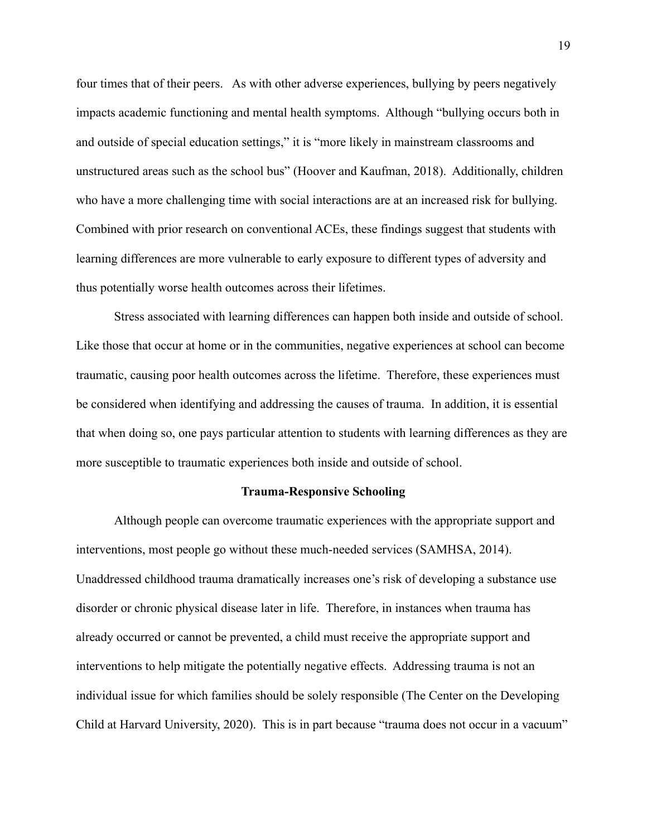four times that of their peers. As with other adverse experiences, bullying by peers negatively impacts academic functioning and mental health symptoms. Although "bullying occurs both in and outside of special education settings," it is "more likely in mainstream classrooms and unstructured areas such as the school bus" (Hoover and Kaufman, 2018). Additionally, children who have a more challenging time with social interactions are at an increased risk for bullying. Combined with prior research on conventional ACEs, these findings suggest that students with learning differences are more vulnerable to early exposure to different types of adversity and thus potentially worse health outcomes across their lifetimes.

Stress associated with learning differences can happen both inside and outside of school. Like those that occur at home or in the communities, negative experiences at school can become traumatic, causing poor health outcomes across the lifetime. Therefore, these experiences must be considered when identifying and addressing the causes of trauma. In addition, it is essential that when doing so, one pays particular attention to students with learning differences as they are more susceptible to traumatic experiences both inside and outside of school.

#### **Trauma-Responsive Schooling**

Although people can overcome traumatic experiences with the appropriate support and interventions, most people go without these much-needed services (SAMHSA, 2014). Unaddressed childhood trauma dramatically increases one's risk of developing a substance use disorder or chronic physical disease later in life. Therefore, in instances when trauma has already occurred or cannot be prevented, a child must receive the appropriate support and interventions to help mitigate the potentially negative effects. Addressing trauma is not an individual issue for which families should be solely responsible (The Center on the Developing Child at Harvard University, 2020). This is in part because "trauma does not occur in a vacuum"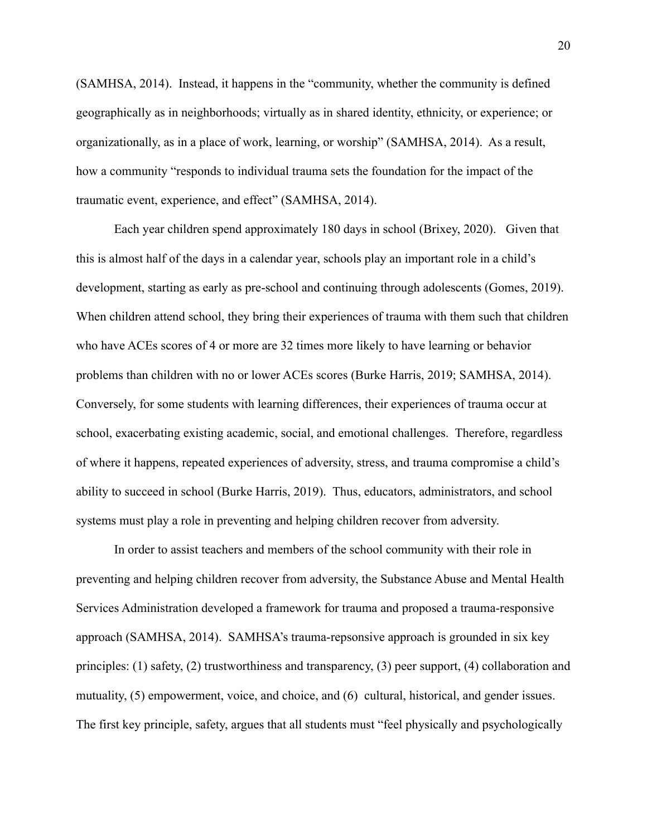(SAMHSA, 2014). Instead, it happens in the "community, whether the community is defined geographically as in neighborhoods; virtually as in shared identity, ethnicity, or experience; or organizationally, as in a place of work, learning, or worship" (SAMHSA, 2014). As a result, how a community "responds to individual trauma sets the foundation for the impact of the traumatic event, experience, and effect" (SAMHSA, 2014).

Each year children spend approximately 180 days in school (Brixey, 2020). Given that this is almost half of the days in a calendar year, schools play an important role in a child's development, starting as early as pre-school and continuing through adolescents (Gomes, 2019). When children attend school, they bring their experiences of trauma with them such that children who have ACEs scores of 4 or more are 32 times more likely to have learning or behavior problems than children with no or lower ACEs scores (Burke Harris, 2019; SAMHSA, 2014). Conversely, for some students with learning differences, their experiences of trauma occur at school, exacerbating existing academic, social, and emotional challenges. Therefore, regardless of where it happens, repeated experiences of adversity, stress, and trauma compromise a child's ability to succeed in school (Burke Harris, 2019). Thus, educators, administrators, and school systems must play a role in preventing and helping children recover from adversity.

In order to assist teachers and members of the school community with their role in preventing and helping children recover from adversity, the Substance Abuse and Mental Health Services Administration developed a framework for trauma and proposed a trauma-responsive approach (SAMHSA, 2014). SAMHSA's trauma-repsonsive approach is grounded in six key principles: (1) safety, (2) trustworthiness and transparency, (3) peer support, (4) collaboration and mutuality, (5) empowerment, voice, and choice, and (6) cultural, historical, and gender issues. The first key principle, safety, argues that all students must "feel physically and psychologically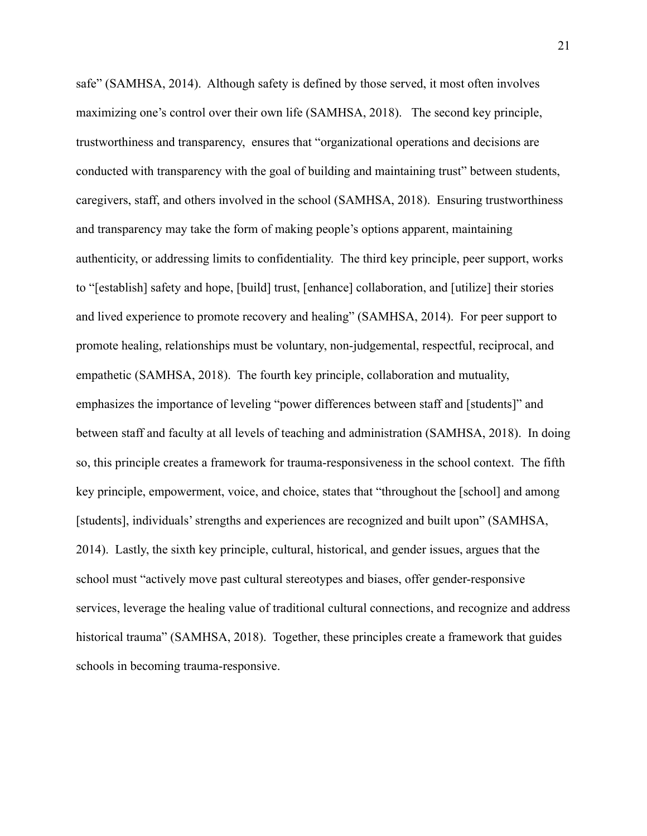safe" (SAMHSA, 2014). Although safety is defined by those served, it most often involves maximizing one's control over their own life (SAMHSA, 2018). The second key principle, trustworthiness and transparency, ensures that "organizational operations and decisions are conducted with transparency with the goal of building and maintaining trust" between students, caregivers, staff, and others involved in the school (SAMHSA, 2018). Ensuring trustworthiness and transparency may take the form of making people's options apparent, maintaining authenticity, or addressing limits to confidentiality. The third key principle, peer support, works to "[establish] safety and hope, [build] trust, [enhance] collaboration, and [utilize] their stories and lived experience to promote recovery and healing" (SAMHSA, 2014). For peer support to promote healing, relationships must be voluntary, non-judgemental, respectful, reciprocal, and empathetic (SAMHSA, 2018). The fourth key principle, collaboration and mutuality, emphasizes the importance of leveling "power differences between staff and [students]" and between staff and faculty at all levels of teaching and administration (SAMHSA, 2018). In doing so, this principle creates a framework for trauma-responsiveness in the school context. The fifth key principle, empowerment, voice, and choice, states that "throughout the [school] and among [students], individuals' strengths and experiences are recognized and built upon" (SAMHSA, 2014). Lastly, the sixth key principle, cultural, historical, and gender issues, argues that the school must "actively move past cultural stereotypes and biases, offer gender-responsive services, leverage the healing value of traditional cultural connections, and recognize and address historical trauma" (SAMHSA, 2018). Together, these principles create a framework that guides schools in becoming trauma-responsive.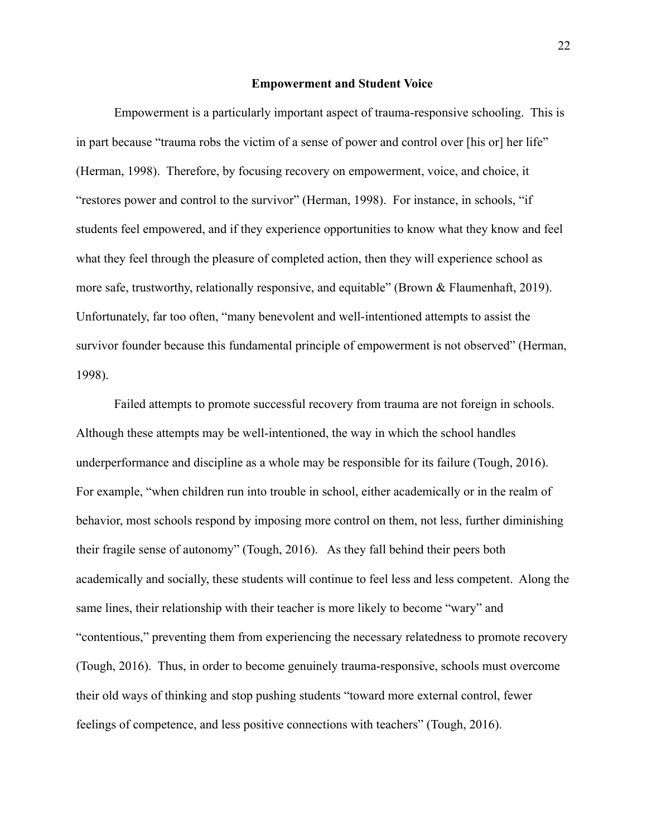#### **Empowerment and Student Voice**

Empowerment is a particularly important aspect of trauma-responsive schooling. This is in part because "trauma robs the victim of a sense of power and control over [his or] her life" (Herman, 1998). Therefore, by focusing recovery on empowerment, voice, and choice, it "restores power and control to the survivor" (Herman, 1998). For instance, in schools, "if students feel empowered, and if they experience opportunities to know what they know and feel what they feel through the pleasure of completed action, then they will experience school as more safe, trustworthy, relationally responsive, and equitable" (Brown & Flaumenhaft, 2019). Unfortunately, far too often, "many benevolent and well-intentioned attempts to assist the survivor founder because this fundamental principle of empowerment is not observed" (Herman, 1998).

Failed attempts to promote successful recovery from trauma are not foreign in schools. Although these attempts may be well-intentioned, the way in which the school handles underperformance and discipline as a whole may be responsible for its failure (Tough, 2016). For example, "when children run into trouble in school, either academically or in the realm of behavior, most schools respond by imposing more control on them, not less, further diminishing their fragile sense of autonomy" (Tough, 2016). As they fall behind their peers both academically and socially, these students will continue to feel less and less competent. Along the same lines, their relationship with their teacher is more likely to become "wary" and "contentious," preventing them from experiencing the necessary relatedness to promote recovery (Tough, 2016). Thus, in order to become genuinely trauma-responsive, schools must overcome their old ways of thinking and stop pushing students "toward more external control, fewer feelings of competence, and less positive connections with teachers" (Tough, 2016).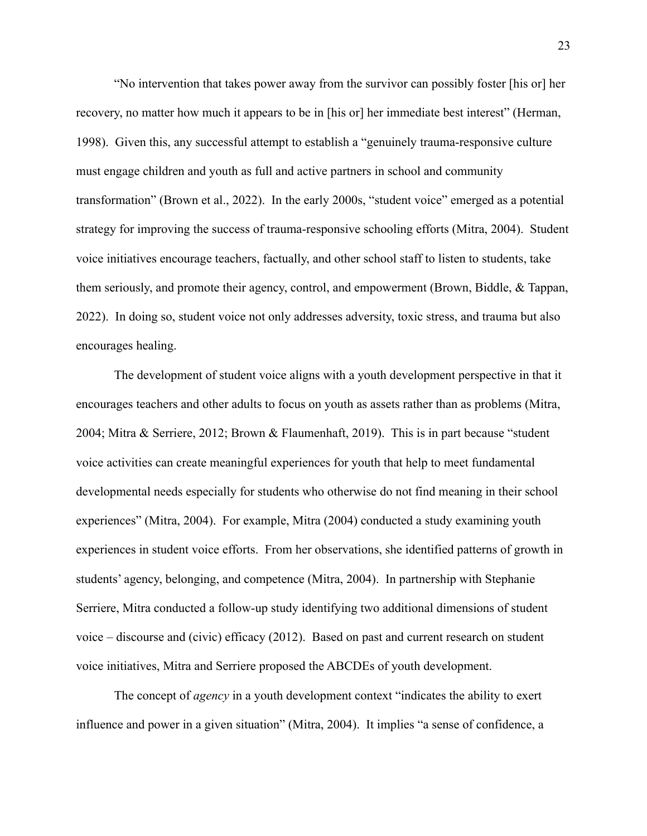"No intervention that takes power away from the survivor can possibly foster [his or] her recovery, no matter how much it appears to be in [his or] her immediate best interest" (Herman, 1998). Given this, any successful attempt to establish a "genuinely trauma-responsive culture" must engage children and youth as full and active partners in school and community transformation" (Brown et al., 2022). In the early 2000s, "student voice" emerged as a potential strategy for improving the success of trauma-responsive schooling efforts (Mitra, 2004). Student voice initiatives encourage teachers, factually, and other school staff to listen to students, take them seriously, and promote their agency, control, and empowerment (Brown, Biddle, & Tappan, 2022). In doing so, student voice not only addresses adversity, toxic stress, and trauma but also encourages healing.

The development of student voice aligns with a youth development perspective in that it encourages teachers and other adults to focus on youth as assets rather than as problems (Mitra, 2004; Mitra & Serriere, 2012; Brown & Flaumenhaft, 2019). This is in part because "student" voice activities can create meaningful experiences for youth that help to meet fundamental developmental needs especially for students who otherwise do not find meaning in their school experiences" (Mitra, 2004). For example, Mitra (2004) conducted a study examining youth experiences in student voice efforts. From her observations, she identified patterns of growth in students' agency, belonging, and competence (Mitra, 2004). In partnership with Stephanie Serriere, Mitra conducted a follow-up study identifying two additional dimensions of student voice – discourse and (civic) efficacy (2012). Based on past and current research on student voice initiatives, Mitra and Serriere proposed the ABCDEs of youth development.

The concept of *agency* in a youth development context "indicates the ability to exert influence and power in a given situation" (Mitra, 2004). It implies "a sense of confidence, a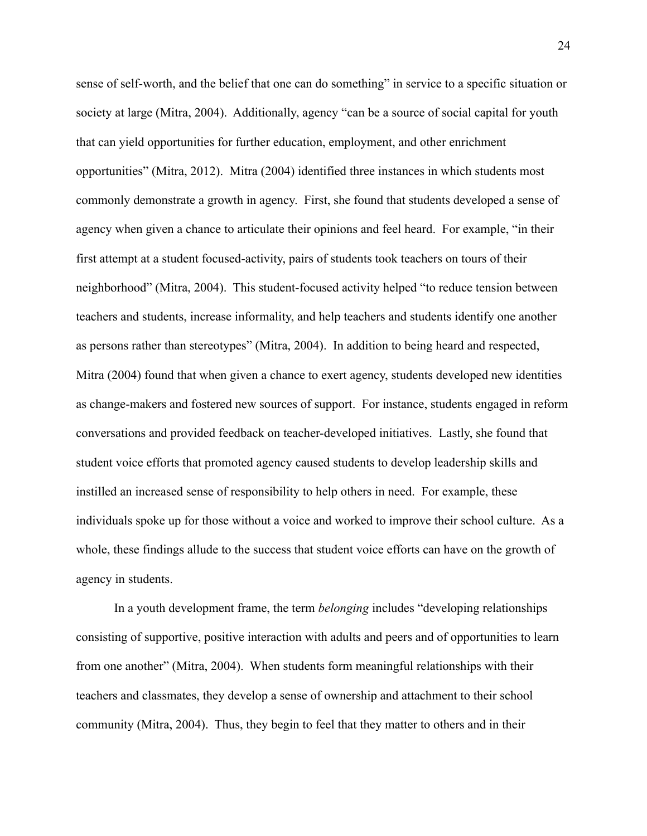sense of self-worth, and the belief that one can do something" in service to a specific situation or society at large (Mitra, 2004). Additionally, agency "can be a source of social capital for youth that can yield opportunities for further education, employment, and other enrichment opportunities" (Mitra, 2012). Mitra (2004) identified three instances in which students most commonly demonstrate a growth in agency. First, she found that students developed a sense of agency when given a chance to articulate their opinions and feel heard. For example, "in their first attempt at a student focused-activity, pairs of students took teachers on tours of their neighborhood" (Mitra, 2004). This student-focused activity helped "to reduce tension between teachers and students, increase informality, and help teachers and students identify one another as persons rather than stereotypes" (Mitra, 2004). In addition to being heard and respected, Mitra (2004) found that when given a chance to exert agency, students developed new identities as change-makers and fostered new sources of support. For instance, students engaged in reform conversations and provided feedback on teacher-developed initiatives. Lastly, she found that student voice efforts that promoted agency caused students to develop leadership skills and instilled an increased sense of responsibility to help others in need. For example, these individuals spoke up for those without a voice and worked to improve their school culture. As a whole, these findings allude to the success that student voice efforts can have on the growth of agency in students.

In a youth development frame, the term *belonging* includes "developing relationships" consisting of supportive, positive interaction with adults and peers and of opportunities to learn from one another" (Mitra, 2004). When students form meaningful relationships with their teachers and classmates, they develop a sense of ownership and attachment to their school community (Mitra, 2004). Thus, they begin to feel that they matter to others and in their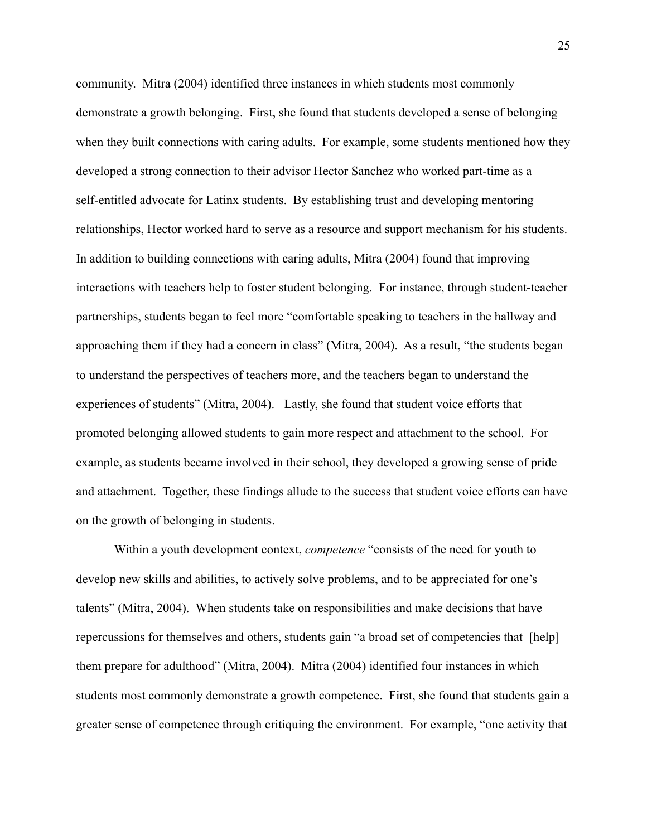community. Mitra (2004) identified three instances in which students most commonly demonstrate a growth belonging. First, she found that students developed a sense of belonging when they built connections with caring adults. For example, some students mentioned how they developed a strong connection to their advisor Hector Sanchez who worked part-time as a self-entitled advocate for Latinx students. By establishing trust and developing mentoring relationships, Hector worked hard to serve as a resource and support mechanism for his students. In addition to building connections with caring adults, Mitra (2004) found that improving interactions with teachers help to foster student belonging. For instance, through student-teacher partnerships, students began to feel more "comfortable speaking to teachers in the hallway and approaching them if they had a concern in class" (Mitra, 2004). As a result, "the students began to understand the perspectives of teachers more, and the teachers began to understand the experiences of students" (Mitra, 2004). Lastly, she found that student voice efforts that promoted belonging allowed students to gain more respect and attachment to the school. For example, as students became involved in their school, they developed a growing sense of pride and attachment. Together, these findings allude to the success that student voice efforts can have on the growth of belonging in students.

Within a youth development context, *competence* "consists of the need for youth to develop new skills and abilities, to actively solve problems, and to be appreciated for one's talents" (Mitra, 2004). When students take on responsibilities and make decisions that have repercussions for themselves and others, students gain "a broad set of competencies that [help] them prepare for adulthood" (Mitra, 2004). Mitra (2004) identified four instances in which students most commonly demonstrate a growth competence. First, she found that students gain a greater sense of competence through critiquing the environment. For example, "one activity that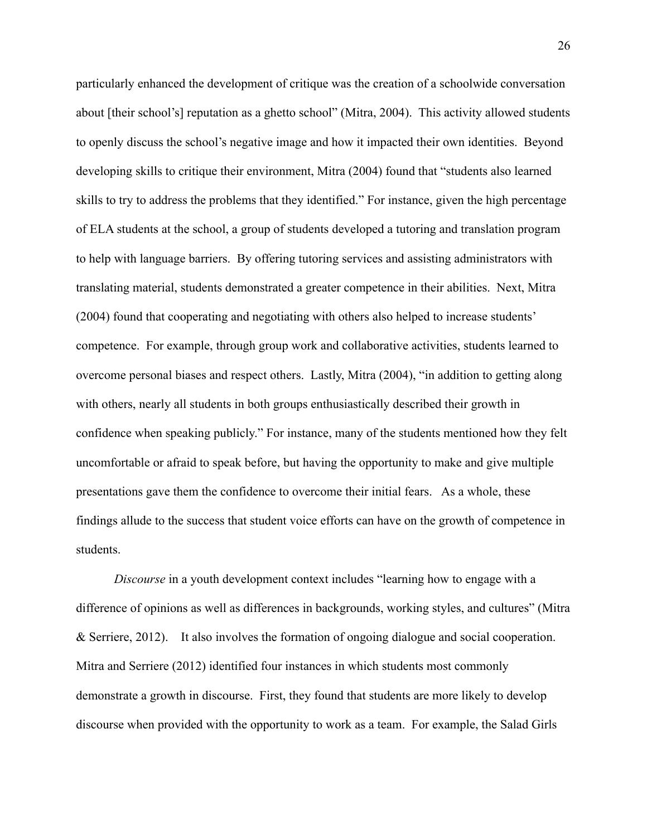particularly enhanced the development of critique was the creation of a schoolwide conversation about [their school's] reputation as a ghetto school" (Mitra, 2004). This activity allowed students to openly discuss the school's negative image and how it impacted their own identities. Beyond developing skills to critique their environment, Mitra (2004) found that "students also learned skills to try to address the problems that they identified." For instance, given the high percentage of ELA students at the school, a group of students developed a tutoring and translation program to help with language barriers. By offering tutoring services and assisting administrators with translating material, students demonstrated a greater competence in their abilities. Next, Mitra (2004) found that cooperating and negotiating with others also helped to increase students' competence. For example, through group work and collaborative activities, students learned to overcome personal biases and respect others. Lastly, Mitra (2004), "in addition to getting along with others, nearly all students in both groups enthusiastically described their growth in confidence when speaking publicly." For instance, many of the students mentioned how they felt uncomfortable or afraid to speak before, but having the opportunity to make and give multiple presentations gave them the confidence to overcome their initial fears. As a whole, these findings allude to the success that student voice efforts can have on the growth of competence in students.

Discourse in a youth development context includes "learning how to engage with a difference of opinions as well as differences in backgrounds, working styles, and cultures" (Mitra  $\&$  Serriere, 2012). It also involves the formation of ongoing dialogue and social cooperation. Mitra and Serriere (2012) identified four instances in which students most commonly demonstrate a growth in discourse. First, they found that students are more likely to develop discourse when provided with the opportunity to work as a team. For example, the Salad Girls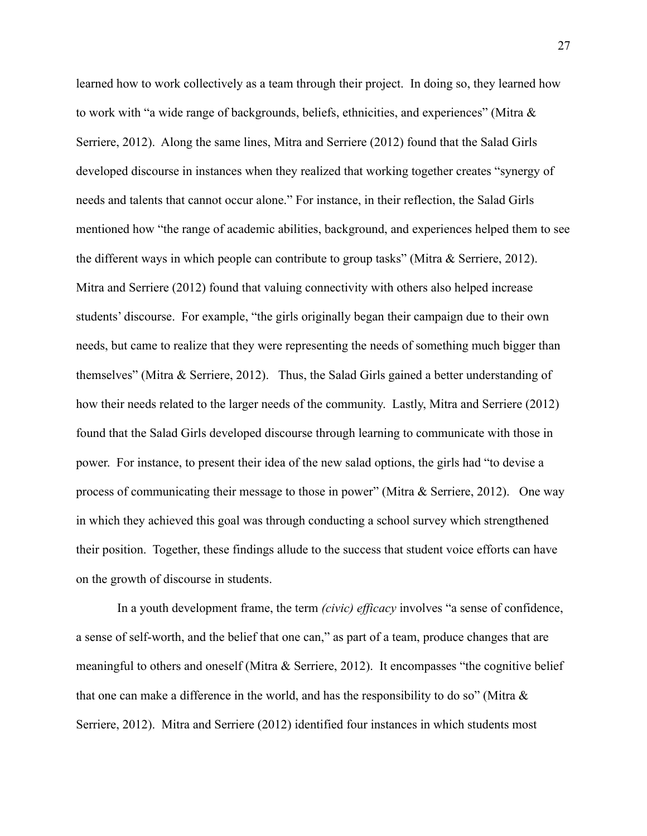learned how to work collectively as a team through their project. In doing so, they learned how to work with "a wide range of backgrounds, beliefs, ethnicities, and experiences" (Mitra & Serriere, 2012). Along the same lines, Mitra and Serriere (2012) found that the Salad Girls developed discourse in instances when they realized that working together creates "synergy of needs and talents that cannot occur alone." For instance, in their reflection, the Salad Girls mentioned how "the range of academic abilities, background, and experiences helped them to see the different ways in which people can contribute to group tasks" (Mitra & Serriere, 2012). Mitra and Serriere (2012) found that valuing connectivity with others also helped increase students' discourse. For example, "the girls originally began their campaign due to their own needs, but came to realize that they were representing the needs of something much bigger than themselves" (Mitra & Serriere, 2012). Thus, the Salad Girls gained a better understanding of how their needs related to the larger needs of the community. Lastly, Mitra and Serriere (2012) found that the Salad Girls developed discourse through learning to communicate with those in power. For instance, to present their idea of the new salad options, the girls had "to devise a process of communicating their message to those in power" (Mitra & Serriere, 2012). One way in which they achieved this goal was through conducting a school survey which strengthened their position. Together, these findings allude to the success that student voice efforts can have on the growth of discourse in students.

In a youth development frame, the term *(civic) efficacy* involves "a sense of confidence, a sense of self-worth, and the belief that one can," as part of a team, produce changes that are meaningful to others and oneself (Mitra & Serriere, 2012). It encompasses "the cognitive belief" that one can make a difference in the world, and has the responsibility to do so" (Mitra  $\&$ Serriere, 2012). Mitra and Serriere (2012) identified four instances in which students most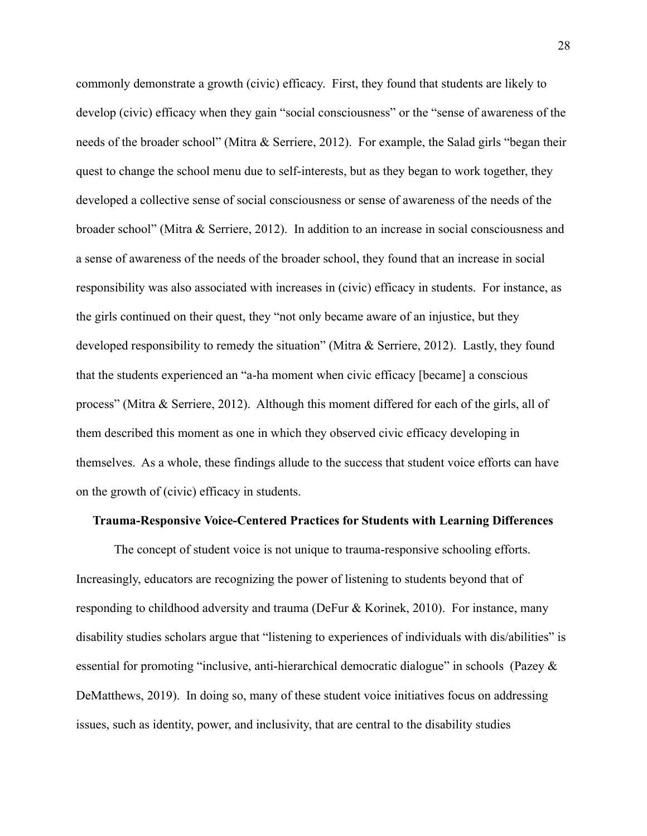commonly demonstrate a growth (civic) efficacy. First, they found that students are likely to develop (civic) efficacy when they gain "social consciousness" or the "sense of awareness of the needs of the broader school" (Mitra & Serriere, 2012). For example, the Salad girls "began their quest to change the school menu due to self-interests, but as they began to work together, they developed a collective sense of social consciousness or sense of awareness of the needs of the broader school" (Mitra & Serriere, 2012). In addition to an increase in social consciousness and a sense of awareness of the needs of the broader school, they found that an increase in social responsibility was also associated with increases in (civic) efficacy in students. For instance, as the girls continued on their quest, they "not only became aware of an injustice, but they developed responsibility to remedy the situation" (Mitra & Serriere, 2012). Lastly, they found that the students experienced an "a-ha moment when civic efficacy [became] a conscious process" (Mitra & Serriere, 2012). Although this moment differed for each of the girls, all of them described this moment as one in which they observed civic efficacy developing in themselves. As a whole, these findings allude to the success that student voice efforts can have on the growth of (civic) efficacy in students.

#### **Trauma-Responsive Voice-Centered Practices for Students with Learning Differences**

The concept of student voice is not unique to trauma-responsive schooling efforts. Increasingly, educators are recognizing the power of listening to students beyond that of responding to childhood adversity and trauma (DeFur & Korinek, 2010). For instance, many disability studies scholars argue that "listening to experiences of individuals with dis/abilities" is essential for promoting "inclusive, anti-hierarchical democratic dialogue" in schools (Pazey  $\&$ DeMatthews, 2019). In doing so, many of these student voice initiatives focus on addressing issues, such as identity, power, and inclusivity, that are central to the disability studies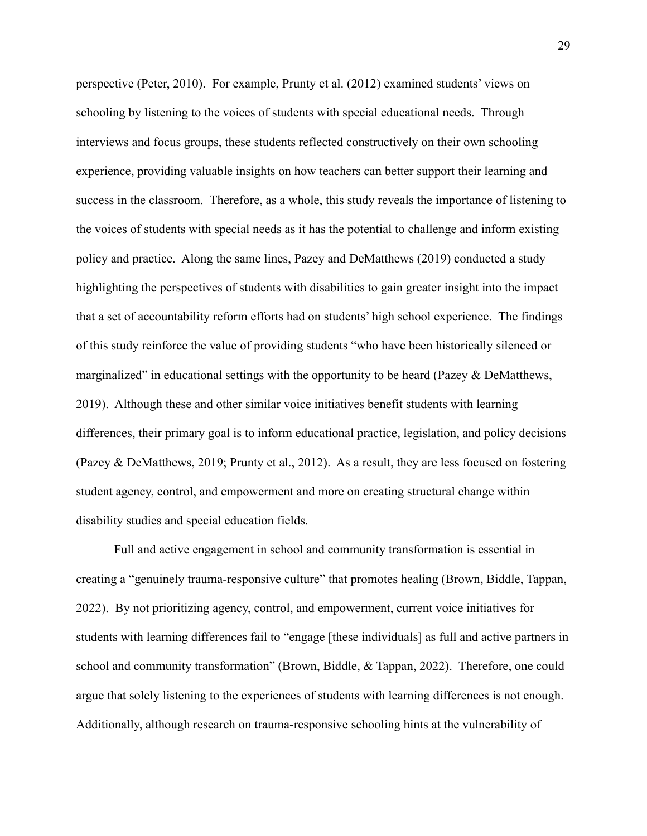perspective (Peter, 2010). For example, Prunty et al. (2012) examined students' views on schooling by listening to the voices of students with special educational needs. Through interviews and focus groups, these students reflected constructively on their own schooling experience, providing valuable insights on how teachers can better support their learning and success in the classroom. Therefore, as a whole, this study reveals the importance of listening to the voices of students with special needs as it has the potential to challenge and inform existing policy and practice. Along the same lines, Pazey and DeMatthews (2019) conducted a study highlighting the perspectives of students with disabilities to gain greater insight into the impact that a set of accountability reform efforts had on students' high school experience. The findings of this study reinforce the value of providing students "who have been historically silenced or marginalized" in educational settings with the opportunity to be heard (Pazey & DeMatthews, 2019). Although these and other similar voice initiatives benefit students with learning differences, their primary goal is to inform educational practice, legislation, and policy decisions (Pazey & DeMatthews, 2019; Prunty et al., 2012). As a result, they are less focused on fostering student agency, control, and empowerment and more on creating structural change within disability studies and special education fields.

Full and active engagement in school and community transformation is essential in creating a "genuinely trauma-responsive culture" that promotes healing (Brown, Biddle, Tappan, 2022). By not prioritizing agency, control, and empowerment, current voice initiatives for students with learning differences fail to "engage [these individuals] as full and active partners in school and community transformation" (Brown, Biddle, & Tappan, 2022). Therefore, one could argue that solely listening to the experiences of students with learning differences is not enough. Additionally, although research on trauma-responsive schooling hints at the vulnerability of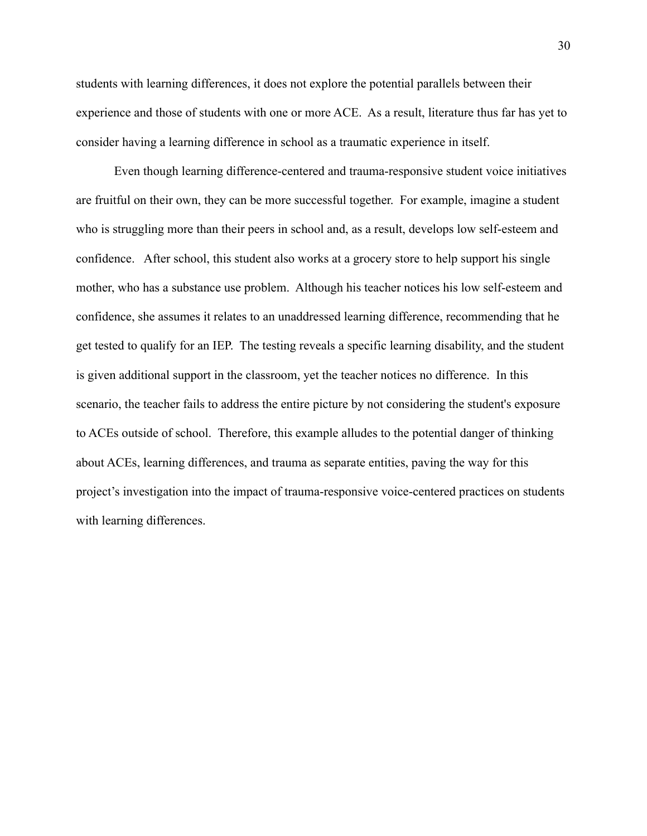students with learning differences, it does not explore the potential parallels between their experience and those of students with one or more ACE. As a result, literature thus far has yet to consider having a learning difference in school as a traumatic experience in itself.

Even though learning difference-centered and trauma-responsive student voice initiatives are fruitful on their own, they can be more successful together. For example, imagine a student who is struggling more than their peers in school and, as a result, develops low self-esteem and confidence. After school, this student also works at a grocery store to help support his single mother, who has a substance use problem. Although his teacher notices his low self-esteem and confidence, she assumes it relates to an unaddressed learning difference, recommending that he get tested to qualify for an IEP. The testing reveals a specific learning disability, and the student is given additional support in the classroom, yet the teacher notices no difference. In this scenario, the teacher fails to address the entire picture by not considering the student's exposure to ACEs outside of school. Therefore, this example alludes to the potential danger of thinking about ACEs, learning differences, and trauma as separate entities, paving the way for this project's investigation into the impact of trauma-responsive voice-centered practices on students with learning differences.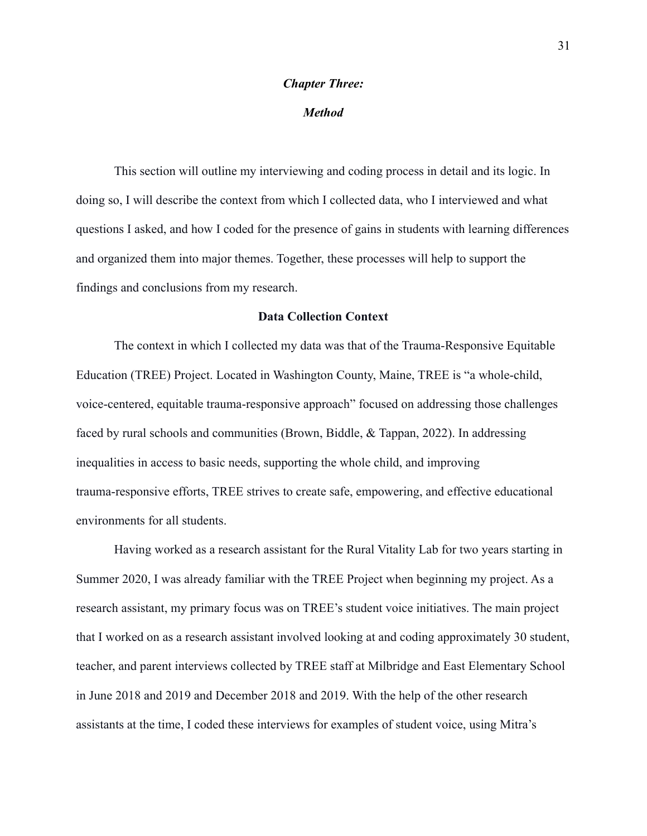# **Chapter Three:**

## **Method**

This section will outline my interviewing and coding process in detail and its logic. In doing so, I will describe the context from which I collected data, who I interviewed and what questions I asked, and how I coded for the presence of gains in students with learning differences and organized them into major themes. Together, these processes will help to support the findings and conclusions from my research.

#### **Data Collection Context**

The context in which I collected my data was that of the Trauma-Responsive Equitable Education (TREE) Project. Located in Washington County, Maine, TREE is "a whole-child, voice-centered, equitable trauma-responsive approach" focused on addressing those challenges faced by rural schools and communities (Brown, Biddle,  $\&$  Tappan, 2022). In addressing inequalities in access to basic needs, supporting the whole child, and improving trauma-responsive efforts, TREE strives to create safe, empowering, and effective educational environments for all students.

Having worked as a research assistant for the Rural Vitality Lab for two years starting in Summer 2020, I was already familiar with the TREE Project when beginning my project. As a research assistant, my primary focus was on TREE's student voice initiatives. The main project that I worked on as a research assistant involved looking at and coding approximately 30 student, teacher, and parent interviews collected by TREE staff at Milbridge and East Elementary School in June 2018 and 2019 and December 2018 and 2019. With the help of the other research assistants at the time, I coded these interviews for examples of student voice, using Mitra's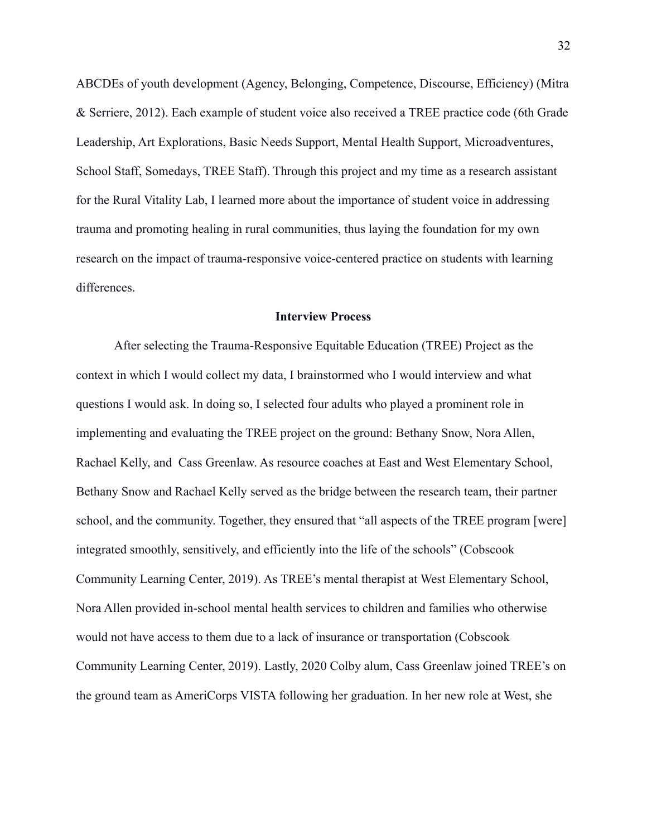ABCDEs of youth development (Agency, Belonging, Competence, Discourse, Efficiency) (Mitra & Serriere, 2012). Each example of student voice also received a TREE practice code (6th Grade Leadership, Art Explorations, Basic Needs Support, Mental Health Support, Microadventures, School Staff, Somedays, TREE Staff). Through this project and my time as a research assistant for the Rural Vitality Lab, I learned more about the importance of student voice in addressing trauma and promoting healing in rural communities, thus laying the foundation for my own research on the impact of trauma-responsive voice-centered practice on students with learning differences.

#### **Interview Process**

After selecting the Trauma-Responsive Equitable Education (TREE) Project as the context in which I would collect my data, I brainstormed who I would interview and what questions I would ask. In doing so, I selected four adults who played a prominent role in implementing and evaluating the TREE project on the ground: Bethany Snow, Nora Allen, Rachael Kelly, and Cass Greenlaw. As resource coaches at East and West Elementary School, Bethany Snow and Rachael Kelly served as the bridge between the research team, their partner school, and the community. Together, they ensured that "all aspects of the TREE program [were] integrated smoothly, sensitively, and efficiently into the life of the schools" (Cobscook Community Learning Center, 2019). As TREE's mental therapist at West Elementary School, Nora Allen provided in-school mental health services to children and families who otherwise would not have access to them due to a lack of insurance or transportation (Cobscook Community Learning Center, 2019). Lastly, 2020 Colby alum, Cass Greenlaw joined TREE's on the ground team as AmeriCorps VISTA following her graduation. In her new role at West, she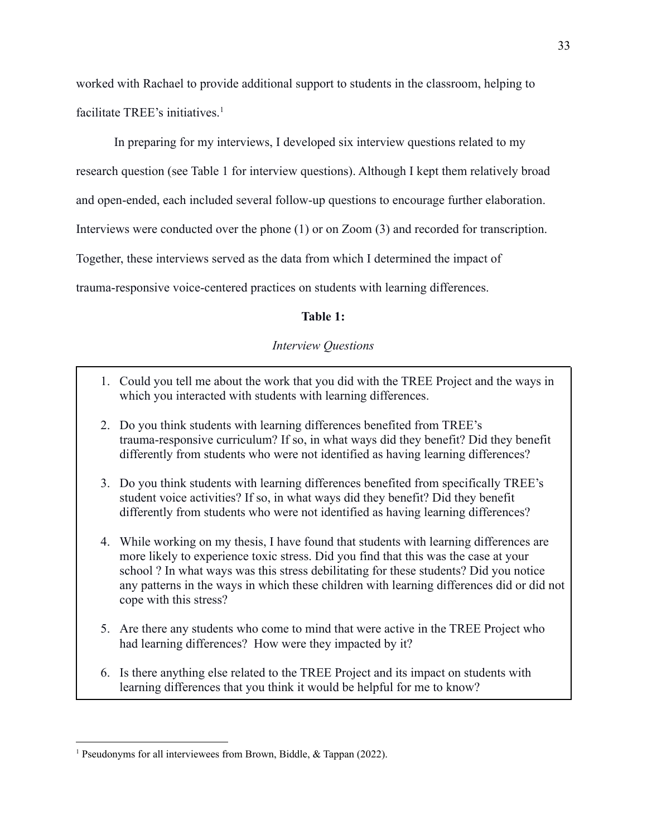worked with Rachael to provide additional support to students in the classroom, helping to facilitate TREE's initiatives.<sup>1</sup>

In preparing for my interviews, I developed six interview questions related to my

research question (see Table 1 for interview questions). Although I kept them relatively broad

and open-ended, each included several follow-up questions to encourage further elaboration.

Interviews were conducted over the phone  $(1)$  or on Zoom  $(3)$  and recorded for transcription.

Together, these interviews served as the data from which I determined the impact of

trauma-responsive voice-centered practices on students with learning differences.

# Table 1:

# **Interview Questions**

- 1. Could you tell me about the work that you did with the TREE Project and the ways in which you interacted with students with learning differences.
- 2. Do you think students with learning differences benefited from TREE's trauma-responsive curriculum? If so, in what ways did they benefit? Did they benefit differently from students who were not identified as having learning differences?
- 3. Do you think students with learning differences benefited from specifically TREE's student voice activities? If so, in what ways did they benefit? Did they benefit differently from students who were not identified as having learning differences?
- 4. While working on my thesis, I have found that students with learning differences are more likely to experience toxic stress. Did you find that this was the case at your school? In what ways was this stress debilitating for these students? Did you notice any patterns in the ways in which these children with learning differences did or did not cope with this stress?
- 5. Are there any students who come to mind that were active in the TREE Project who had learning differences? How were they impacted by it?
- 6. Is there anything else related to the TREE Project and its impact on students with learning differences that you think it would be helpful for me to know?

<sup>&</sup>lt;sup>1</sup> Pseudonyms for all interviewees from Brown, Biddle,  $\&$  Tappan (2022).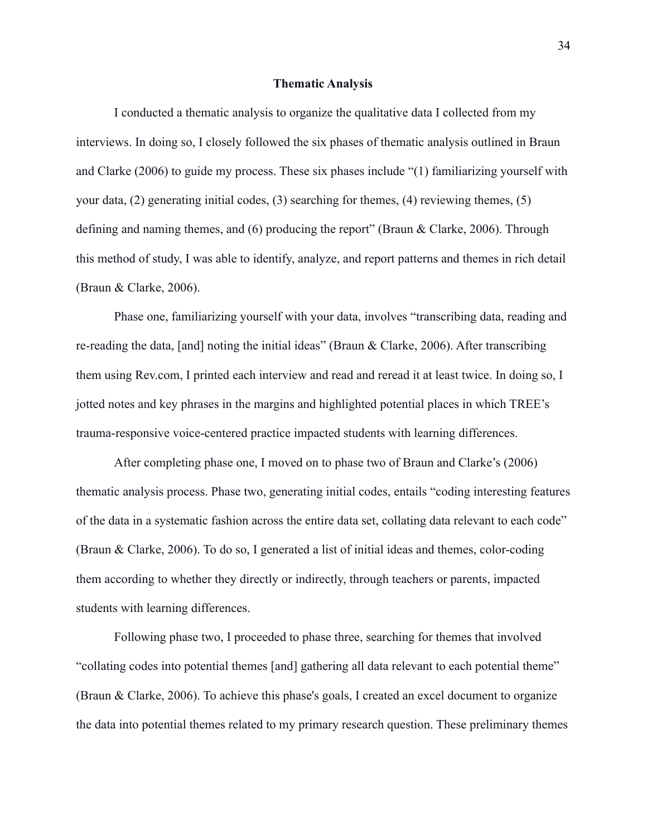#### **Thematic Analysis**

I conducted a thematic analysis to organize the qualitative data I collected from my interviews. In doing so, I closely followed the six phases of the matic analysis outlined in Braun and Clarke (2006) to guide my process. These six phases include "(1) familiarizing yourself with your data,  $(2)$  generating initial codes,  $(3)$  searching for themes,  $(4)$  reviewing themes,  $(5)$ defining and naming themes, and  $(6)$  producing the report" (Braun & Clarke, 2006). Through this method of study, I was able to identify, analyze, and report patterns and themes in rich detail (Braun  $&$  Clarke, 2006).

Phase one, familiarizing yourself with your data, involves "transcribing data, reading and re-reading the data, [and] noting the initial ideas" (Braun & Clarke, 2006). After transcribing them using Rev.com, I printed each interview and read and reread it at least twice. In doing so, I jotted notes and key phrases in the margins and highlighted potential places in which TREE's trauma-responsive voice-centered practice impacted students with learning differences.

After completing phase one, I moved on to phase two of Braun and Clarke's (2006) thematic analysis process. Phase two, generating initial codes, entails "coding interesting features" of the data in a systematic fashion across the entire data set, collating data relevant to each code" (Braun & Clarke, 2006). To do so, I generated a list of initial ideas and themes, color-coding them according to whether they directly or indirectly, through teachers or parents, impacted students with learning differences.

Following phase two, I proceeded to phase three, searching for themes that involved "collating codes into potential themes [and] gathering all data relevant to each potential theme" (Braun & Clarke, 2006). To achieve this phase's goals, I created an excel document to organize the data into potential themes related to my primary research question. These preliminary themes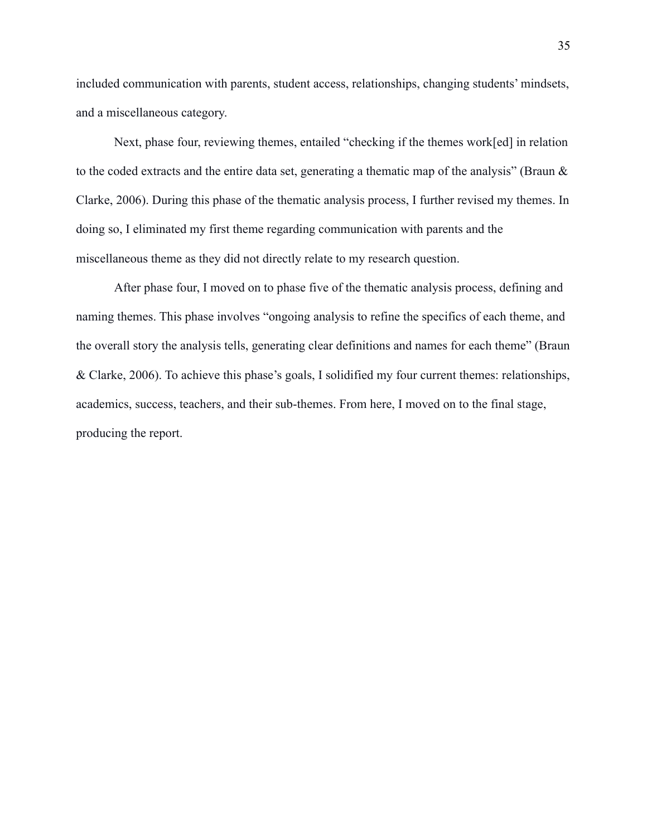included communication with parents, student access, relationships, changing students' mindsets, and a miscellaneous category.

Next, phase four, reviewing themes, entailed "checking if the themes work[ed] in relation to the coded extracts and the entire data set, generating a thematic map of the analysis" (Braun & Clarke, 2006). During this phase of the thematic analysis process, I further revised my themes. In doing so, I eliminated my first theme regarding communication with parents and the miscellaneous theme as they did not directly relate to my research question.

After phase four, I moved on to phase five of the thematic analysis process, defining and naming themes. This phase involves "ongoing analysis to refine the specifics of each theme, and the overall story the analysis tells, generating clear definitions and names for each theme" (Braun & Clarke, 2006). To achieve this phase's goals, I solidified my four current themes: relationships, academics, success, teachers, and their sub-themes. From here, I moved on to the final stage, producing the report.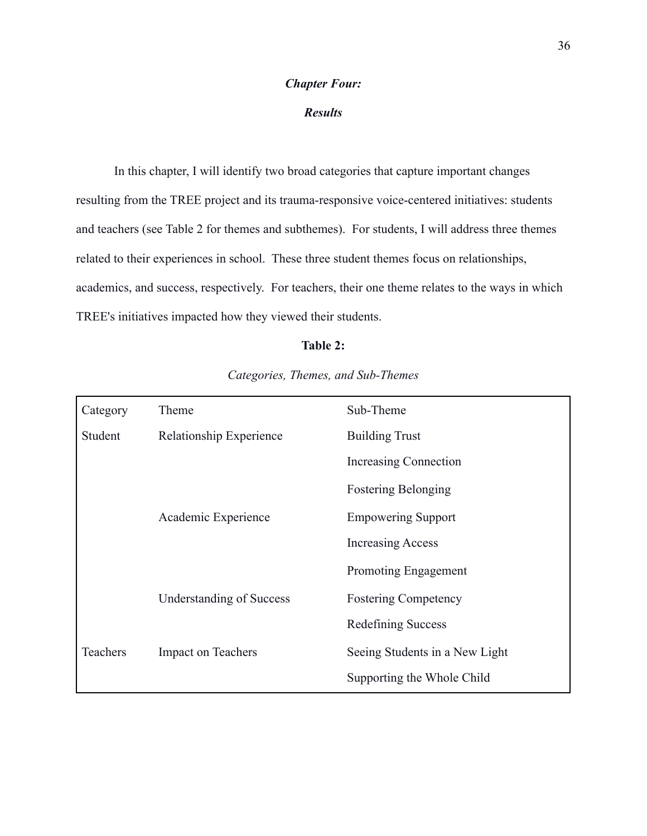## **Chapter Four:**

# **Results**

In this chapter, I will identify two broad categories that capture important changes resulting from the TREE project and its trauma-responsive voice-centered initiatives: students and teachers (see Table 2 for themes and subthemes). For students, I will address three themes related to their experiences in school. These three student themes focus on relationships, academics, and success, respectively. For teachers, their one theme relates to the ways in which TREE's initiatives impacted how they viewed their students.

# Table 2:

| Category | Theme                           | Sub-Theme                      |
|----------|---------------------------------|--------------------------------|
| Student  | Relationship Experience         | <b>Building Trust</b>          |
|          |                                 | Increasing Connection          |
|          |                                 | <b>Fostering Belonging</b>     |
|          | Academic Experience             | <b>Empowering Support</b>      |
|          |                                 | <b>Increasing Access</b>       |
|          |                                 | Promoting Engagement           |
|          | <b>Understanding of Success</b> | <b>Fostering Competency</b>    |
|          |                                 | Redefining Success             |
| Teachers | <b>Impact on Teachers</b>       | Seeing Students in a New Light |
|          |                                 | Supporting the Whole Child     |

# Categories, Themes, and Sub-Themes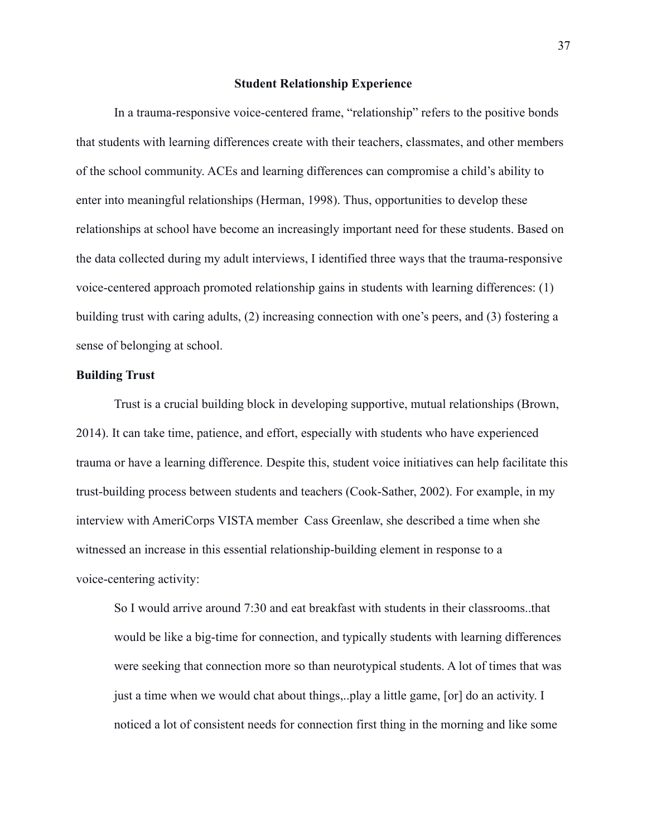#### **Student Relationship Experience**

In a trauma-responsive voice-centered frame, "relationship" refers to the positive bonds that students with learning differences create with their teachers, classmates, and other members of the school community. ACEs and learning differences can compromise a child's ability to enter into meaningful relationships (Herman, 1998). Thus, opportunities to develop these relationships at school have become an increasingly important need for these students. Based on the data collected during my adult interviews, I identified three ways that the trauma-responsive voice-centered approach promoted relationship gains in students with learning differences: (1) building trust with caring adults, (2) increasing connection with one's peers, and (3) fostering a sense of belonging at school.

# **Building Trust**

Trust is a crucial building block in developing supportive, mutual relationships (Brown, 2014). It can take time, patience, and effort, especially with students who have experienced trauma or have a learning difference. Despite this, student voice initiatives can help facilitate this trust-building process between students and teachers (Cook-Sather, 2002). For example, in my interview with AmeriCorps VISTA member Cass Greenlaw, she described a time when she witnessed an increase in this essential relationship-building element in response to a voice-centering activity:

So I would arrive around 7:30 and eat breakfast with students in their classrooms..that would be like a big-time for connection, and typically students with learning differences were seeking that connection more so than neurotypical students. A lot of times that was just a time when we would chat about things,...play a little game, [or] do an activity. I noticed a lot of consistent needs for connection first thing in the morning and like some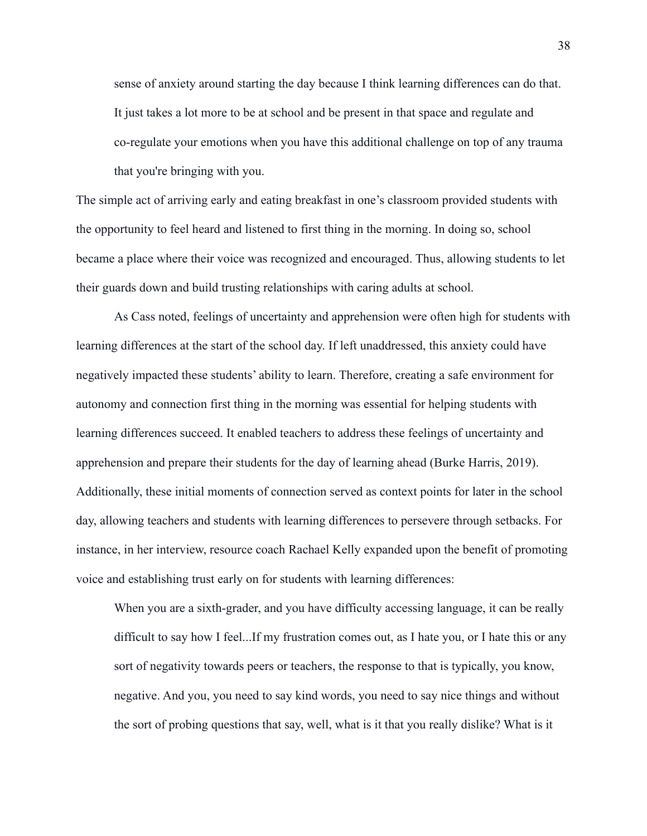sense of anxiety around starting the day because I think learning differences can do that. It just takes a lot more to be at school and be present in that space and regulate and co-regulate your emotions when you have this additional challenge on top of any trauma that you're bringing with you.

The simple act of arriving early and eating breakfast in one's classroom provided students with the opportunity to feel heard and listened to first thing in the morning. In doing so, school became a place where their voice was recognized and encouraged. Thus, allowing students to let their guards down and build trusting relationships with caring adults at school.

As Cass noted, feelings of uncertainty and apprehension were often high for students with learning differences at the start of the school day. If left unaddressed, this anxiety could have negatively impacted these students' ability to learn. Therefore, creating a safe environment for autonomy and connection first thing in the morning was essential for helping students with learning differences succeed. It enabled teachers to address these feelings of uncertainty and apprehension and prepare their students for the day of learning ahead (Burke Harris, 2019). Additionally, these initial moments of connection served as context points for later in the school day, allowing teachers and students with learning differences to persevere through setbacks. For instance, in her interview, resource coach Rachael Kelly expanded upon the benefit of promoting voice and establishing trust early on for students with learning differences:

When you are a sixth-grader, and you have difficulty accessing language, it can be really difficult to say how I feel...If my frustration comes out, as I hate you, or I hate this or any sort of negativity towards peers or teachers, the response to that is typically, you know, negative. And you, you need to say kind words, you need to say nice things and without the sort of probing questions that say, well, what is it that you really dislike? What is it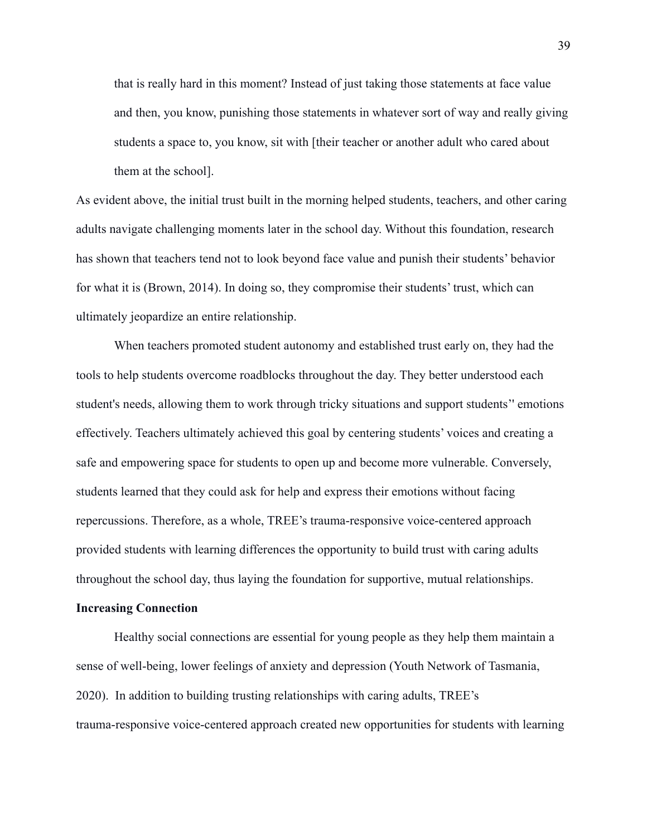that is really hard in this moment? Instead of just taking those statements at face value and then, you know, punishing those statements in whatever sort of way and really giving students a space to, you know, sit with [their teacher or another adult who cared about them at the school].

As evident above, the initial trust built in the morning helped students, teachers, and other caring adults navigate challenging moments later in the school day. Without this foundation, research has shown that teachers tend not to look beyond face value and punish their students' behavior for what it is (Brown, 2014). In doing so, they compromise their students' trust, which can ultimately jeopardize an entire relationship.

When teachers promoted student autonomy and established trust early on, they had the tools to help students overcome roadblocks throughout the day. They better understood each student's needs, allowing them to work through tricky situations and support students' emotions effectively. Teachers ultimately achieved this goal by centering students' voices and creating a safe and empowering space for students to open up and become more vulnerable. Conversely, students learned that they could ask for help and express their emotions without facing repercussions. Therefore, as a whole, TREE's trauma-responsive voice-centered approach provided students with learning differences the opportunity to build trust with caring adults throughout the school day, thus laying the foundation for supportive, mutual relationships.

## **Increasing Connection**

Healthy social connections are essential for young people as they help them maintain a sense of well-being, lower feelings of anxiety and depression (Youth Network of Tasmania, 2020). In addition to building trusting relationships with caring adults, TREE's trauma-responsive voice-centered approach created new opportunities for students with learning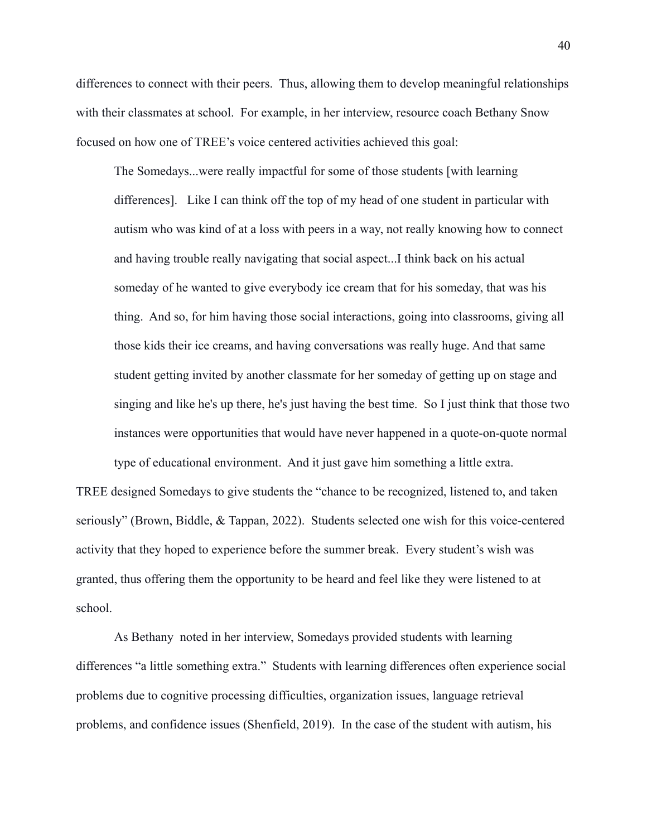differences to connect with their peers. Thus, allowing them to develop meaningful relationships with their classmates at school. For example, in her interview, resource coach Bethany Snow focused on how one of TREE's voice centered activities achieved this goal:

The Somedays...were really impactful for some of those students [with learning] differences]. Like I can think off the top of my head of one student in particular with autism who was kind of at a loss with peers in a way, not really knowing how to connect and having trouble really navigating that social aspect...I think back on his actual someday of he wanted to give everybody ice cream that for his someday, that was his thing. And so, for him having those social interactions, going into classrooms, giving all those kids their ice creams, and having conversations was really huge. And that same student getting invited by another classmate for her someday of getting up on stage and singing and like he's up there, he's just having the best time. So I just think that those two instances were opportunities that would have never happened in a quote-on-quote normal

TREE designed Somedays to give students the "chance to be recognized, listened to, and taken seriously" (Brown, Biddle, & Tappan, 2022). Students selected one wish for this voice-centered activity that they hoped to experience before the summer break. Every student's wish was granted, thus offering them the opportunity to be heard and feel like they were listened to at school.

type of educational environment. And it just gave him something a little extra.

As Bethany noted in her interview, Somedays provided students with learning differences "a little something extra." Students with learning differences often experience social problems due to cognitive processing difficulties, organization issues, language retrieval problems, and confidence issues (Shenfield, 2019). In the case of the student with autism, his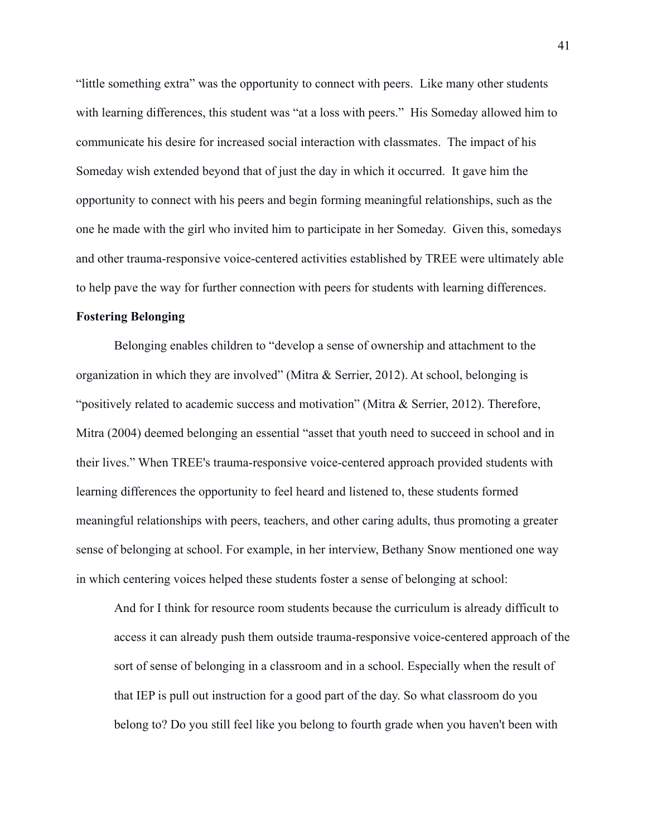"little something extra" was the opportunity to connect with peers. Like many other students with learning differences, this student was "at a loss with peers." His Someday allowed him to communicate his desire for increased social interaction with classmates. The impact of his Someday wish extended beyond that of just the day in which it occurred. It gave him the opportunity to connect with his peers and begin forming meaningful relationships, such as the one he made with the girl who invited him to participate in her Someday. Given this, somedays and other trauma-responsive voice-centered activities established by TREE were ultimately able to help pave the way for further connection with peers for students with learning differences.

# **Fostering Belonging**

Belonging enables children to "develop a sense of ownership and attachment to the organization in which they are involved" (Mitra  $\&$  Serrier, 2012). At school, belonging is "positively related to academic success and motivation" (Mitra & Serrier, 2012). Therefore, Mitra (2004) deemed belonging an essential "asset that youth need to succeed in school and in their lives." When TREE's trauma-responsive voice-centered approach provided students with learning differences the opportunity to feel heard and listened to, these students formed meaningful relationships with peers, teachers, and other caring adults, thus promoting a greater sense of belonging at school. For example, in her interview, Bethany Snow mentioned one way in which centering voices helped these students foster a sense of belonging at school:

And for I think for resource room students because the curriculum is already difficult to access it can already push them outside trauma-responsive voice-centered approach of the sort of sense of belonging in a classroom and in a school. Especially when the result of that IEP is pull out instruction for a good part of the day. So what classroom do you belong to? Do you still feel like you belong to fourth grade when you haven't been with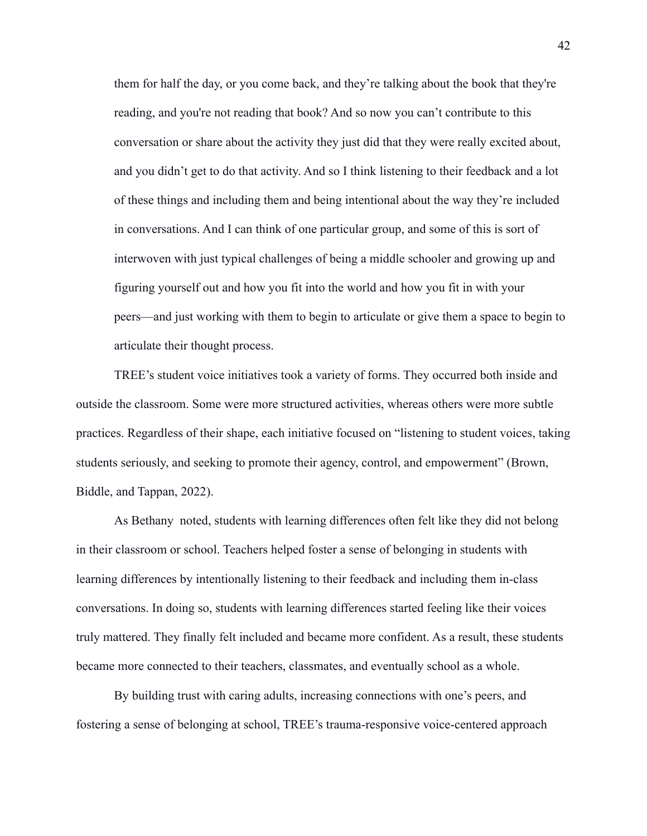them for half the day, or you come back, and they're talking about the book that they're reading, and you're not reading that book? And so now you can't contribute to this conversation or share about the activity they just did that they were really excited about, and you didn't get to do that activity. And so I think listening to their feedback and a lot of these things and including them and being intentional about the way they're included in conversations. And I can think of one particular group, and some of this is sort of interwoven with just typical challenges of being a middle schooler and growing up and figuring yourself out and how you fit into the world and how you fit in with your peers—and just working with them to begin to articulate or give them a space to begin to articulate their thought process.

TREE's student voice initiatives took a variety of forms. They occurred both inside and outside the classroom. Some were more structured activities, whereas others were more subtle practices. Regardless of their shape, each initiative focused on "listening to student voices, taking students seriously, and seeking to promote their agency, control, and empowerment" (Brown, Biddle, and Tappan, 2022).

As Bethany noted, students with learning differences often felt like they did not belong in their classroom or school. Teachers helped foster a sense of belonging in students with learning differences by intentionally listening to their feedback and including them in-class conversations. In doing so, students with learning differences started feeling like their voices truly mattered. They finally felt included and became more confident. As a result, these students became more connected to their teachers, classmates, and eventually school as a whole.

By building trust with caring adults, increasing connections with one's peers, and fostering a sense of belonging at school, TREE's trauma-responsive voice-centered approach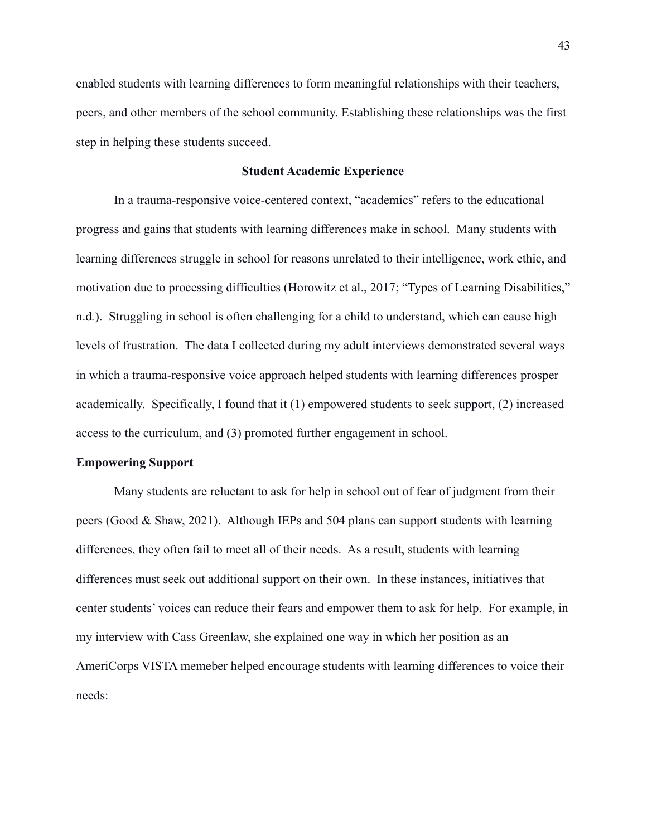enabled students with learning differences to form meaningful relationships with their teachers, peers, and other members of the school community. Establishing these relationships was the first step in helping these students succeed.

# **Student Academic Experience**

In a trauma-responsive voice-centered context, "academics" refers to the educational progress and gains that students with learning differences make in school. Many students with learning differences struggle in school for reasons unrelated to their intelligence, work ethic, and motivation due to processing difficulties (Horowitz et al., 2017; "Types of Learning Disabilities," n.d.). Struggling in school is often challenging for a child to understand, which can cause high levels of frustration. The data I collected during my adult interviews demonstrated several ways in which a trauma-responsive voice approach helped students with learning differences prosper academically. Specifically, I found that it (1) empowered students to seek support, (2) increased access to the curriculum, and (3) promoted further engagement in school.

#### **Empowering Support**

Many students are reluctant to ask for help in school out of fear of judgment from their peers (Good & Shaw, 2021). Although IEPs and 504 plans can support students with learning differences, they often fail to meet all of their needs. As a result, students with learning differences must seek out additional support on their own. In these instances, initiatives that center students' voices can reduce their fears and empower them to ask for help. For example, in my interview with Cass Greenlaw, she explained one way in which her position as an AmeriCorps VISTA memeber helped encourage students with learning differences to voice their needs: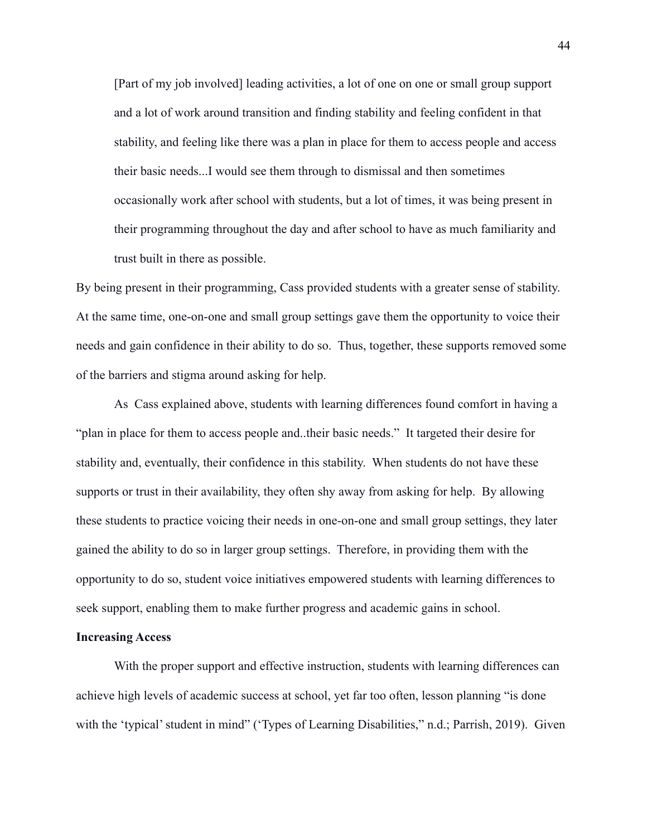[Part of my job involved] leading activities, a lot of one on one or small group support and a lot of work around transition and finding stability and feeling confident in that stability, and feeling like there was a plan in place for them to access people and access their basic needs...I would see them through to dismissal and then sometimes occasionally work after school with students, but a lot of times, it was being present in their programming throughout the day and after school to have as much familiarity and trust built in there as possible.

By being present in their programming, Cass provided students with a greater sense of stability. At the same time, one-on-one and small group settings gave them the opportunity to voice their needs and gain confidence in their ability to do so. Thus, together, these supports removed some of the barriers and stigma around asking for help.

As Cass explained above, students with learning differences found comfort in having a "plan in place for them to access people and. their basic needs." It targeted their desire for stability and, eventually, their confidence in this stability. When students do not have these supports or trust in their availability, they often shy away from asking for help. By allowing these students to practice voicing their needs in one-on-one and small group settings, they later gained the ability to do so in larger group settings. Therefore, in providing them with the opportunity to do so, student voice initiatives empowered students with learning differences to seek support, enabling them to make further progress and academic gains in school.

# **Increasing Access**

With the proper support and effective instruction, students with learning differences can achieve high levels of academic success at school, yet far too often, lesson planning "is done with the 'typical' student in mind" ('Types of Learning Disabilities," n.d.; Parrish, 2019). Given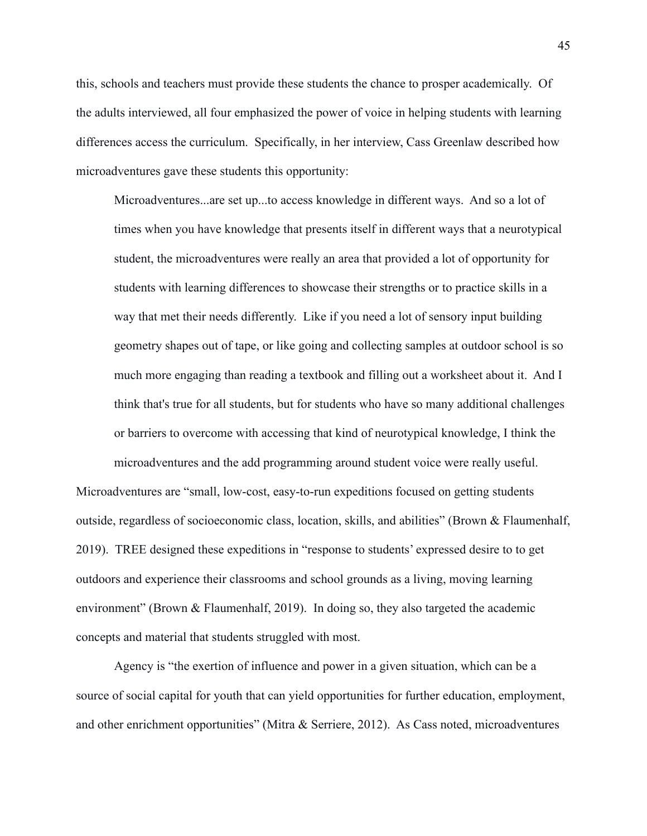this, schools and teachers must provide these students the chance to prosper academically. Of the adults interviewed, all four emphasized the power of voice in helping students with learning differences access the curriculum. Specifically, in her interview, Cass Greenlaw described how microadventures gave these students this opportunity:

Microadventures...are set up...to access knowledge in different ways. And so a lot of times when you have knowledge that presents itself in different ways that a neurotypical student, the microadventures were really an area that provided a lot of opportunity for students with learning differences to showcase their strengths or to practice skills in a way that met their needs differently. Like if you need a lot of sensory input building geometry shapes out of tape, or like going and collecting samples at outdoor school is so much more engaging than reading a textbook and filling out a worksheet about it. And I think that's true for all students, but for students who have so many additional challenges or barriers to overcome with accessing that kind of neurotypical knowledge. I think the microadventures and the add programming around student voice were really useful.

Microadventures are "small, low-cost, easy-to-run expeditions focused on getting students outside, regardless of socioeconomic class, location, skills, and abilities" (Brown & Flaumenhalf, 2019). TREE designed these expeditions in "response to students' expressed desire to to get outdoors and experience their classrooms and school grounds as a living, moving learning environment" (Brown & Flaumenhalf, 2019). In doing so, they also targeted the academic concepts and material that students struggled with most.

Agency is "the exertion of influence and power in a given situation, which can be a source of social capital for youth that can yield opportunities for further education, employment, and other enrichment opportunities" (Mitra & Serriere, 2012). As Cass noted, microadventures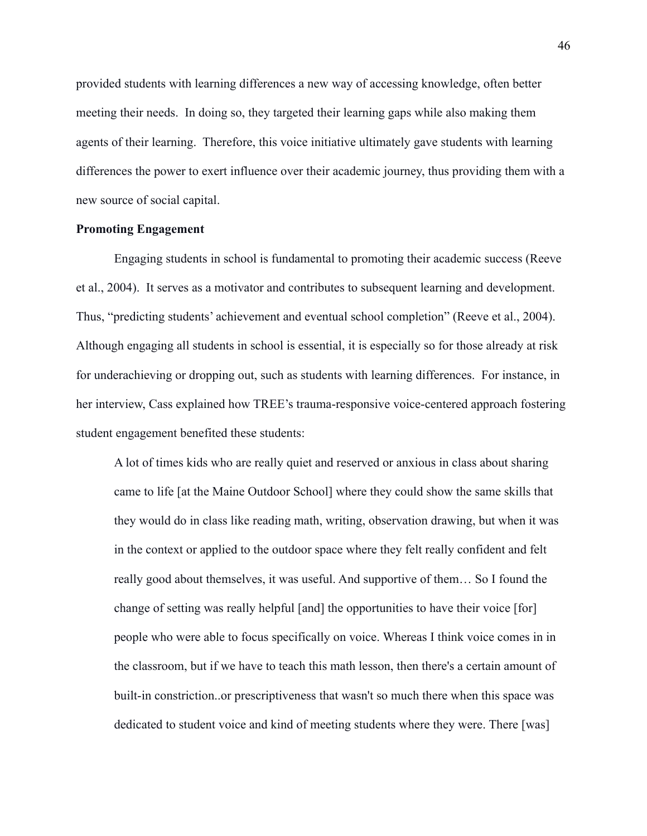provided students with learning differences a new way of accessing knowledge, often better meeting their needs. In doing so, they targeted their learning gaps while also making them agents of their learning. Therefore, this voice initiative ultimately gave students with learning differences the power to exert influence over their academic journey, thus providing them with a new source of social capital.

# **Promoting Engagement**

Engaging students in school is fundamental to promoting their academic success (Reeve et al., 2004). It serves as a motivator and contributes to subsequent learning and development. Thus, "predicting students' achievement and eventual school completion" (Reeve et al., 2004). Although engaging all students in school is essential, it is especially so for those already at risk for underachieving or dropping out, such as students with learning differences. For instance, in her interview, Cass explained how TREE's trauma-responsive voice-centered approach fostering student engagement benefited these students:

A lot of times kids who are really quiet and reserved or anxious in class about sharing came to life [at the Maine Outdoor School] where they could show the same skills that they would do in class like reading math, writing, observation drawing, but when it was in the context or applied to the outdoor space where they felt really confident and felt really good about themselves, it was useful. And supportive of them... So I found the change of setting was really helpful [and] the opportunities to have their voice [for] people who were able to focus specifically on voice. Whereas I think voice comes in in the classroom, but if we have to teach this math lesson, then there's a certain amount of built-in constriction. Or prescriptiveness that wasn't so much there when this space was dedicated to student voice and kind of meeting students where they were. There [was]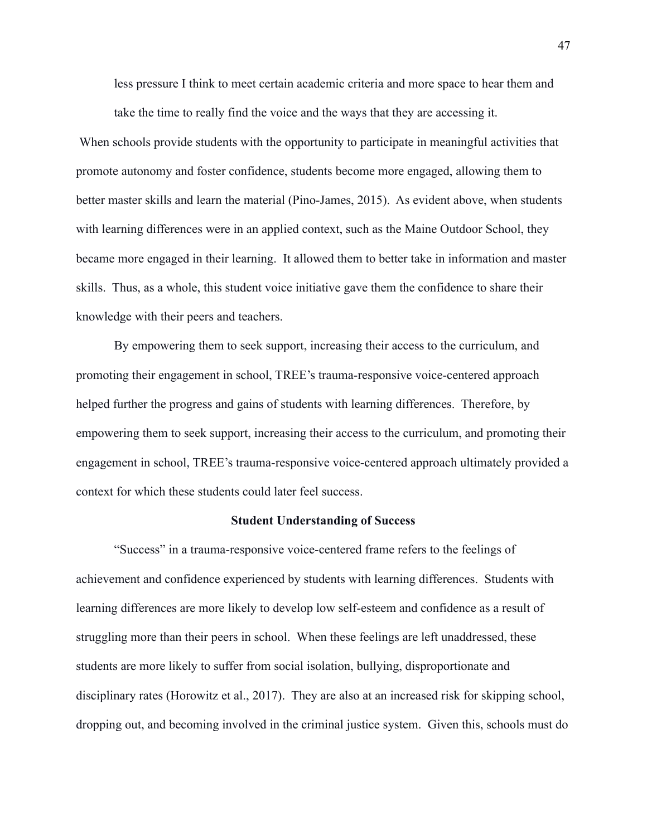less pressure I think to meet certain academic criteria and more space to hear them and take the time to really find the voice and the ways that they are accessing it.

When schools provide students with the opportunity to participate in meaningful activities that promote autonomy and foster confidence, students become more engaged, allowing them to better master skills and learn the material (Pino-James, 2015). As evident above, when students with learning differences were in an applied context, such as the Maine Outdoor School, they became more engaged in their learning. It allowed them to better take in information and master skills. Thus, as a whole, this student voice initiative gave them the confidence to share their knowledge with their peers and teachers.

By empowering them to seek support, increasing their access to the curriculum, and promoting their engagement in school, TREE's trauma-responsive voice-centered approach helped further the progress and gains of students with learning differences. Therefore, by empowering them to seek support, increasing their access to the curriculum, and promoting their engagement in school, TREE's trauma-responsive voice-centered approach ultimately provided a context for which these students could later feel success.

#### **Student Understanding of Success**

"Success" in a trauma-responsive voice-centered frame refers to the feelings of achievement and confidence experienced by students with learning differences. Students with learning differences are more likely to develop low self-esteem and confidence as a result of struggling more than their peers in school. When these feelings are left unaddressed, these students are more likely to suffer from social isolation, bullying, disproportionate and disciplinary rates (Horowitz et al., 2017). They are also at an increased risk for skipping school, dropping out, and becoming involved in the criminal justice system. Given this, schools must do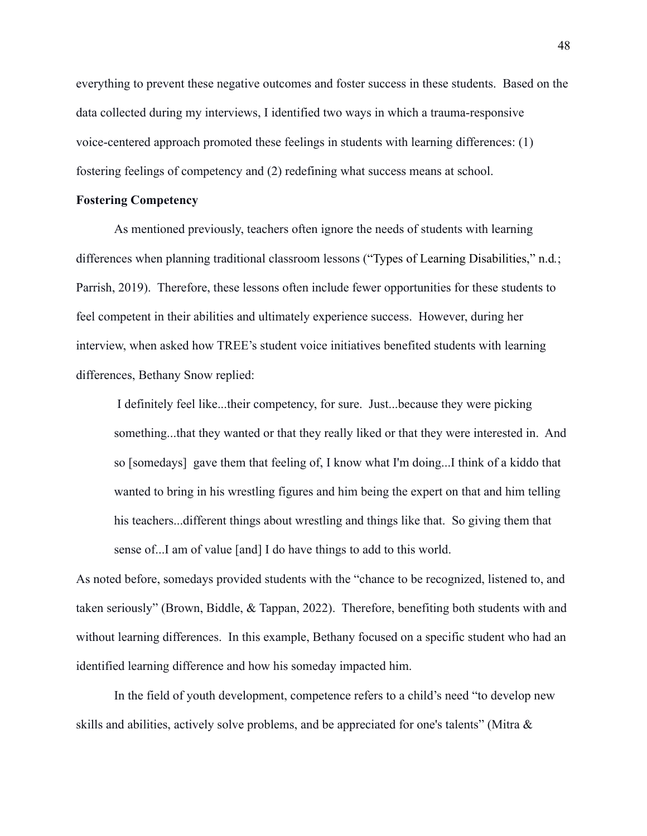everything to prevent these negative outcomes and foster success in these students. Based on the data collected during my interviews, I identified two ways in which a trauma-responsive voice-centered approach promoted these feelings in students with learning differences: (1) fostering feelings of competency and (2) redefining what success means at school.

# **Fostering Competency**

As mentioned previously, teachers often ignore the needs of students with learning differences when planning traditional classroom lessons ("Types of Learning Disabilities," n.d.; Parrish, 2019). Therefore, these lessons often include fewer opportunities for these students to feel competent in their abilities and ultimately experience success. However, during her interview, when asked how TREE's student voice initiatives benefited students with learning differences, Bethany Snow replied:

I definitely feel like...their competency, for sure. Just...because they were picking something...that they wanted or that they really liked or that they were interested in. And so [somedays] gave them that feeling of, I know what I'm doing...I think of a kiddo that wanted to bring in his wrestling figures and him being the expert on that and him telling his teachers... different things about wrestling and things like that. So giving them that sense of...I am of value [and] I do have things to add to this world.

As noted before, somedays provided students with the "chance to be recognized, listened to, and taken seriously" (Brown, Biddle, & Tappan, 2022). Therefore, benefiting both students with and without learning differences. In this example, Bethany focused on a specific student who had an identified learning difference and how his someday impacted him.

In the field of youth development, competence refers to a child's need "to develop new skills and abilities, actively solve problems, and be appreciated for one's talents" (Mitra &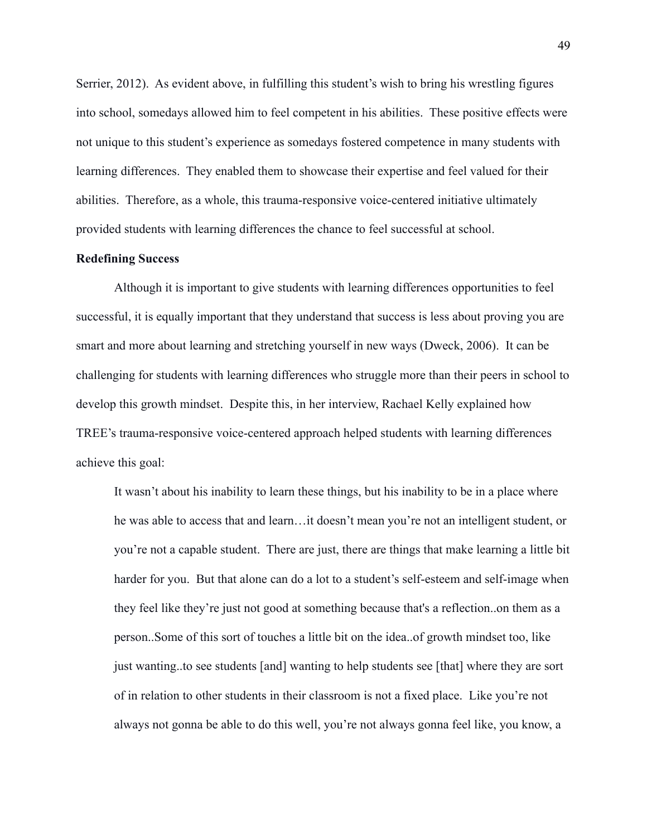Serrier, 2012). As evident above, in fulfilling this student's wish to bring his wrestling figures into school, somedays allowed him to feel competent in his abilities. These positive effects were not unique to this student's experience as somedays fostered competence in many students with learning differences. They enabled them to showcase their expertise and feel valued for their abilities. Therefore, as a whole, this trauma-responsive voice-centered initiative ultimately provided students with learning differences the chance to feel successful at school.

# **Redefining Success**

Although it is important to give students with learning differences opportunities to feel successful, it is equally important that they understand that success is less about proving you are smart and more about learning and stretching yourself in new ways (Dweck, 2006). It can be challenging for students with learning differences who struggle more than their peers in school to develop this growth mindset. Despite this, in her interview, Rachael Kelly explained how TREE's trauma-responsive voice-centered approach helped students with learning differences achieve this goal:

It wasn't about his inability to learn these things, but his inability to be in a place where he was able to access that and learn...it doesn't mean you're not an intelligent student, or you're not a capable student. There are just, there are things that make learning a little bit harder for you. But that alone can do a lot to a student's self-esteem and self-image when they feel like they're just not good at something because that's a reflection..on them as a person. Some of this sort of touches a little bit on the idea. of growth mindset too, like just wanting to see students [and] wanting to help students see [that] where they are sort of in relation to other students in their classroom is not a fixed place. Like you're not always not gonna be able to do this well, you're not always gonna feel like, you know, a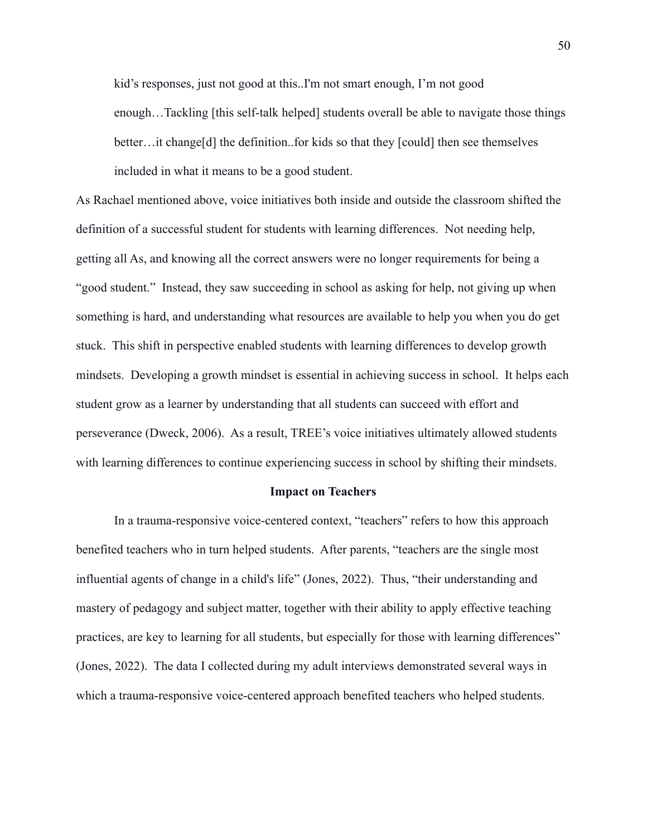kid's responses, just not good at this. I'm not smart enough, I'm not good enough...Tackling [this self-talk helped] students overall be able to navigate those things better... it change [d] the definition..for kids so that they [could] then see themselves included in what it means to be a good student.

As Rachael mentioned above, voice initiatives both inside and outside the classroom shifted the definition of a successful student for students with learning differences. Not needing help, getting all As, and knowing all the correct answers were no longer requirements for being a "good student." Instead, they saw succeeding in school as asking for help, not giving up when something is hard, and understanding what resources are available to help you when you do get stuck. This shift in perspective enabled students with learning differences to develop growth mindsets. Developing a growth mindset is essential in achieving success in school. It helps each student grow as a learner by understanding that all students can succeed with effort and perseverance (Dweck, 2006). As a result, TREE's voice initiatives ultimately allowed students with learning differences to continue experiencing success in school by shifting their mindsets.

#### **Impact on Teachers**

In a trauma-responsive voice-centered context, "teachers" refers to how this approach benefited teachers who in turn helped students. After parents, "teachers are the single most influential agents of change in a child's life" (Jones, 2022). Thus, "their understanding and mastery of pedagogy and subject matter, together with their ability to apply effective teaching practices, are key to learning for all students, but especially for those with learning differences" (Jones, 2022). The data I collected during my adult interviews demonstrated several ways in which a trauma-responsive voice-centered approach benefited teachers who helped students.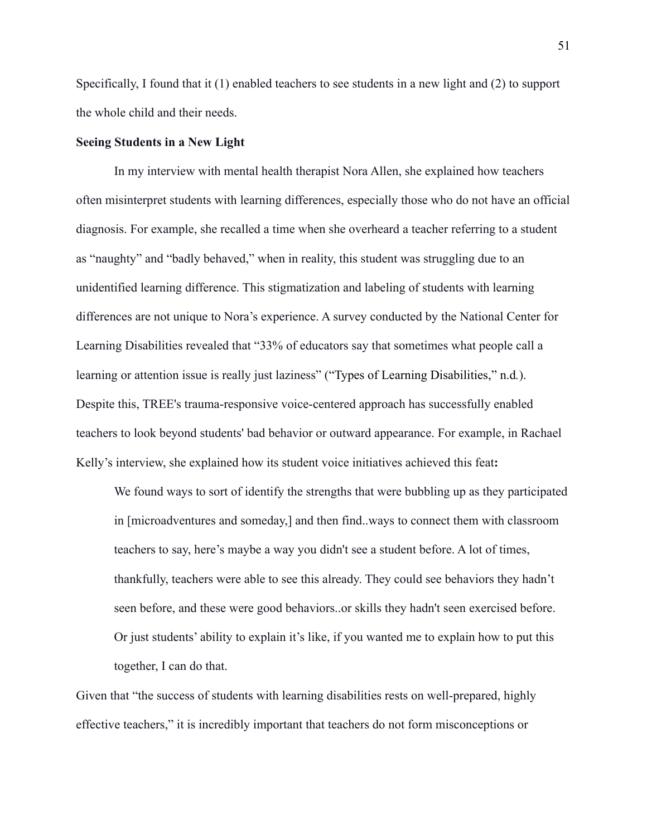Specifically, I found that it  $(1)$  enabled teachers to see students in a new light and  $(2)$  to support the whole child and their needs.

# **Seeing Students in a New Light**

In my interview with mental health therapist Nora Allen, she explained how teachers often misinterpret students with learning differences, especially those who do not have an official diagnosis. For example, she recalled a time when she overheard a teacher referring to a student as "naughty" and "badly behaved," when in reality, this student was struggling due to an unidentified learning difference. This stigmatization and labeling of students with learning differences are not unique to Nora's experience. A survey conducted by the National Center for Learning Disabilities revealed that "33% of educators say that sometimes what people call a learning or attention issue is really just laziness" ("Types of Learning Disabilities," n.d.). Despite this, TREE's trauma-responsive voice-centered approach has successfully enabled teachers to look beyond students' bad behavior or outward appearance. For example, in Rachael Kelly's interview, she explained how its student voice initiatives achieved this feat:

We found ways to sort of identify the strengths that were bubbling up as they participated in [microadventures and someday,] and then find. ways to connect them with classroom teachers to say, here's maybe a way you didn't see a student before. A lot of times, thankfully, teachers were able to see this already. They could see behaviors they hadn't seen before, and these were good behaviors. or skills they hadn't seen exercised before. Or just students' ability to explain it's like, if you wanted me to explain how to put this together, I can do that.

Given that "the success of students with learning disabilities rests on well-prepared, highly effective teachers," it is incredibly important that teachers do not form misconceptions or

51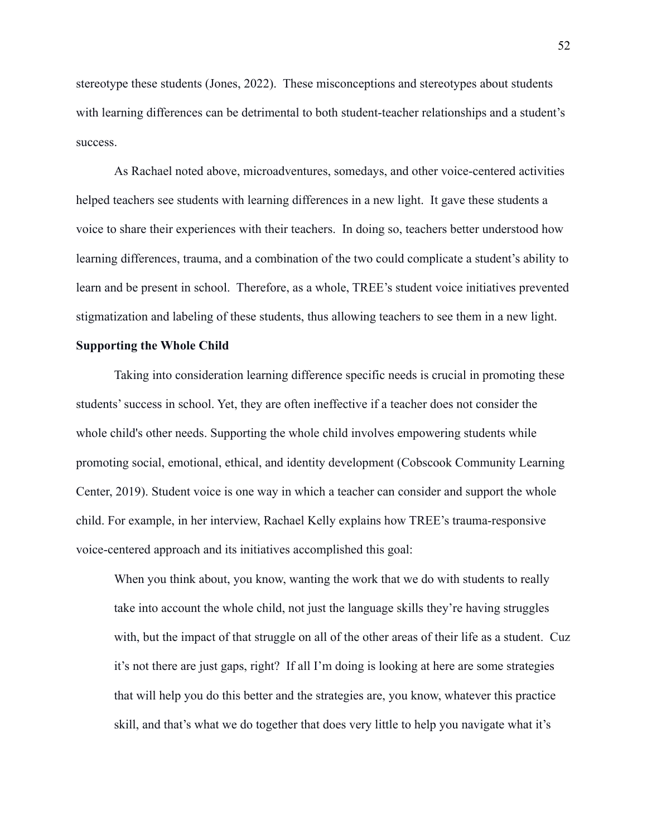stereotype these students (Jones, 2022). These misconceptions and stereotypes about students with learning differences can be detrimental to both student-teacher relationships and a student's success.

As Rachael noted above, microadventures, somedays, and other voice-centered activities helped teachers see students with learning differences in a new light. It gave these students a voice to share their experiences with their teachers. In doing so, teachers better understood how learning differences, trauma, and a combination of the two could complicate a student's ability to learn and be present in school. Therefore, as a whole, TREE's student voice initiatives prevented stigmatization and labeling of these students, thus allowing teachers to see them in a new light.

#### **Supporting the Whole Child**

Taking into consideration learning difference specific needs is crucial in promoting these students' success in school. Yet, they are often ineffective if a teacher does not consider the whole child's other needs. Supporting the whole child involves empowering students while promoting social, emotional, ethical, and identity development (Cobscook Community Learning) Center, 2019). Student voice is one way in which a teacher can consider and support the whole child. For example, in her interview, Rachael Kelly explains how TREE's trauma-responsive voice-centered approach and its initiatives accomplished this goal:

When you think about, you know, wanting the work that we do with students to really take into account the whole child, not just the language skills they're having struggles with, but the impact of that struggle on all of the other areas of their life as a student. Cuz it's not there are just gaps, right? If all I'm doing is looking at here are some strategies that will help you do this better and the strategies are, you know, whatever this practice skill, and that's what we do together that does very little to help you navigate what it's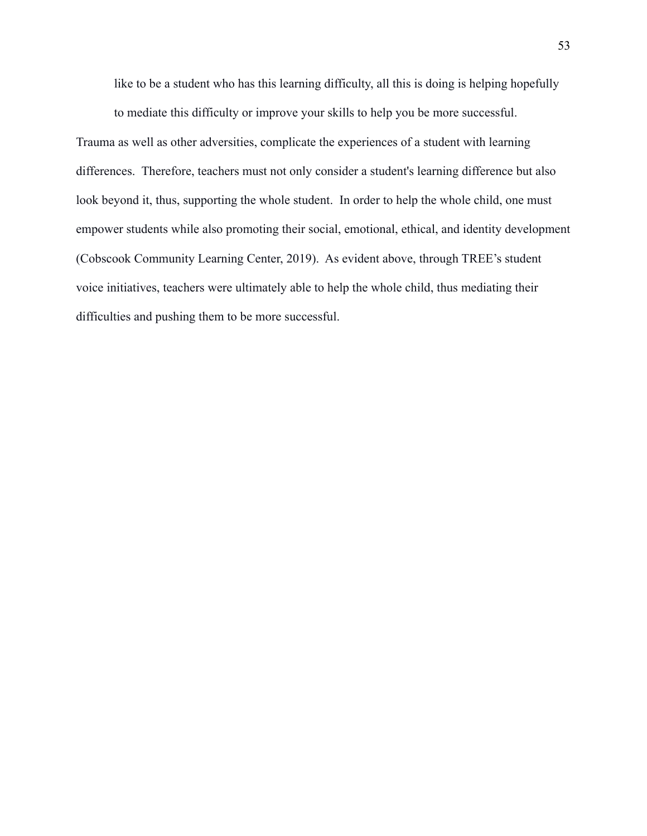like to be a student who has this learning difficulty, all this is doing is helping hopefully

to mediate this difficulty or improve your skills to help you be more successful. Trauma as well as other adversities, complicate the experiences of a student with learning differences. Therefore, teachers must not only consider a student's learning difference but also look beyond it, thus, supporting the whole student. In order to help the whole child, one must empower students while also promoting their social, emotional, ethical, and identity development (Cobscook Community Learning Center, 2019). As evident above, through TREE's student voice initiatives, teachers were ultimately able to help the whole child, thus mediating their difficulties and pushing them to be more successful.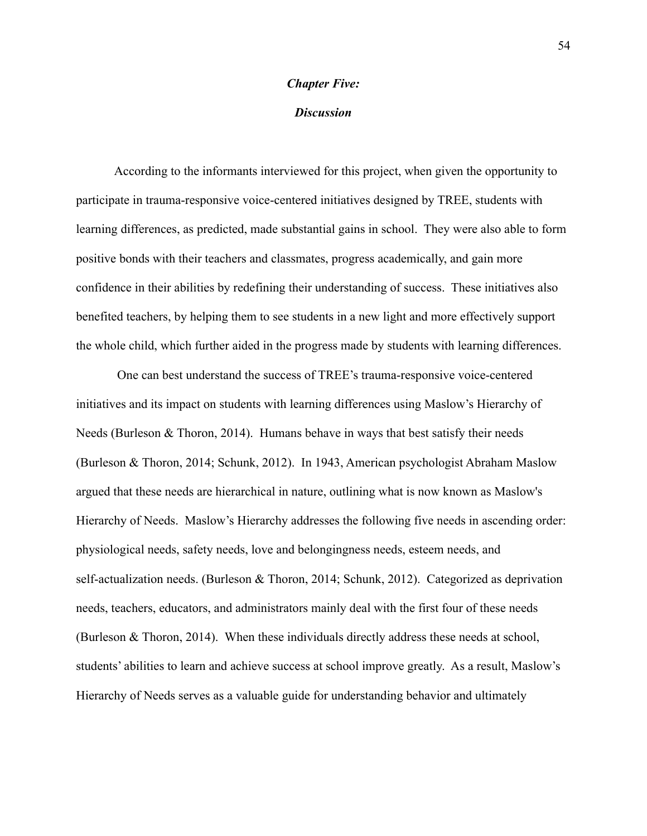# **Chapter Five:**

# **Discussion**

According to the informants interviewed for this project, when given the opportunity to participate in trauma-responsive voice-centered initiatives designed by TREE, students with learning differences, as predicted, made substantial gains in school. They were also able to form positive bonds with their teachers and classmates, progress academically, and gain more confidence in their abilities by redefining their understanding of success. These initiatives also benefited teachers, by helping them to see students in a new light and more effectively support the whole child, which further aided in the progress made by students with learning differences.

One can best understand the success of TREE's trauma-responsive voice-centered initiatives and its impact on students with learning differences using Maslow's Hierarchy of Needs (Burleson & Thoron, 2014). Humans behave in ways that best satisfy their needs (Burleson & Thoron, 2014; Schunk, 2012). In 1943, American psychologist Abraham Maslow argued that these needs are hierarchical in nature, outlining what is now known as Maslow's Hierarchy of Needs. Maslow's Hierarchy addresses the following five needs in ascending order: physiological needs, safety needs, love and belongingness needs, esteem needs, and self-actualization needs. (Burleson & Thoron, 2014; Schunk, 2012). Categorized as deprivation needs, teachers, educators, and administrators mainly deal with the first four of these needs (Burleson & Thoron, 2014). When these individuals directly address these needs at school, students' abilities to learn and achieve success at school improve greatly. As a result, Maslow's Hierarchy of Needs serves as a valuable guide for understanding behavior and ultimately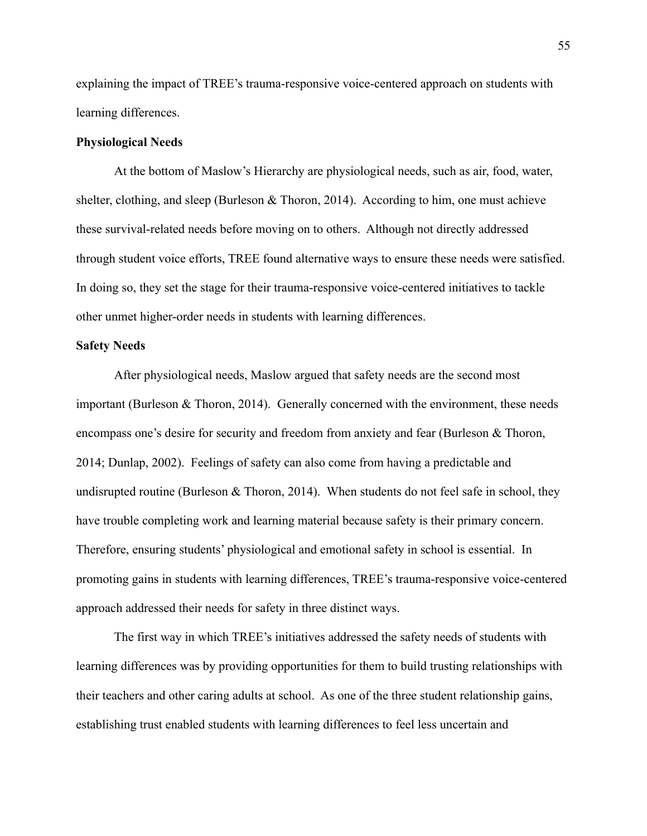explaining the impact of TREE's trauma-responsive voice-centered approach on students with learning differences.

# **Physiological Needs**

At the bottom of Maslow's Hierarchy are physiological needs, such as air, food, water, shelter, clothing, and sleep (Burleson  $&$  Thoron, 2014). According to him, one must achieve these survival-related needs before moving on to others. Although not directly addressed through student voice efforts, TREE found alternative ways to ensure these needs were satisfied. In doing so, they set the stage for their trauma-responsive voice-centered initiatives to tackle other unmet higher-order needs in students with learning differences.

## **Safety Needs**

After physiological needs, Maslow argued that safety needs are the second most important (Burleson  $&$  Thoron, 2014). Generally concerned with the environment, these needs encompass one's desire for security and freedom from anxiety and fear (Burleson & Thoron, 2014; Dunlap, 2002). Feelings of safety can also come from having a predictable and undisrupted routine (Burleson  $&$  Thoron, 2014). When students do not feel safe in school, they have trouble completing work and learning material because safety is their primary concern. Therefore, ensuring students' physiological and emotional safety in school is essential. In promoting gains in students with learning differences, TREE's trauma-responsive voice-centered approach addressed their needs for safety in three distinct ways.

The first way in which TREE's initiatives addressed the safety needs of students with learning differences was by providing opportunities for them to build trusting relationships with their teachers and other caring adults at school. As one of the three student relationship gains, establishing trust enabled students with learning differences to feel less uncertain and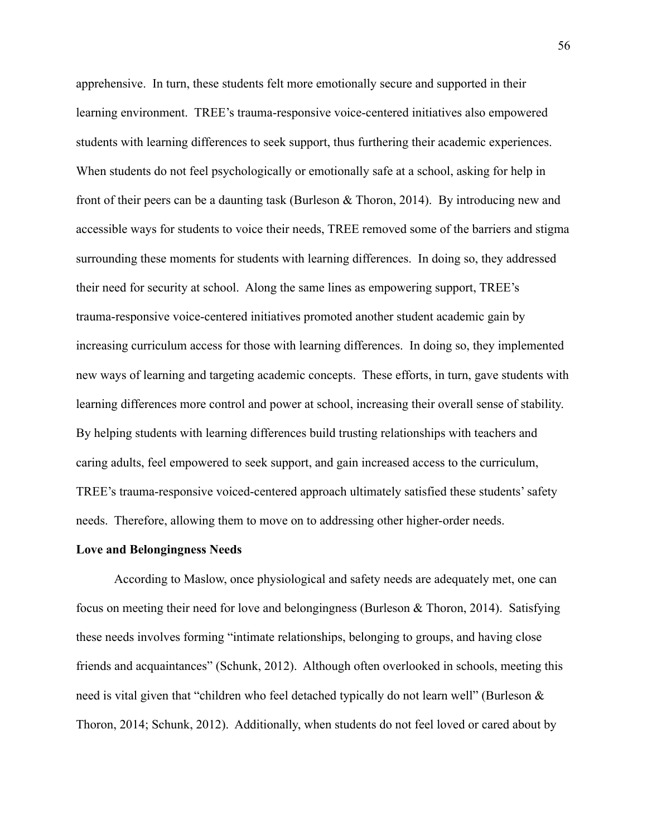apprehensive. In turn, these students felt more emotionally secure and supported in their learning environment. TREE's trauma-responsive voice-centered initiatives also empowered students with learning differences to seek support, thus furthering their academic experiences. When students do not feel psychologically or emotionally safe at a school, asking for help in front of their peers can be a daunting task (Burleson  $\&$  Thoron, 2014). By introducing new and accessible ways for students to voice their needs, TREE removed some of the barriers and stigma surrounding these moments for students with learning differences. In doing so, they addressed their need for security at school. Along the same lines as empowering support, TREE's trauma-responsive voice-centered initiatives promoted another student academic gain by increasing curriculum access for those with learning differences. In doing so, they implemented new ways of learning and targeting academic concepts. These efforts, in turn, gave students with learning differences more control and power at school, increasing their overall sense of stability. By helping students with learning differences build trusting relationships with teachers and caring adults, feel empowered to seek support, and gain increased access to the curriculum, TREE's trauma-responsive voiced-centered approach ultimately satisfied these students' safety needs. Therefore, allowing them to move on to addressing other higher-order needs.

### **Love and Belongingness Needs**

According to Maslow, once physiological and safety needs are adequately met, one can focus on meeting their need for love and belongingness (Burleson & Thoron, 2014). Satisfying these needs involves forming "intimate relationships, belonging to groups, and having close friends and acquaintances" (Schunk, 2012). Although often overlooked in schools, meeting this need is vital given that "children who feel detached typically do not learn well" (Burleson & Thoron, 2014; Schunk, 2012). Additionally, when students do not feel loved or cared about by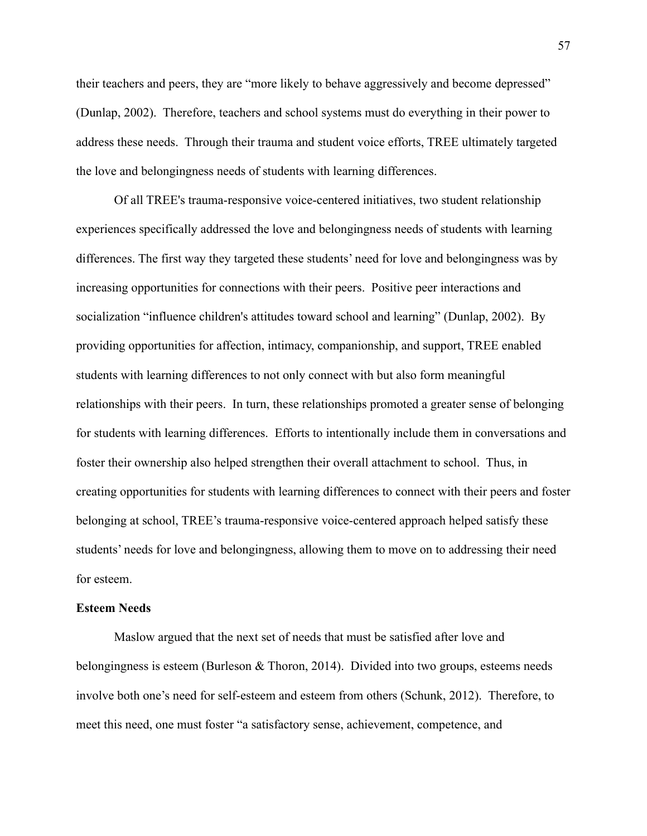their teachers and peers, they are "more likely to behave aggressively and become depressed" (Dunlap, 2002). Therefore, teachers and school systems must do everything in their power to address these needs. Through their trauma and student voice efforts, TREE ultimately targeted the love and belongingness needs of students with learning differences.

Of all TREE's trauma-responsive voice-centered initiatives, two student relationship experiences specifically addressed the love and belongingness needs of students with learning differences. The first way they targeted these students' need for love and belongingness was by increasing opportunities for connections with their peers. Positive peer interactions and socialization "influence children's attitudes toward school and learning" (Dunlap, 2002). By providing opportunities for affection, intimacy, companionship, and support, TREE enabled students with learning differences to not only connect with but also form meaningful relationships with their peers. In turn, these relationships promoted a greater sense of belonging for students with learning differences. Efforts to intentionally include them in conversations and foster their ownership also helped strengthen their overall attachment to school. Thus, in creating opportunities for students with learning differences to connect with their peers and foster belonging at school, TREE's trauma-responsive voice-centered approach helped satisfy these students' needs for love and belongingness, allowing them to move on to addressing their need for esteem.

## **Esteem Needs**

Maslow argued that the next set of needs that must be satisfied after love and belongingness is esteem (Burleson & Thoron, 2014). Divided into two groups, esteems needs involve both one's need for self-esteem and esteem from others (Schunk, 2012). Therefore, to meet this need, one must foster "a satisfactory sense, achievement, competence, and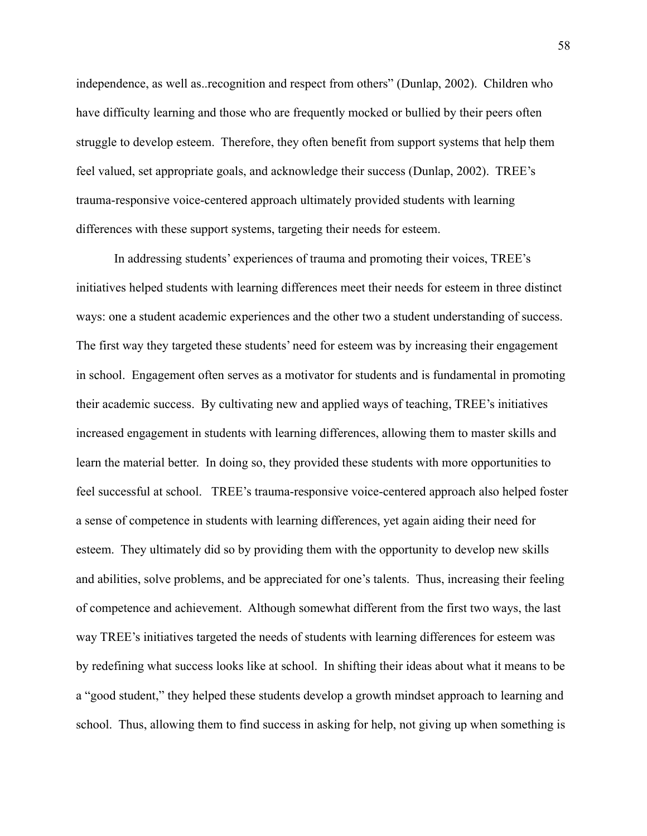independence, as well as recognition and respect from others" (Dunlap, 2002). Children who have difficulty learning and those who are frequently mocked or bullied by their peers often struggle to develop esteem. Therefore, they often benefit from support systems that help them feel valued, set appropriate goals, and acknowledge their success (Dunlap, 2002). TREE's trauma-responsive voice-centered approach ultimately provided students with learning differences with these support systems, targeting their needs for esteem.

In addressing students' experiences of trauma and promoting their voices, TREE's initiatives helped students with learning differences meet their needs for esteem in three distinct ways: one a student academic experiences and the other two a student understanding of success. The first way they targeted these students' need for esteem was by increasing their engagement in school. Engagement often serves as a motivator for students and is fundamental in promoting their academic success. By cultivating new and applied ways of teaching, TREE's initiatives increased engagement in students with learning differences, allowing them to master skills and learn the material better. In doing so, they provided these students with more opportunities to feel successful at school. TREE's trauma-responsive voice-centered approach also helped foster a sense of competence in students with learning differences, yet again aiding their need for esteem. They ultimately did so by providing them with the opportunity to develop new skills and abilities, solve problems, and be appreciated for one's talents. Thus, increasing their feeling of competence and achievement. Although somewhat different from the first two ways, the last way TREE's initiatives targeted the needs of students with learning differences for esteem was by redefining what success looks like at school. In shifting their ideas about what it means to be a "good student," they helped these students develop a growth mindset approach to learning and school. Thus, allowing them to find success in asking for help, not giving up when something is

58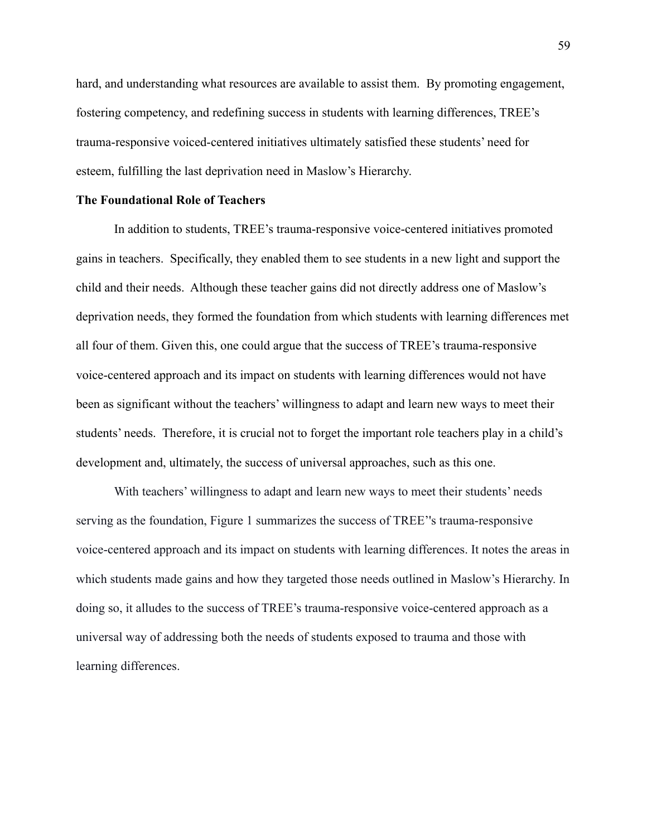hard, and understanding what resources are available to assist them. By promoting engagement, fostering competency, and redefining success in students with learning differences, TREE's trauma-responsive voiced-centered initiatives ultimately satisfied these students' need for esteem, fulfilling the last deprivation need in Maslow's Hierarchy.

# The Foundational Role of Teachers

In addition to students, TREE's trauma-responsive voice-centered initiatives promoted gains in teachers. Specifically, they enabled them to see students in a new light and support the child and their needs. Although these teacher gains did not directly address one of Maslow's deprivation needs, they formed the foundation from which students with learning differences met all four of them. Given this, one could argue that the success of TREE's trauma-responsive voice-centered approach and its impact on students with learning differences would not have been as significant without the teachers' willingness to adapt and learn new ways to meet their students' needs. Therefore, it is crucial not to forget the important role teachers play in a child's development and, ultimately, the success of universal approaches, such as this one.

With teachers' willingness to adapt and learn new ways to meet their students' needs serving as the foundation, Figure 1 summarizes the success of TREE''s trauma-responsive voice-centered approach and its impact on students with learning differences. It notes the areas in which students made gains and how they targeted those needs outlined in Maslow's Hierarchy. In doing so, it alludes to the success of TREE's trauma-responsive voice-centered approach as a universal way of addressing both the needs of students exposed to trauma and those with learning differences.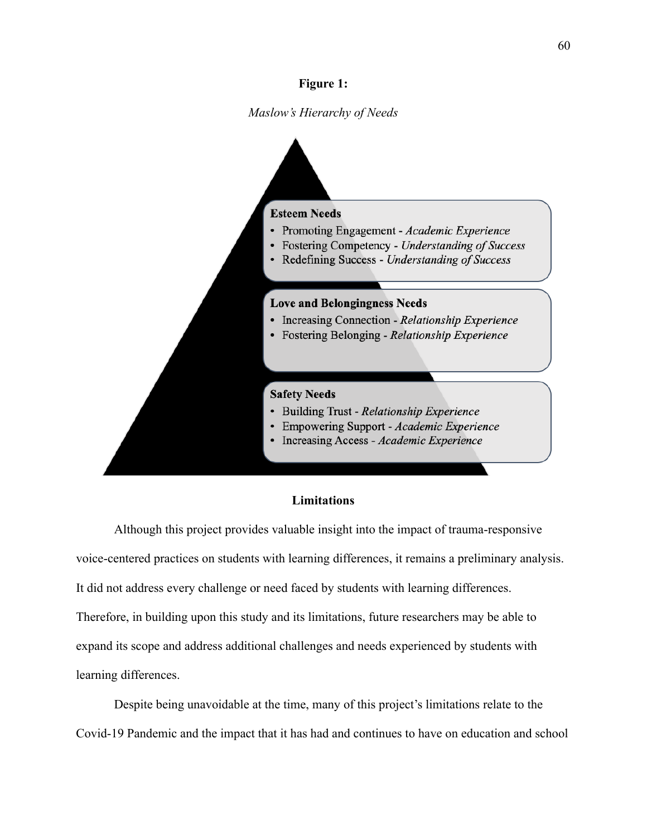# **Figure 1:**

Maslow's Hierarchy of Needs



# **Limitations**

Although this project provides valuable insight into the impact of trauma-responsive voice-centered practices on students with learning differences, it remains a preliminary analysis. It did not address every challenge or need faced by students with learning differences. Therefore, in building upon this study and its limitations, future researchers may be able to expand its scope and address additional challenges and needs experienced by students with learning differences.

Despite being unavoidable at the time, many of this project's limitations relate to the Covid-19 Pandemic and the impact that it has had and continues to have on education and school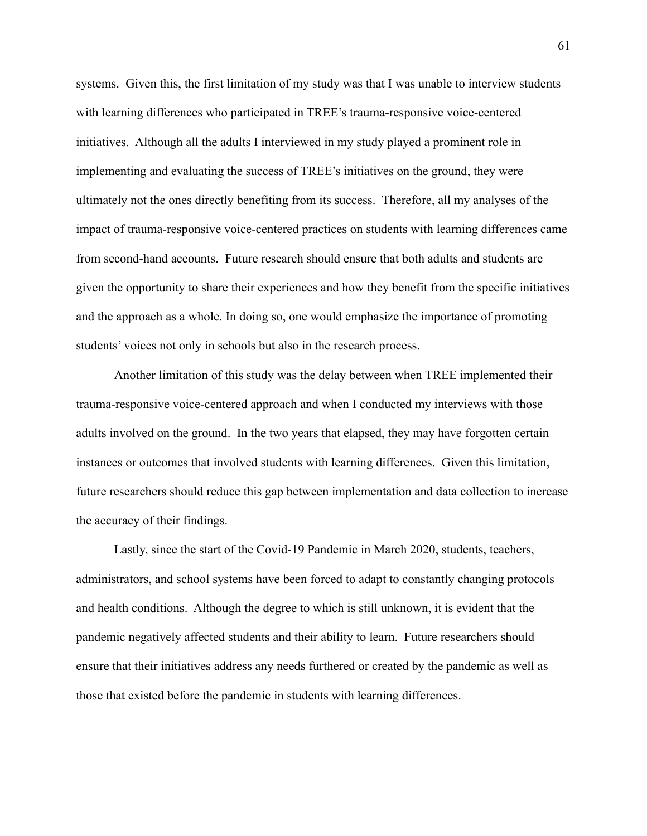systems. Given this, the first limitation of my study was that I was unable to interview students with learning differences who participated in TREE's trauma-responsive voice-centered initiatives. Although all the adults I interviewed in my study played a prominent role in implementing and evaluating the success of TREE's initiatives on the ground, they were ultimately not the ones directly benefiting from its success. Therefore, all my analyses of the impact of trauma-responsive voice-centered practices on students with learning differences came from second-hand accounts. Future research should ensure that both adults and students are given the opportunity to share their experiences and how they benefit from the specific initiatives and the approach as a whole. In doing so, one would emphasize the importance of promoting students' voices not only in schools but also in the research process.

Another limitation of this study was the delay between when TREE implemented their trauma-responsive voice-centered approach and when I conducted my interviews with those adults involved on the ground. In the two years that elapsed, they may have forgotten certain instances or outcomes that involved students with learning differences. Given this limitation, future researchers should reduce this gap between implementation and data collection to increase the accuracy of their findings.

Lastly, since the start of the Covid-19 Pandemic in March 2020, students, teachers, administrators, and school systems have been forced to adapt to constantly changing protocols and health conditions. Although the degree to which is still unknown, it is evident that the pandemic negatively affected students and their ability to learn. Future researchers should ensure that their initiatives address any needs furthered or created by the pandemic as well as those that existed before the pandemic in students with learning differences.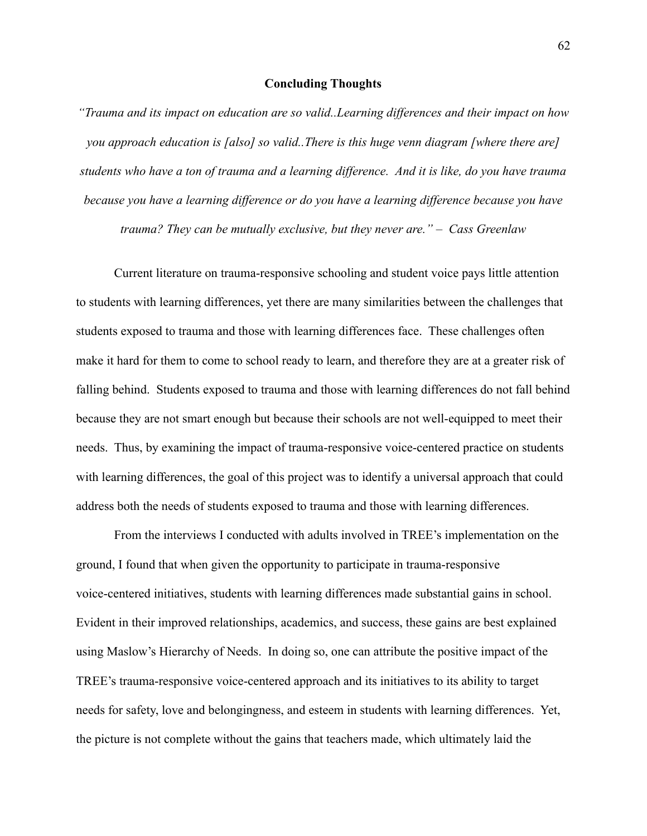# **Concluding Thoughts**

"Trauma and its impact on education are so valid. Learning differences and their impact on how you approach education is [also] so valid. There is this huge venn diagram [where there are] students who have a ton of trauma and a learning difference. And it is like, do you have trauma because you have a learning difference or do you have a learning difference because you have trauma? They can be mutually exclusive, but they never are."  $-$  Cass Greenlaw

Current literature on trauma-responsive schooling and student voice pays little attention to students with learning differences, yet there are many similarities between the challenges that students exposed to trauma and those with learning differences face. These challenges often make it hard for them to come to school ready to learn, and therefore they are at a greater risk of falling behind. Students exposed to trauma and those with learning differences do not fall behind because they are not smart enough but because their schools are not well-equipped to meet their needs. Thus, by examining the impact of trauma-responsive voice-centered practice on students with learning differences, the goal of this project was to identify a universal approach that could address both the needs of students exposed to trauma and those with learning differences.

From the interviews I conducted with adults involved in TREE's implementation on the ground, I found that when given the opportunity to participate in trauma-responsive voice-centered initiatives, students with learning differences made substantial gains in school. Evident in their improved relationships, academics, and success, these gains are best explained using Maslow's Hierarchy of Needs. In doing so, one can attribute the positive impact of the TREE's trauma-responsive voice-centered approach and its initiatives to its ability to target needs for safety, love and belongingness, and esteem in students with learning differences. Yet, the picture is not complete without the gains that teachers made, which ultimately laid the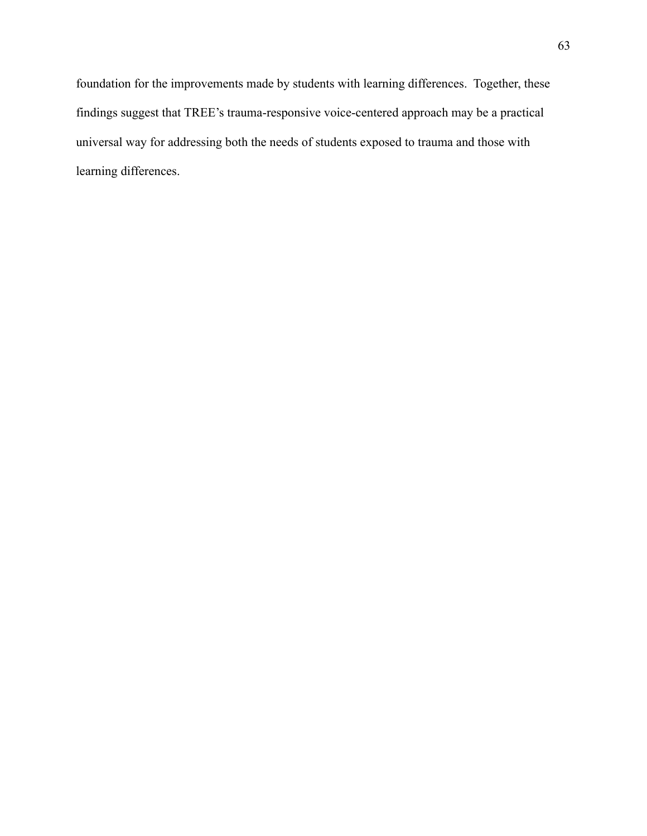foundation for the improvements made by students with learning differences. Together, these findings suggest that TREE's trauma-responsive voice-centered approach may be a practical universal way for addressing both the needs of students exposed to trauma and those with learning differences.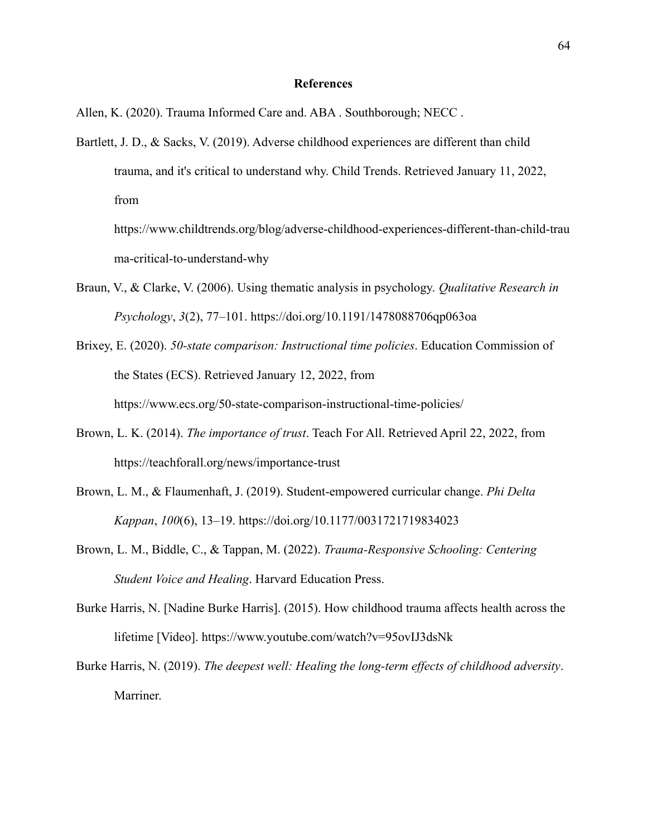# **References**

Allen, K. (2020). Trauma Informed Care and. ABA . Southborough; NECC.

Bartlett, J. D., & Sacks, V. (2019). Adverse childhood experiences are different than child trauma, and it's critical to understand why. Child Trends. Retrieved January 11, 2022, from

https://www.childtrends.org/blog/adverse-childhood-experiences-different-than-child-trau ma-critical-to-understand-why

- Braun, V., & Clarke, V. (2006). Using thematic analysis in psychology. *Qualitative Research in Psychology*, *3*(2), 77-101. https://doi.org/10.1191/1478088706qp063oa
- Brixey, E. (2020). *50-state comparison: Instructional time policies*. Education Commission of the States (ECS). Retrieved January 12, 2022, from https://www.ecs.org/50-state-comparison-instructional-time-policies/
- Brown, L. K. (2014). *The importance of trust*. Teach For All. Retrieved April 22, 2022, from https://teachforall.org/news/importance-trust
- Brown, L. M., & Flaumenhaft, J. (2019). Student-empowered curricular change. *Phi Delta Kappan*, *100*(6), 13–19. https://doi.org/10.1177/0031721719834023
- Brown, L. M., Biddle, C., & Tappan, M. (2022). *Trauma-Responsive Schooling: Centering* **Student Voice and Healing. Harvard Education Press.**
- Burke Harris, N. [Nadine Burke Harris]. (2015). How childhood trauma affects health across the lifetime [Video]. https://www.youtube.com/watch?v=95ovIJ3dsNk
- Burke Harris, N. (2019). *The deepest well: Healing the long-term effects of childhood adversity*. Marriner.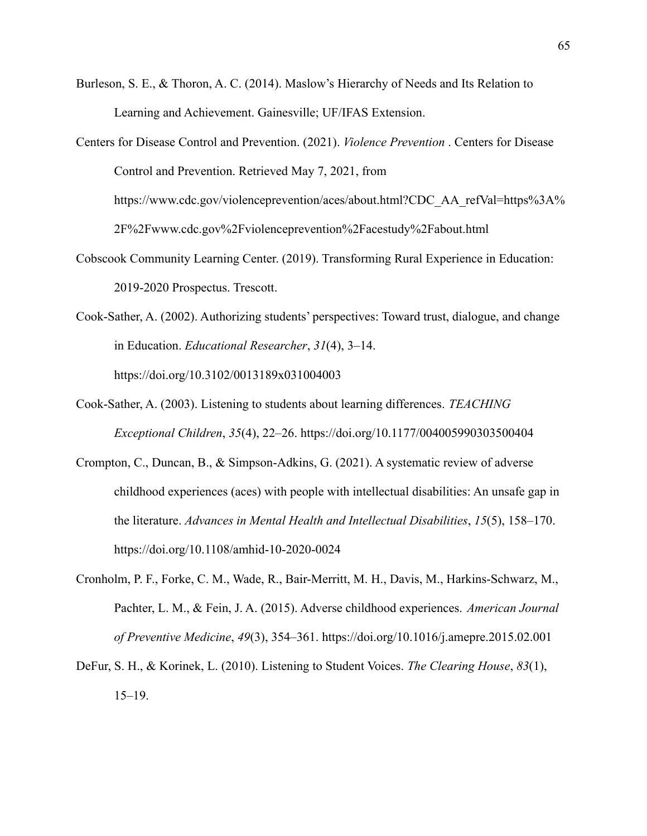- Burleson, S. E., & Thoron, A. C. (2014). Maslow's Hierarchy of Needs and Its Relation to Learning and Achievement. Gainesville; UF/IFAS Extension.
- Centers for Disease Control and Prevention. (2021). *Violence Prevention* . Centers for Disease Control and Prevention. Retrieved May 7, 2021, from https://www.cdc.gov/violenceprevention/aces/about.html?CDC AA refVal=https%3A% 2F%2Fwww.cdc.gov%2Fviolenceprevention%2Facestudy%2Fabout.html
- Cobscook Community Learning Center. (2019). Transforming Rural Experience in Education: 2019-2020 Prospectus. Trescott.
- Cook-Sather, A. (2002). Authorizing students' perspectives: Toward trust, dialogue, and change in Education. *Educational Researcher*, 31(4), 3-14. https://doi.org/10.3102/0013189x031004003
- Cook-Sather, A. (2003). Listening to students about learning differences. *TEACHING Exceptional Children, 35(4), 22–26. https://doi.org/10.1177/004005990303500404*
- Crompton, C., Duncan, B., & Simpson-Adkins, G. (2021). A systematic review of adverse childhood experiences (aces) with people with intellectual disabilities: An unsafe gap in the literature. Advances in Mental Health and Intellectual Disabilities, 15(5), 158–170. https://doi.org/10.1108/amhid-10-2020-0024
- Cronholm, P. F., Forke, C. M., Wade, R., Bair-Merritt, M. H., Davis, M., Harkins-Schwarz, M., Pachter, L. M., & Fein, J. A. (2015). Adverse childhood experiences. American Journal of Preventive Medicine, 49(3), 354–361. https://doi.org/10.1016/j.amepre.2015.02.001
- DeFur, S. H., & Korinek, L. (2010). Listening to Student Voices. The Clearing House, 83(1),  $15 - 19.$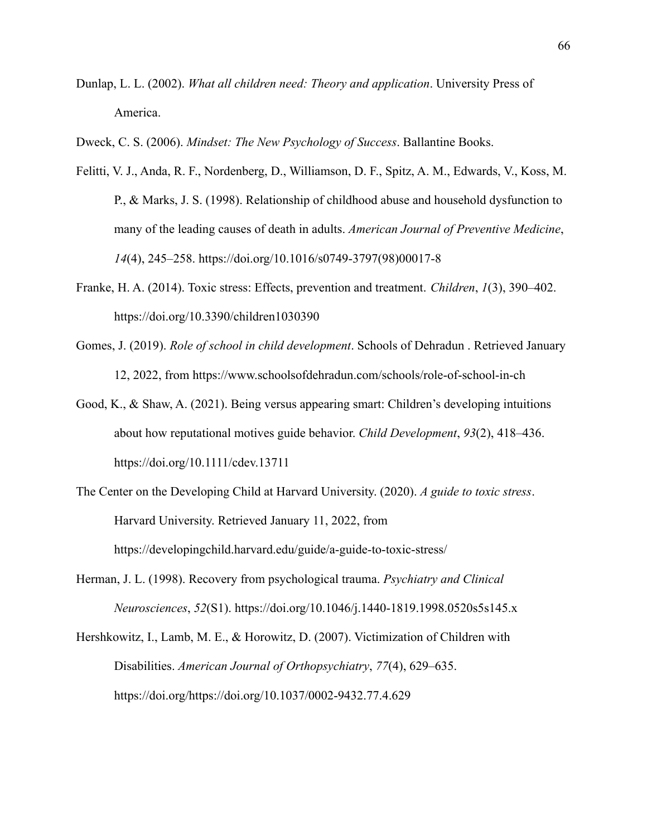- Dunlap, L. L. (2002). *What all children need: Theory and application*. University Press of America.
- Dweck, C. S. (2006). *Mindset: The New Psychology of Success*. Ballantine Books.
- Felitti, V. J., Anda, R. F., Nordenberg, D., Williamson, D. F., Spitz, A. M., Edwards, V., Koss, M. P., & Marks, J. S. (1998). Relationship of childhood abuse and household dysfunction to many of the leading causes of death in adults. *American Journal of Preventive Medicine*, *14*(4), 245–258. https://doi.org/10.1016/s0749-3797(98)00017-8
- Franke, H. A. (2014). Toxic stress: Effects, prevention and treatment. *Children*, *1*(3), 390–402. https://doi.org/10.3390/children1030390
- Gomes, J. (2019). *Role of school in child development*. Schools of Dehradun . Retrieved January 12, 2022, from https://www.schoolsofdehradun.com/schools/role-of-school-in-ch
- Good, K., & Shaw, A. (2021). Being versus appearing smart: Children's developing intuitions about how reputational motives guide behavior. *Child Development*, 93(2), 418–436. https://doi.org/10.1111/cdev.13711
- The Center on the Developing Child at Harvard University. (2020). *A guide to toxic stress*. Harvard University. Retrieved January 11, 2022, from https://developingchild.harvard.edu/guide/a-guide-to-toxic-stress/
- Herman, J. L. (1998). Recovery from psychological trauma. *Psychiatry and Clinical Neurosciences*, *52*(S1). https://doi.org/10.1046/j.1440-1819.1998.0520s5s145.x
- Hershkowitz, I., Lamb, M. E., & Horowitz, D. (2007). Victimization of Children with Disabilities. *American Journal of Orthopsychiatry*, 77(4), 629–635. https://doi.org/https://doi.org/10.1037/0002-9432.77.4.629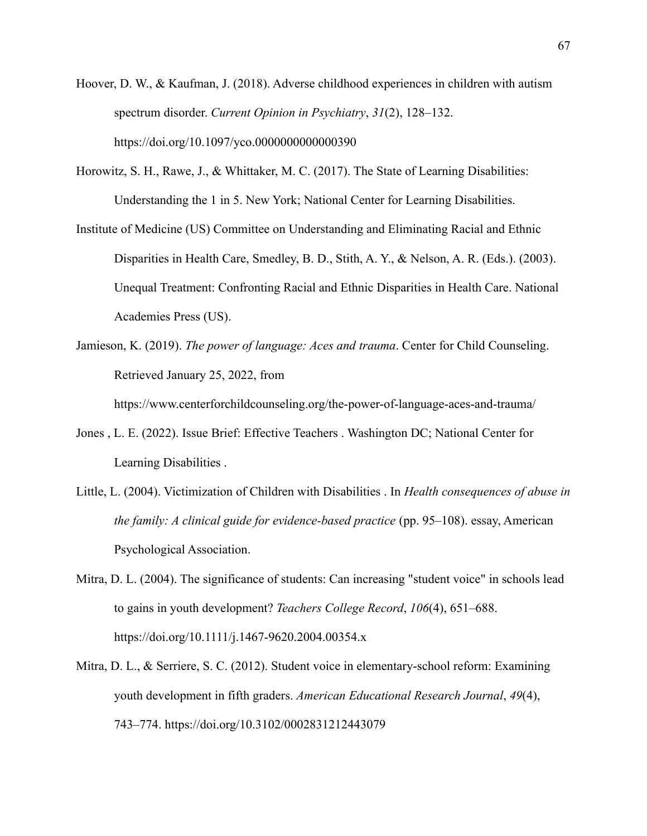- Hoover, D. W., & Kaufman, J. (2018). Adverse childhood experiences in children with autism spectrum disorder. Current Opinion in Psychiatry, 31(2), 128–132. https://doi.org/10.1097/yco.0000000000000390
- Horowitz, S. H., Rawe, J., & Whittaker, M. C. (2017). The State of Learning Disabilities: Understanding the 1 in 5. New York; National Center for Learning Disabilities.
- Institute of Medicine (US) Committee on Understanding and Eliminating Racial and Ethnic Disparities in Health Care, Smedley, B. D., Stith, A. Y., & Nelson, A. R. (Eds.). (2003). Unequal Treatment: Confronting Racial and Ethnic Disparities in Health Care. National Academies Press (US).
- Jamieson, K. (2019). The power of language: Aces and trauma. Center for Child Counseling. Retrieved January 25, 2022, from

https://www.centerforchildcounseling.org/the-power-of-language-aces-and-trauma/

- Jones, L. E. (2022). Issue Brief: Effective Teachers . Washington DC; National Center for Learning Disabilities.
- Little, L. (2004). Victimization of Children with Disabilities . In Health consequences of abuse in the family: A clinical guide for evidence-based practice (pp. 95-108). essay, American Psychological Association.
- Mitra, D. L. (2004). The significance of students: Can increasing "student voice" in schools lead to gains in youth development? Teachers College Record, 106(4), 651–688. https://doi.org/10.1111/j.1467-9620.2004.00354.x
- Mitra, D. L., & Serriere, S. C. (2012). Student voice in elementary-school reform: Examining youth development in fifth graders. American Educational Research Journal, 49(4), 743–774. https://doi.org/10.3102/0002831212443079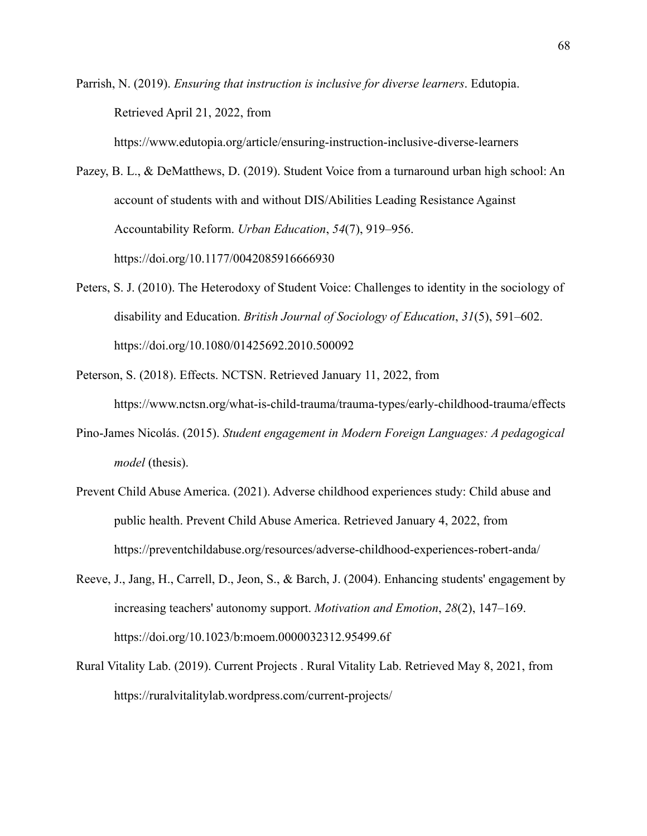Parrish, N. (2019). *Ensuring that instruction is inclusive for diverse learners*. Edutopia. Retrieved April 21, 2022, from

Pazey, B. L., & DeMatthews, D. (2019). Student Voice from a turnaround urban high school: An account of students with and without DIS/Abilities Leading Resistance Against Accountability Reform. *Urban Education*, 54(7), 919–956. https://doi.org/10.1177/0042085916666930

https://www.edutopia.org/article/ensuring-instruction-inclusive-diverse-learners

- Peters, S. J. (2010). The Heterodoxy of Student Voice: Challenges to identity in the sociology of disability and Education. *British Journal of Sociology of Education*, 31(5), 591–602. https://doi.org/10.1080/01425692.2010.500092
- Peterson, S. (2018). Effects. NCTSN. Retrieved January 11, 2022, from https://www.nctsn.org/what-is-child-trauma/trauma-types/early-childhood-trauma/effects
- Pino-James Nicolás. (2015). *Student engagement in Modern Foreign Languages: A pedagogical model* (thesis).
- Prevent Child Abuse America. (2021). Adverse childhood experiences study: Child abuse and public health. Prevent Child Abuse America. Retrieved January 4, 2022, from https://preventchildabuse.org/resources/adverse-childhood-experiences-robert-anda/
- Reeve, J., Jang, H., Carrell, D., Jeon, S., & Barch, J. (2004). Enhancing students' engagement by increasing teachers' autonomy support. *Motivation and Emotion*,  $28(2)$ , 147–169. https://doi.org/10.1023/b:moem.0000032312.95499.6f
- Rural Vitality Lab. (2019). Current Projects . Rural Vitality Lab. Retrieved May 8, 2021, from https://ruralvitalitylab.wordpress.com/current-projects/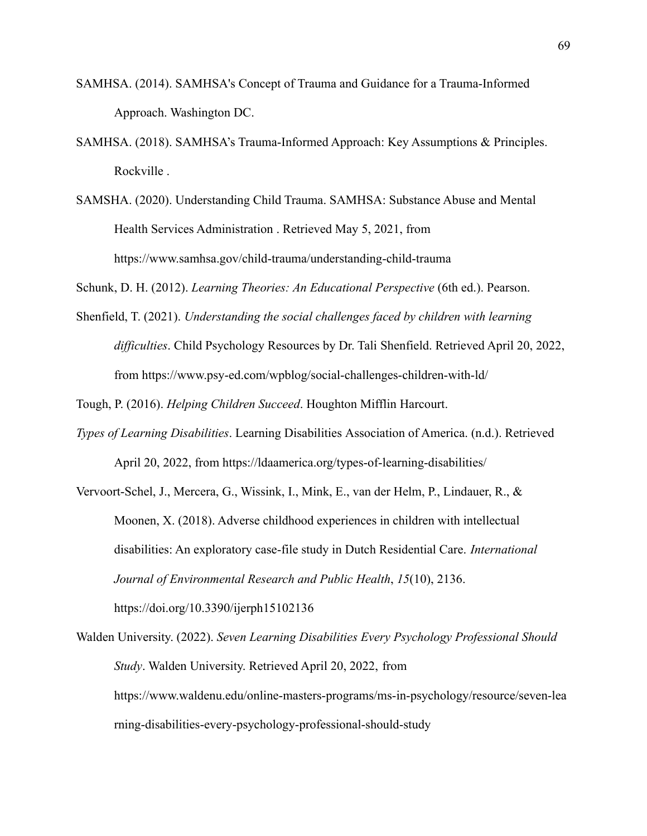- SAMHSA. (2014). SAMHSA's Concept of Trauma and Guidance for a Trauma-Informed Approach. Washington DC.
- SAMHSA. (2018). SAMHSA's Trauma-Informed Approach: Key Assumptions & Principles. Rockville.
- SAMSHA. (2020). Understanding Child Trauma. SAMHSA: Substance Abuse and Mental Health Services Administration . Retrieved May 5, 2021, from https://www.samhsa.gov/child-trauma/understanding-child-trauma

Schunk, D. H. (2012). *Learning Theories: An Educational Perspective* (6th ed.). Pearson.

Shenfield, T. (2021). *Understanding the social challenges faced by children with learning difficulties*. Child Psychology Resources by Dr. Tali Shenfield. Retrieved April 20, 2022, from https://www.psy-ed.com/wpblog/social-challenges-children-with-ld/

Tough, P. (2016). *Helping Children Succeed*. Houghton Mifflin Harcourt.

- *Types of Learning Disabilities*. Learning Disabilities Association of America. (n.d.). Retrieved April 20, 2022, from https://Idaamerica.org/types-of-learning-disabilities/
- Vervoort-Schel, J., Mercera, G., Wissink, I., Mink, E., van der Helm, P., Lindauer, R.,  $\&$ Moonen, X. (2018). Adverse childhood experiences in children with intellectual disabilities: An exploratory case-file study in Dutch Residential Care. *International Journal of Environmental Research and Public Health*, *15*(10), 2136. https://doi.org/10.3390/ijerph15102136

Walden University. (2022). *Seven Learning Disabilities Every Psychology Professional Should Study*. Walden University. Retrieved April 20, 2022, from https://www.waldenu.edu/online-masters-programs/ms-in-psychology/resource/seven-lea ming-disabilities-every-psychology-professional-should-study